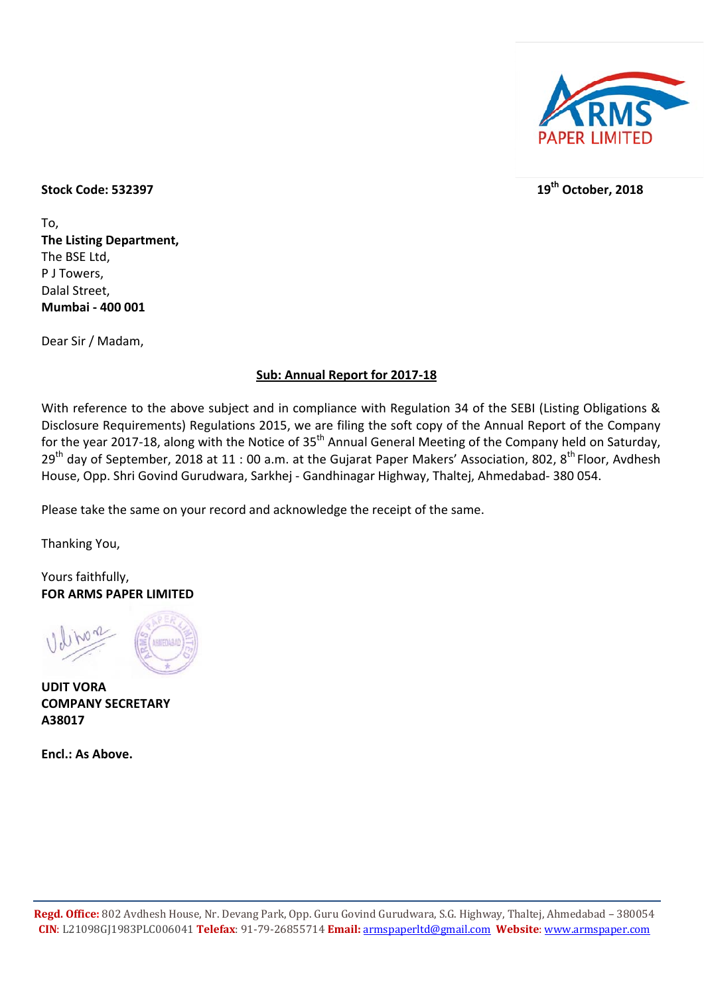

## **Stock Code: 532397 19th October, 2018**

To, **The Listing Department,**  The BSE Ltd, P J Towers, Dalal Street, **Mumbai - 400 001** 

Dear Sir / Madam,

## **Sub: Annual Report for 2017-18**

With reference to the above subject and in compliance with Regulation 34 of the SEBI (Listing Obligations & Disclosure Requirements) Regulations 2015, we are filing the soft copy of the Annual Report of the Company for the year 2017-18, along with the Notice of 35<sup>th</sup> Annual General Meeting of the Company held on Saturday, 29<sup>th</sup> day of September, 2018 at 11 : 00 a.m. at the Gujarat Paper Makers' Association, 802, 8<sup>th</sup> Floor, Avdhesh House, Opp. Shri Govind Gurudwara, Sarkhej - Gandhinagar Highway, Thaltej, Ahmedabad- 380 054.

Please take the same on your record and acknowledge the receipt of the same.

Thanking You,

Yours faithfully, **FOR ARMS PAPER LIMITED** 



**UDIT VORA COMPANY SECRETARY A38017** 

**Encl.: As Above.**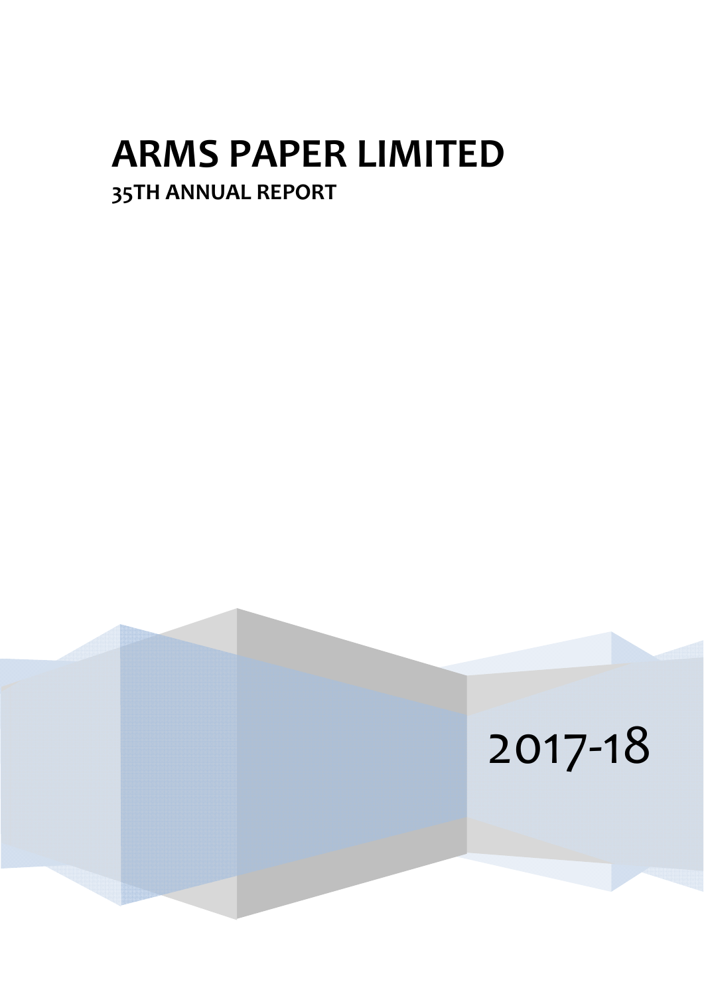# **ARMS PAPER LIMITED 35TH ANNUAL REPORT**

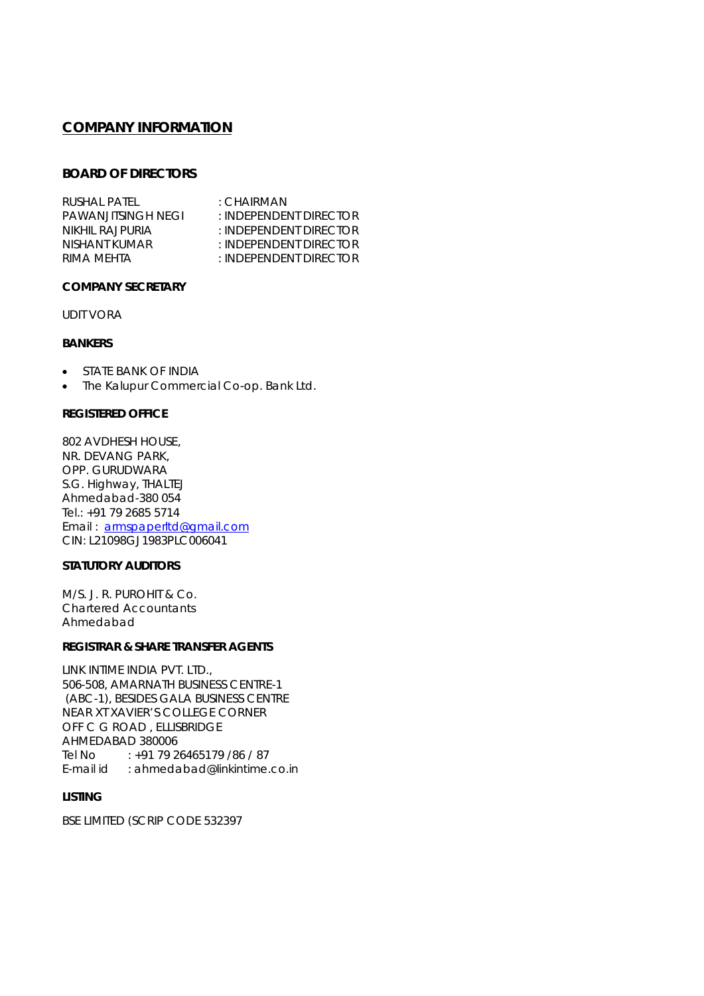## **COMPANY INFORMATION**

### **BOARD OF DIRECTORS**

| RUSHAL PATEL        | : CHAIRMAN                  |
|---------------------|-----------------------------|
| PAWAN JITSINGH NEGI | : INDEPENDENT DIRECTOR      |
| NIKHII RAJPURIA     | $\pm$ INDEPENDENT DIRECTOR  |
| NISHANT KUMAR       | $\pm$ INDEPENDENT DIRECTOR  |
| RIMA MEHTA          | $\pm$ INDEPENDENT DIRECTOR. |
|                     |                             |

### **COMPANY SECRETARY**

UDIT VORA

### **BANKERS**

- **STATE BANK OF INDIA**
- The Kalupur Commercial Co-op. Bank Ltd.

### **REGISTERED OFFICE**

802 AVDHESH HOUSE, NR. DEVANG PARK, OPP. GURUDWARA S.G. Highway, THALTEJ Ahmedabad-380 054 Tel.: +91 79 2685 5714 Email : armspaperltd@gmail.com CIN: L21098GJ1983PLC006041

### **STATUTORY AUDITORS**

M/S. J. R. PUROHIT & Co. Chartered Accountants Ahmedabad

### **REGISTRAR & SHARE TRANSFER AGENTS**

LINK INTIME INDIA PVT. LTD., 506-508, AMARNATH BUSINESS CENTRE-1 (ABC-1), BESIDES GALA BUSINESS CENTRE NEAR XT XAVIER'S COLLEGE CORNER OFF C G ROAD , ELLISBRIDGE AHMEDABAD 380006 Tel No : +91 79 26465179 /86 / 87 E-mail id : ahmedabad@linkintime.co.in

### **LISTING**

BSE LIMITED (SCRIP CODE 532397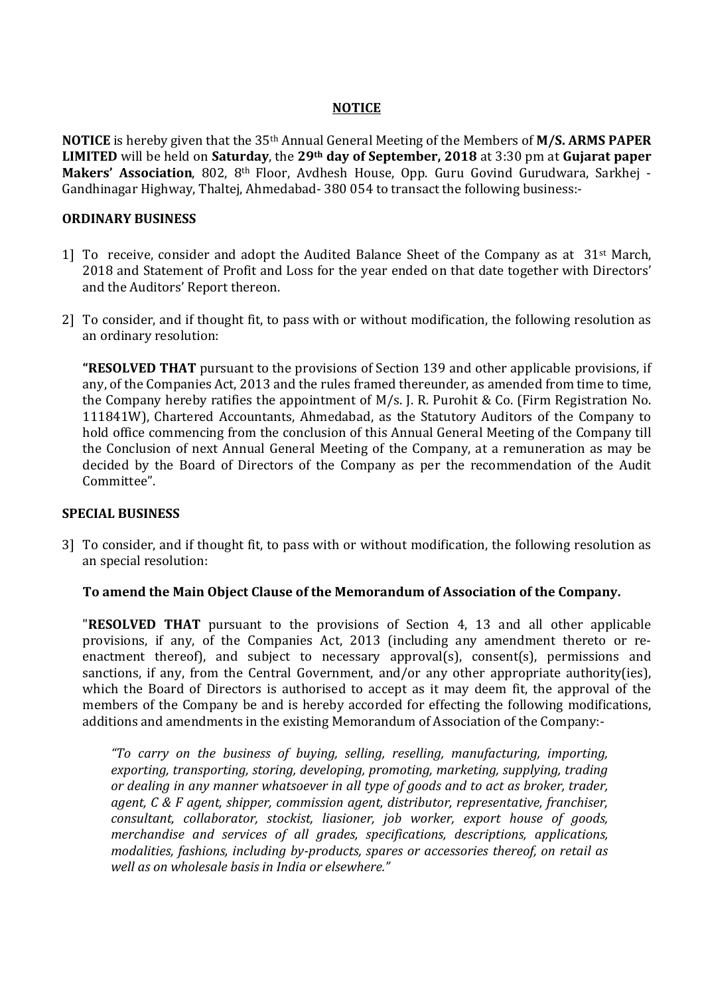## **NOTICE**

**NOTICE** is hereby given that the 35th Annual General Meeting of the Members of **M/S. ARMS PAPER LIMITED** will be held on **Saturday**, the **29th day of September, 2018** at 3:30 pm at **Gujarat paper**  Makers' Association, 802, 8<sup>th</sup> Floor, Avdhesh House, Opp. Guru Govind Gurudwara, Sarkhej -Gandhinagar Highway, Thaltej, Ahmedabad- 380 054 to transact the following business:-

## **ORDINARY BUSINESS**

- 1] To receive, consider and adopt the Audited Balance Sheet of the Company as at  $31^{st}$  March, 2018 and Statement of Profit and Loss for the year ended on that date together with Directors' and the Auditors' Report thereon.
- 2] To consider, and if thought fit, to pass with or without modification, the following resolution as an ordinary resolution:

**"RESOLVED THAT** pursuant to the provisions of Section 139 and other applicable provisions, if any, of the Companies Act, 2013 and the rules framed thereunder, as amended from time to time, the Company hereby ratifies the appointment of M/s. J. R. Purohit & Co. (Firm Registration No. 111841W), Chartered Accountants, Ahmedabad, as the Statutory Auditors of the Company to hold office commencing from the conclusion of this Annual General Meeting of the Company till the Conclusion of next Annual General Meeting of the Company, at a remuneration as may be decided by the Board of Directors of the Company as per the recommendation of the Audit Committee".

## **SPECIAL BUSINESS**

3] To consider, and if thought fit, to pass with or without modification, the following resolution as an special resolution:

## **To amend the Main Object Clause of the Memorandum of Association of the Company.**

"**RESOLVED THAT** pursuant to the provisions of Section 4, 13 and all other applicable provisions, if any, of the Companies Act, 2013 (including any amendment thereto or reenactment thereof), and subject to necessary approval(s), consent(s), permissions and sanctions, if any, from the Central Government, and/or any other appropriate authority(ies), which the Board of Directors is authorised to accept as it may deem fit, the approval of the members of the Company be and is hereby accorded for effecting the following modifications, additions and amendments in the existing Memorandum of Association of the Company:-

*"To carry on the business of buying, selling, reselling, manufacturing, importing, exporting, transporting, storing, developing, promoting, marketing, supplying, trading or dealing in any manner whatsoever in all type of goods and to act as broker, trader, agent, C & F agent, shipper, commission agent, distributor, representative, franchiser, consultant, collaborator, stockist, liasioner, job worker, export house of goods, merchandise and services of all grades, specifications, descriptions, applications, modalities, fashions, including by-products, spares or accessories thereof, on retail as well as on wholesale basis in India or elsewhere."*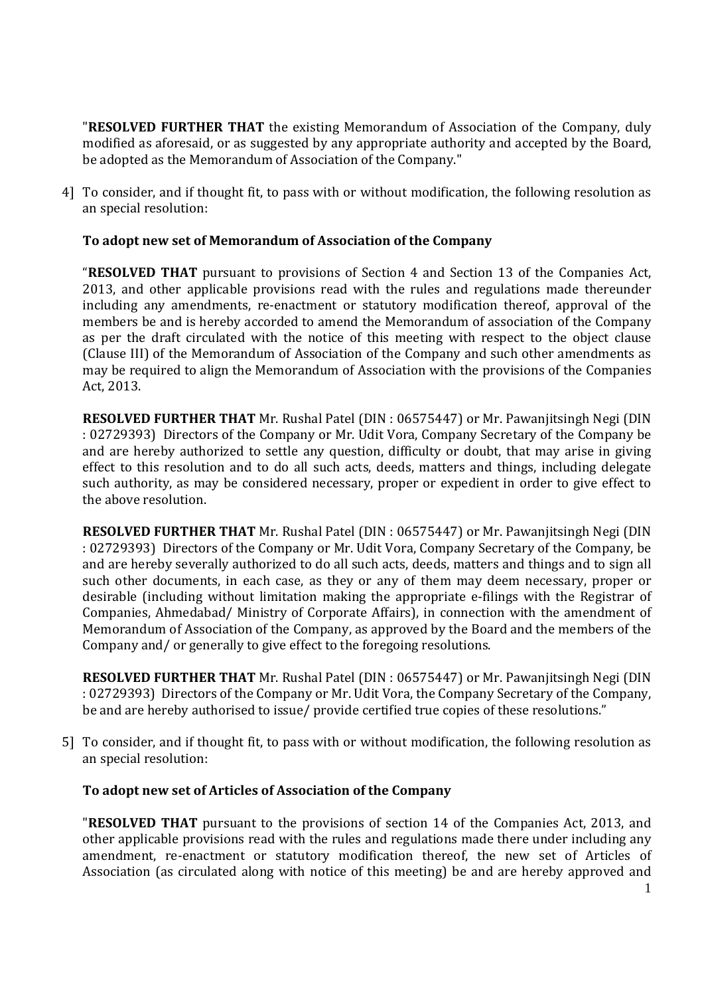"**RESOLVED FURTHER THAT** the existing Memorandum of Association of the Company, duly modified as aforesaid, or as suggested by any appropriate authority and accepted by the Board, be adopted as the Memorandum of Association of the Company."

4] To consider, and if thought fit, to pass with or without modification, the following resolution as an special resolution:

## **To adopt new set of Memorandum of Association of the Company**

"**RESOLVED THAT** pursuant to provisions of Section 4 and Section 13 of the Companies Act, 2013, and other applicable provisions read with the rules and regulations made thereunder including any amendments, re-enactment or statutory modification thereof, approval of the members be and is hereby accorded to amend the Memorandum of association of the Company as per the draft circulated with the notice of this meeting with respect to the object clause (Clause III) of the Memorandum of Association of the Company and such other amendments as may be required to align the Memorandum of Association with the provisions of the Companies Act, 2013.

**RESOLVED FURTHER THAT** Mr. Rushal Patel (DIN : 06575447) or Mr. Pawanjitsingh Negi (DIN : 02729393) Directors of the Company or Mr. Udit Vora, Company Secretary of the Company be and are hereby authorized to settle any question, difficulty or doubt, that may arise in giving effect to this resolution and to do all such acts, deeds, matters and things, including delegate such authority, as may be considered necessary, proper or expedient in order to give effect to the above resolution.

**RESOLVED FURTHER THAT** Mr. Rushal Patel (DIN : 06575447) or Mr. Pawanjitsingh Negi (DIN : 02729393) Directors of the Company or Mr. Udit Vora, Company Secretary of the Company, be and are hereby severally authorized to do all such acts, deeds, matters and things and to sign all such other documents, in each case, as they or any of them may deem necessary, proper or desirable (including without limitation making the appropriate e-filings with the Registrar of Companies, Ahmedabad/ Ministry of Corporate Affairs), in connection with the amendment of Memorandum of Association of the Company, as approved by the Board and the members of the Company and/ or generally to give effect to the foregoing resolutions.

**RESOLVED FURTHER THAT** Mr. Rushal Patel (DIN : 06575447) or Mr. Pawanjitsingh Negi (DIN : 02729393) Directors of the Company or Mr. Udit Vora, the Company Secretary of the Company, be and are hereby authorised to issue/ provide certified true copies of these resolutions."

5] To consider, and if thought fit, to pass with or without modification, the following resolution as an special resolution:

## **To adopt new set of Articles of Association of the Company**

"**RESOLVED THAT** pursuant to the provisions of section 14 of the Companies Act, 2013, and other applicable provisions read with the rules and regulations made there under including any amendment, re-enactment or statutory modification thereof, the new set of Articles of Association (as circulated along with notice of this meeting) be and are hereby approved and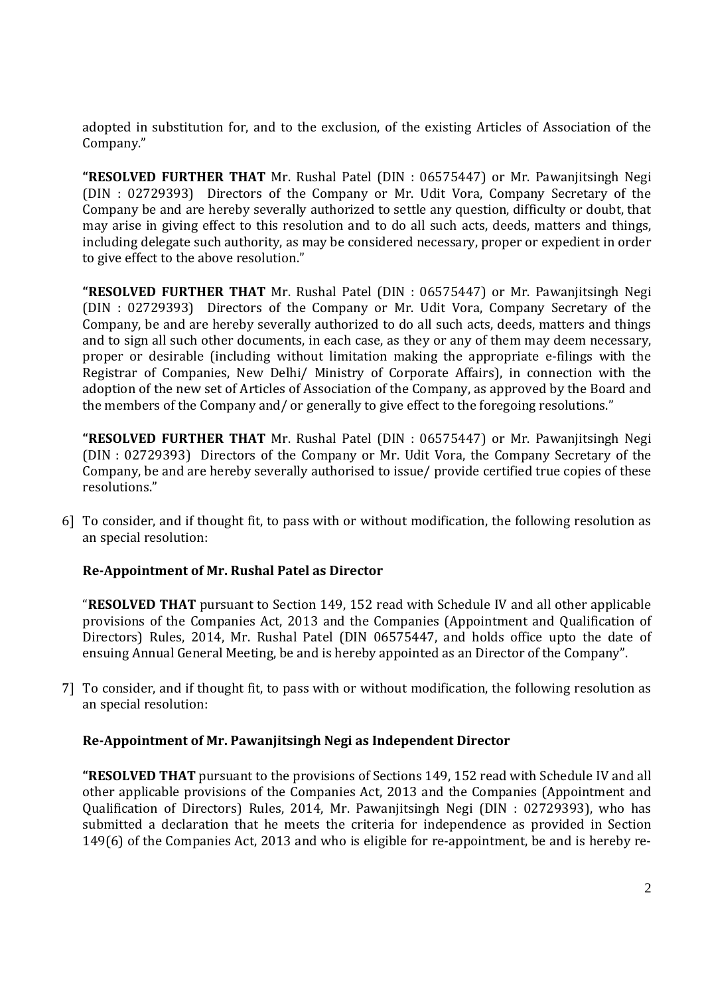adopted in substitution for, and to the exclusion, of the existing Articles of Association of the Company."

**"RESOLVED FURTHER THAT** Mr. Rushal Patel (DIN : 06575447) or Mr. Pawanjitsingh Negi (DIN : 02729393) Directors of the Company or Mr. Udit Vora, Company Secretary of the Company be and are hereby severally authorized to settle any question, difficulty or doubt, that may arise in giving effect to this resolution and to do all such acts, deeds, matters and things, including delegate such authority, as may be considered necessary, proper or expedient in order to give effect to the above resolution."

**"RESOLVED FURTHER THAT** Mr. Rushal Patel (DIN : 06575447) or Mr. Pawanjitsingh Negi (DIN : 02729393) Directors of the Company or Mr. Udit Vora, Company Secretary of the Company, be and are hereby severally authorized to do all such acts, deeds, matters and things and to sign all such other documents, in each case, as they or any of them may deem necessary, proper or desirable (including without limitation making the appropriate e-filings with the Registrar of Companies, New Delhi/ Ministry of Corporate Affairs), in connection with the adoption of the new set of Articles of Association of the Company, as approved by the Board and the members of the Company and/ or generally to give effect to the foregoing resolutions."

**"RESOLVED FURTHER THAT** Mr. Rushal Patel (DIN : 06575447) or Mr. Pawanjitsingh Negi (DIN : 02729393) Directors of the Company or Mr. Udit Vora, the Company Secretary of the Company, be and are hereby severally authorised to issue/ provide certified true copies of these resolutions."

6] To consider, and if thought fit, to pass with or without modification, the following resolution as an special resolution:

## **Re-Appointment of Mr. Rushal Patel as Director**

"**RESOLVED THAT** pursuant to Section 149, 152 read with Schedule IV and all other applicable provisions of the Companies Act, 2013 and the Companies (Appointment and Qualification of Directors) Rules, 2014, Mr. Rushal Patel (DIN 06575447, and holds office upto the date of ensuing Annual General Meeting, be and is hereby appointed as an Director of the Company".

7] To consider, and if thought fit, to pass with or without modification, the following resolution as an special resolution:

## **Re-Appointment of Mr. Pawanjitsingh Negi as Independent Director**

**"RESOLVED THAT** pursuant to the provisions of Sections 149, 152 read with Schedule IV and all other applicable provisions of the Companies Act, 2013 and the Companies (Appointment and Qualification of Directors) Rules, 2014, Mr. Pawanjitsingh Negi (DIN : 02729393), who has submitted a declaration that he meets the criteria for independence as provided in Section 149(6) of the Companies Act, 2013 and who is eligible for re-appointment, be and is hereby re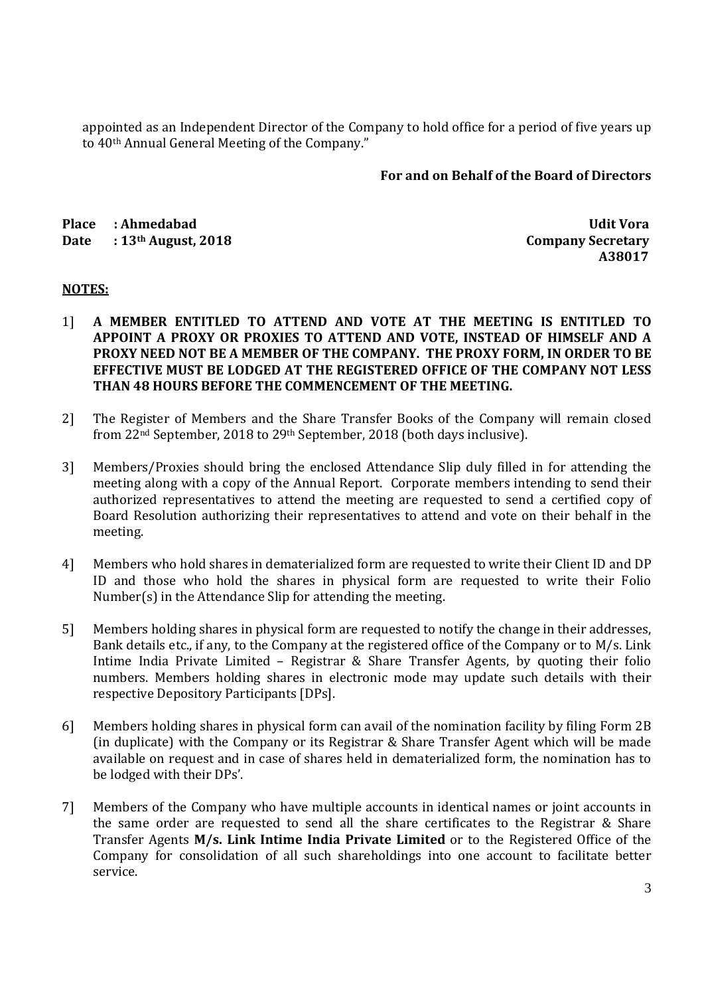appointed as an Independent Director of the Company to hold office for a period of five years up to 40th Annual General Meeting of the Company."

## **For and on Behalf of the Board of Directors**

**Place : Ahmedabad Udit Vora**  Date : 13<sup>th</sup> August, 2018

 **A38017** 

## **NOTES:**

- 1] **A MEMBER ENTITLED TO ATTEND AND VOTE AT THE MEETING IS ENTITLED TO APPOINT A PROXY OR PROXIES TO ATTEND AND VOTE, INSTEAD OF HIMSELF AND A PROXY NEED NOT BE A MEMBER OF THE COMPANY. THE PROXY FORM, IN ORDER TO BE EFFECTIVE MUST BE LODGED AT THE REGISTERED OFFICE OF THE COMPANY NOT LESS THAN 48 HOURS BEFORE THE COMMENCEMENT OF THE MEETING.**
- 2] The Register of Members and the Share Transfer Books of the Company will remain closed from 22nd September, 2018 to 29th September, 2018 (both days inclusive).
- 3] Members/Proxies should bring the enclosed Attendance Slip duly filled in for attending the meeting along with a copy of the Annual Report. Corporate members intending to send their authorized representatives to attend the meeting are requested to send a certified copy of Board Resolution authorizing their representatives to attend and vote on their behalf in the meeting.
- 4] Members who hold shares in dematerialized form are requested to write their Client ID and DP ID and those who hold the shares in physical form are requested to write their Folio Number(s) in the Attendance Slip for attending the meeting.
- 5] Members holding shares in physical form are requested to notify the change in their addresses, Bank details etc., if any, to the Company at the registered office of the Company or to M/s. Link Intime India Private Limited – Registrar & Share Transfer Agents, by quoting their folio numbers. Members holding shares in electronic mode may update such details with their respective Depository Participants [DPs].
- 6] Members holding shares in physical form can avail of the nomination facility by filing Form 2B (in duplicate) with the Company or its Registrar & Share Transfer Agent which will be made available on request and in case of shares held in dematerialized form, the nomination has to be lodged with their DPs'.
- 7] Members of the Company who have multiple accounts in identical names or joint accounts in the same order are requested to send all the share certificates to the Registrar & Share Transfer Agents **M/s. Link Intime India Private Limited** or to the Registered Office of the Company for consolidation of all such shareholdings into one account to facilitate better service.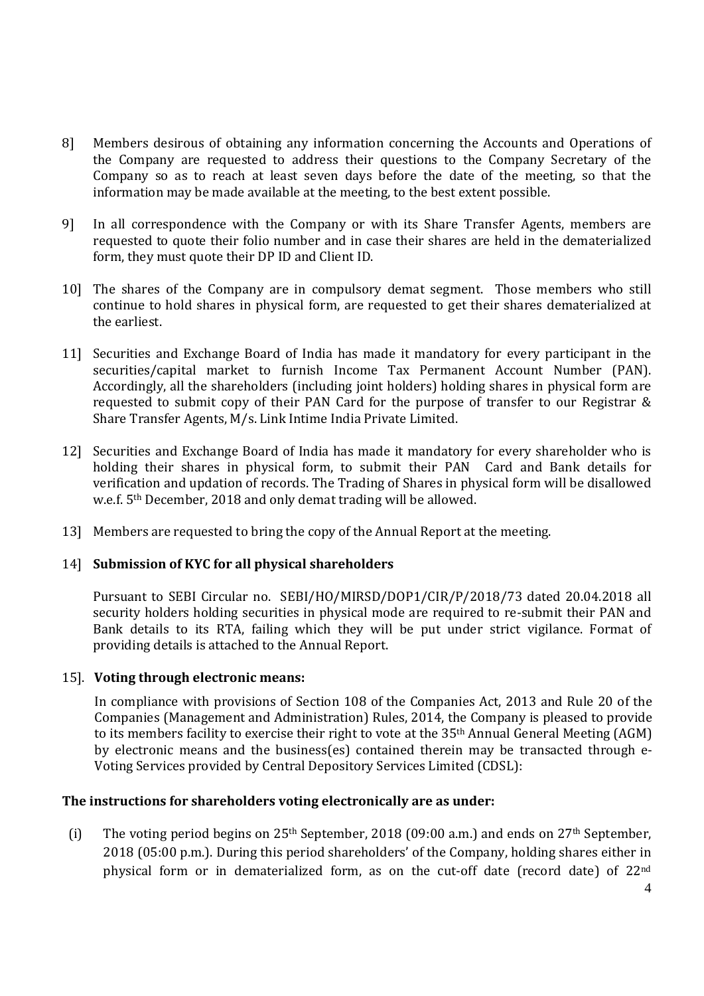- 8] Members desirous of obtaining any information concerning the Accounts and Operations of the Company are requested to address their questions to the Company Secretary of the Company so as to reach at least seven days before the date of the meeting, so that the information may be made available at the meeting, to the best extent possible.
- 9] In all correspondence with the Company or with its Share Transfer Agents, members are requested to quote their folio number and in case their shares are held in the dematerialized form, they must quote their DP ID and Client ID.
- 10] The shares of the Company are in compulsory demat segment. Those members who still continue to hold shares in physical form, are requested to get their shares dematerialized at the earliest.
- 11] Securities and Exchange Board of India has made it mandatory for every participant in the securities/capital market to furnish Income Tax Permanent Account Number (PAN). Accordingly, all the shareholders (including joint holders) holding shares in physical form are requested to submit copy of their PAN Card for the purpose of transfer to our Registrar & Share Transfer Agents, M/s. Link Intime India Private Limited.
- 12] Securities and Exchange Board of India has made it mandatory for every shareholder who is holding their shares in physical form, to submit their PAN Card and Bank details for verification and updation of records. The Trading of Shares in physical form will be disallowed w.e.f. 5th December, 2018 and only demat trading will be allowed.
- 13] Members are requested to bring the copy of the Annual Report at the meeting.

## 14] **Submission of KYC for all physical shareholders**

 Pursuant to SEBI Circular no. SEBI/HO/MIRSD/DOP1/CIR/P/2018/73 dated 20.04.2018 all security holders holding securities in physical mode are required to re-submit their PAN and Bank details to its RTA, failing which they will be put under strict vigilance. Format of providing details is attached to the Annual Report.

## 15]. **Voting through electronic means:**

In compliance with provisions of Section 108 of the Companies Act, 2013 and Rule 20 of the Companies (Management and Administration) Rules, 2014, the Company is pleased to provide to its members facility to exercise their right to vote at the 35th Annual General Meeting (AGM) by electronic means and the business(es) contained therein may be transacted through e-Voting Services provided by Central Depository Services Limited (CDSL):

## **The instructions for shareholders voting electronically are as under:**

(i) The voting period begins on  $25<sup>th</sup>$  September, 2018 (09:00 a.m.) and ends on  $27<sup>th</sup>$  September, 2018 (05:00 p.m.). During this period shareholders' of the Company, holding shares either in physical form or in dematerialized form, as on the cut-off date (record date) of 22nd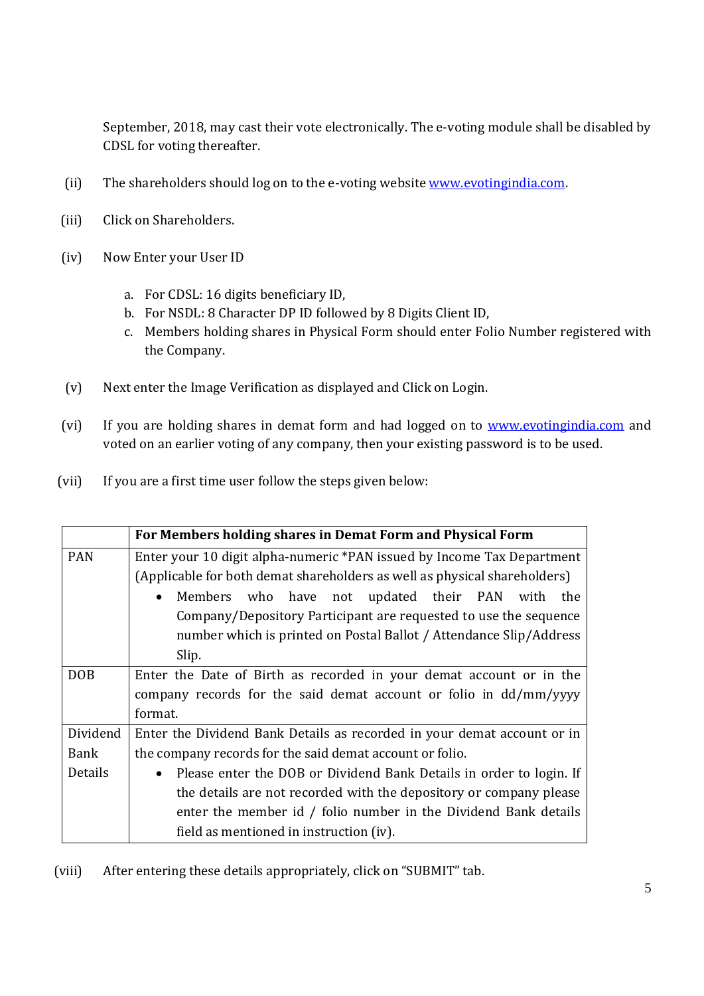September, 2018, may cast their vote electronically. The e-voting module shall be disabled by CDSL for voting thereafter.

- (ii) The shareholders should log on to the e-voting website www.evotingindia.com.
- (iii) Click on Shareholders.
- (iv) Now Enter your User ID
	- a. For CDSL: 16 digits beneficiary ID,
	- b. For NSDL: 8 Character DP ID followed by 8 Digits Client ID,
	- c. Members holding shares in Physical Form should enter Folio Number registered with the Company.
- (v) Next enter the Image Verification as displayed and Click on Login.
- (vi) If you are holding shares in demat form and had logged on to www.evotingindia.com and voted on an earlier voting of any company, then your existing password is to be used.
- (vii) If you are a first time user follow the steps given below:

|            | For Members holding shares in Demat Form and Physical Form                       |  |  |  |  |  |  |
|------------|----------------------------------------------------------------------------------|--|--|--|--|--|--|
| <b>PAN</b> | Enter your 10 digit alpha-numeric *PAN issued by Income Tax Department           |  |  |  |  |  |  |
|            | (Applicable for both demat shareholders as well as physical shareholders)        |  |  |  |  |  |  |
|            | who have not updated their PAN<br>Members<br>with<br>the                         |  |  |  |  |  |  |
|            | Company/Depository Participant are requested to use the sequence                 |  |  |  |  |  |  |
|            | number which is printed on Postal Ballot / Attendance Slip/Address               |  |  |  |  |  |  |
|            | Slip.                                                                            |  |  |  |  |  |  |
| <b>DOB</b> | Enter the Date of Birth as recorded in your demat account or in the              |  |  |  |  |  |  |
|            | company records for the said demat account or folio in dd/mm/yyyy                |  |  |  |  |  |  |
|            | format.                                                                          |  |  |  |  |  |  |
| Dividend   | Enter the Dividend Bank Details as recorded in your demat account or in          |  |  |  |  |  |  |
| Bank       | the company records for the said demat account or folio.                         |  |  |  |  |  |  |
| Details    | Please enter the DOB or Dividend Bank Details in order to login. If<br>$\bullet$ |  |  |  |  |  |  |
|            | the details are not recorded with the depository or company please               |  |  |  |  |  |  |
|            | enter the member id / folio number in the Dividend Bank details                  |  |  |  |  |  |  |
|            | field as mentioned in instruction (iv).                                          |  |  |  |  |  |  |

(viii) After entering these details appropriately, click on "SUBMIT" tab.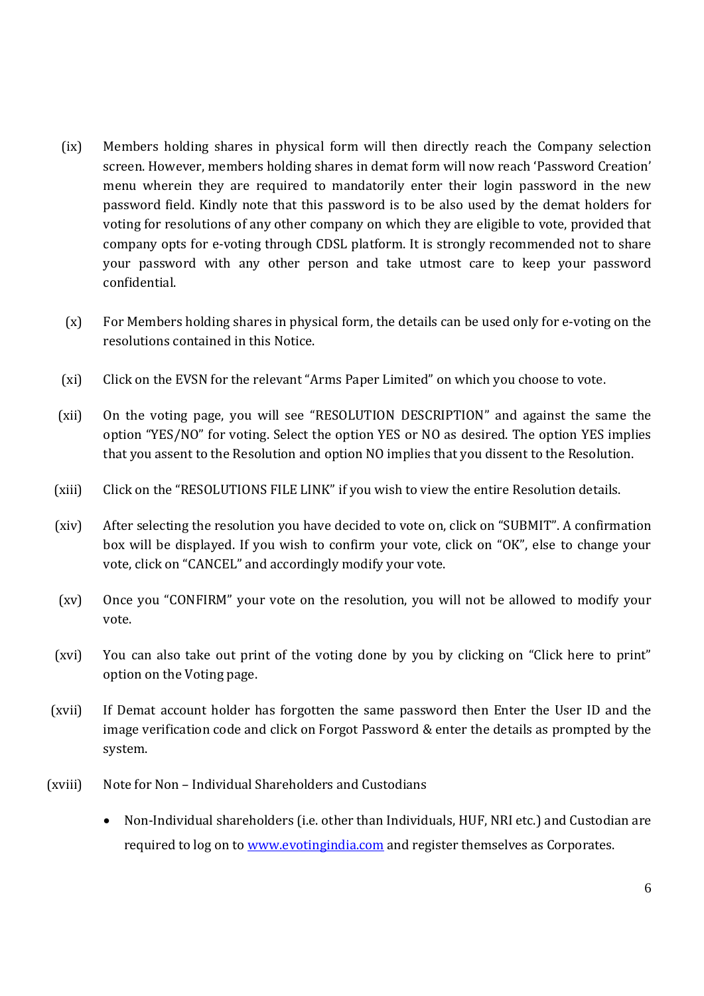- (ix) Members holding shares in physical form will then directly reach the Company selection screen. However, members holding shares in demat form will now reach 'Password Creation' menu wherein they are required to mandatorily enter their login password in the new password field. Kindly note that this password is to be also used by the demat holders for voting for resolutions of any other company on which they are eligible to vote, provided that company opts for e-voting through CDSL platform. It is strongly recommended not to share your password with any other person and take utmost care to keep your password confidential.
- (x) For Members holding shares in physical form, the details can be used only for e-voting on the resolutions contained in this Notice.
- (xi) Click on the EVSN for the relevant "Arms Paper Limited" on which you choose to vote.
- (xii) On the voting page, you will see "RESOLUTION DESCRIPTION" and against the same the option "YES/NO" for voting. Select the option YES or NO as desired. The option YES implies that you assent to the Resolution and option NO implies that you dissent to the Resolution.
- (xiii) Click on the "RESOLUTIONS FILE LINK" if you wish to view the entire Resolution details.
- (xiv) After selecting the resolution you have decided to vote on, click on "SUBMIT". A confirmation box will be displayed. If you wish to confirm your vote, click on "OK", else to change your vote, click on "CANCEL" and accordingly modify your vote.
- (xv) Once you "CONFIRM" your vote on the resolution, you will not be allowed to modify your vote.
- (xvi) You can also take out print of the voting done by you by clicking on "Click here to print" option on the Voting page.
- (xvii) If Demat account holder has forgotten the same password then Enter the User ID and the image verification code and click on Forgot Password & enter the details as prompted by the system.
- (xviii) Note for Non Individual Shareholders and Custodians
	- Non-Individual shareholders (i.e. other than Individuals, HUF, NRI etc.) and Custodian are required to log on to www.evotingindia.com and register themselves as Corporates.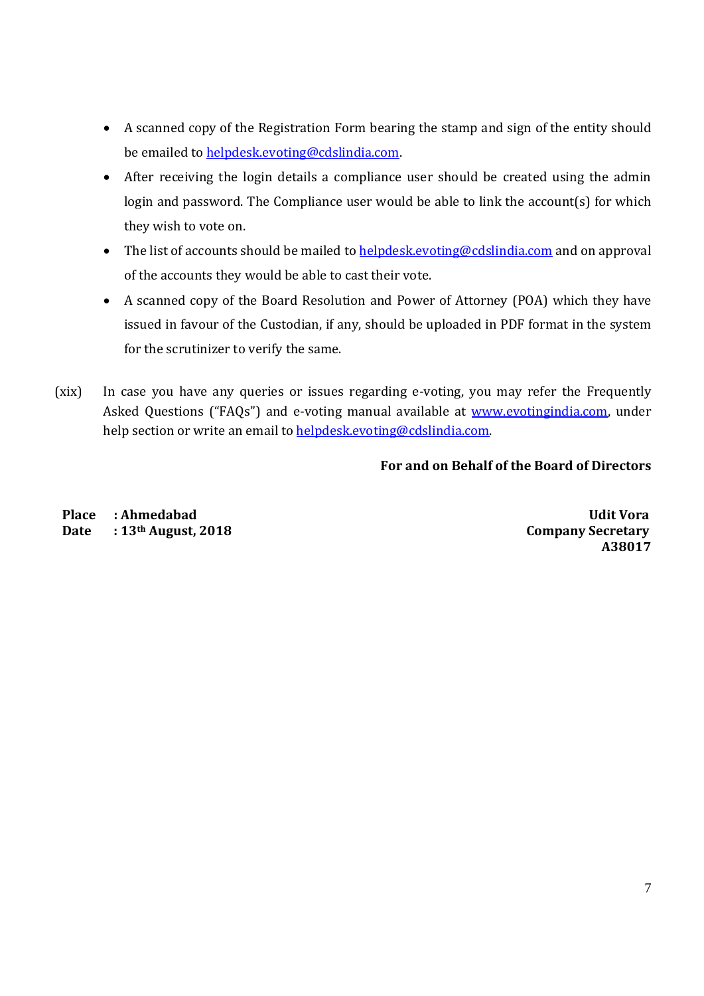- A scanned copy of the Registration Form bearing the stamp and sign of the entity should be emailed to helpdesk.evoting@cdslindia.com.
- After receiving the login details a compliance user should be created using the admin login and password. The Compliance user would be able to link the account(s) for which they wish to vote on.
- The list of accounts should be mailed to helpdesk.evoting@cdslindia.com and on approval of the accounts they would be able to cast their vote.
- A scanned copy of the Board Resolution and Power of Attorney (POA) which they have issued in favour of the Custodian, if any, should be uploaded in PDF format in the system for the scrutinizer to verify the same.
- (xix) In case you have any queries or issues regarding e-voting, you may refer the Frequently Asked Questions ("FAQs") and e-voting manual available at www.evotingindia.com, under help section or write an email to helpdesk.evoting@cdslindia.com.

## **For and on Behalf of the Board of Directors**

**Place : Ahmedabad Udit Vora**  Date : 13<sup>th</sup> August, 2018 Company Secretary

**A38017**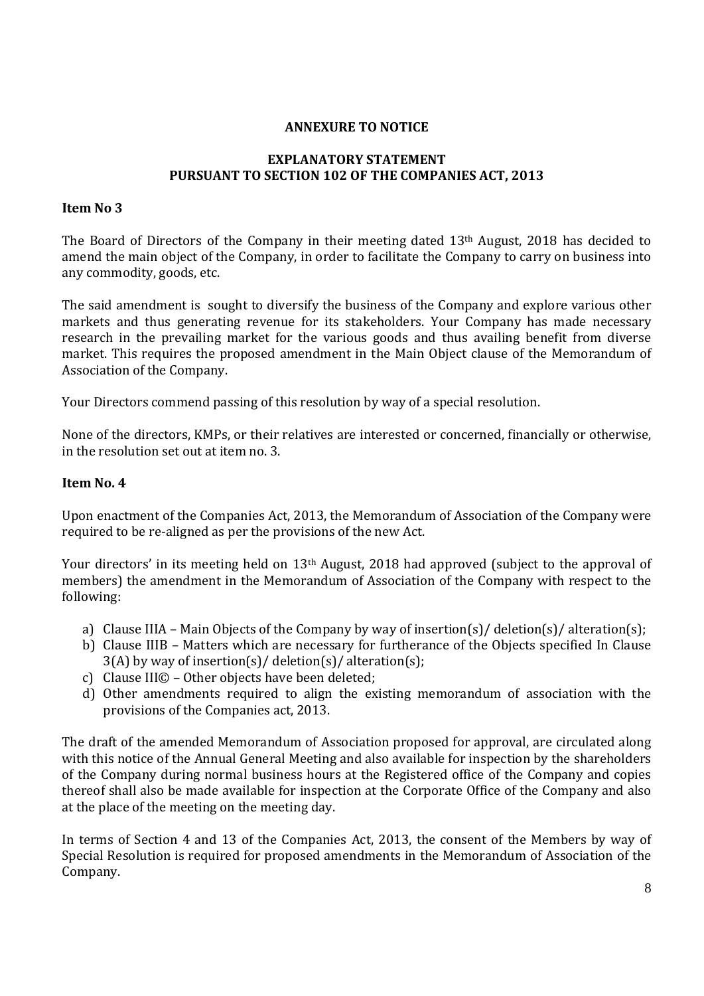## **ANNEXURE TO NOTICE**

## **EXPLANATORY STATEMENT PURSUANT TO SECTION 102 OF THE COMPANIES ACT, 2013**

## **Item No 3**

The Board of Directors of the Company in their meeting dated 13th August, 2018 has decided to amend the main object of the Company, in order to facilitate the Company to carry on business into any commodity, goods, etc.

The said amendment is sought to diversify the business of the Company and explore various other markets and thus generating revenue for its stakeholders. Your Company has made necessary research in the prevailing market for the various goods and thus availing benefit from diverse market. This requires the proposed amendment in the Main Object clause of the Memorandum of Association of the Company.

Your Directors commend passing of this resolution by way of a special resolution.

None of the directors, KMPs, or their relatives are interested or concerned, financially or otherwise, in the resolution set out at item no. 3.

## **Item No. 4**

Upon enactment of the Companies Act, 2013, the Memorandum of Association of the Company were required to be re-aligned as per the provisions of the new Act.

Your directors' in its meeting held on 13th August, 2018 had approved (subject to the approval of members) the amendment in the Memorandum of Association of the Company with respect to the following:

- a) Clause IIIA Main Objects of the Company by way of insertion(s)/ deletion(s)/ alteration(s);
- b) Clause IIIB Matters which are necessary for furtherance of the Objects specified In Clause 3(A) by way of insertion(s)/ deletion(s)/ alteration(s);
- c) Clause III© Other objects have been deleted;
- d) Other amendments required to align the existing memorandum of association with the provisions of the Companies act, 2013.

The draft of the amended Memorandum of Association proposed for approval, are circulated along with this notice of the Annual General Meeting and also available for inspection by the shareholders of the Company during normal business hours at the Registered office of the Company and copies thereof shall also be made available for inspection at the Corporate Office of the Company and also at the place of the meeting on the meeting day.

In terms of Section 4 and 13 of the Companies Act, 2013, the consent of the Members by way of Special Resolution is required for proposed amendments in the Memorandum of Association of the Company.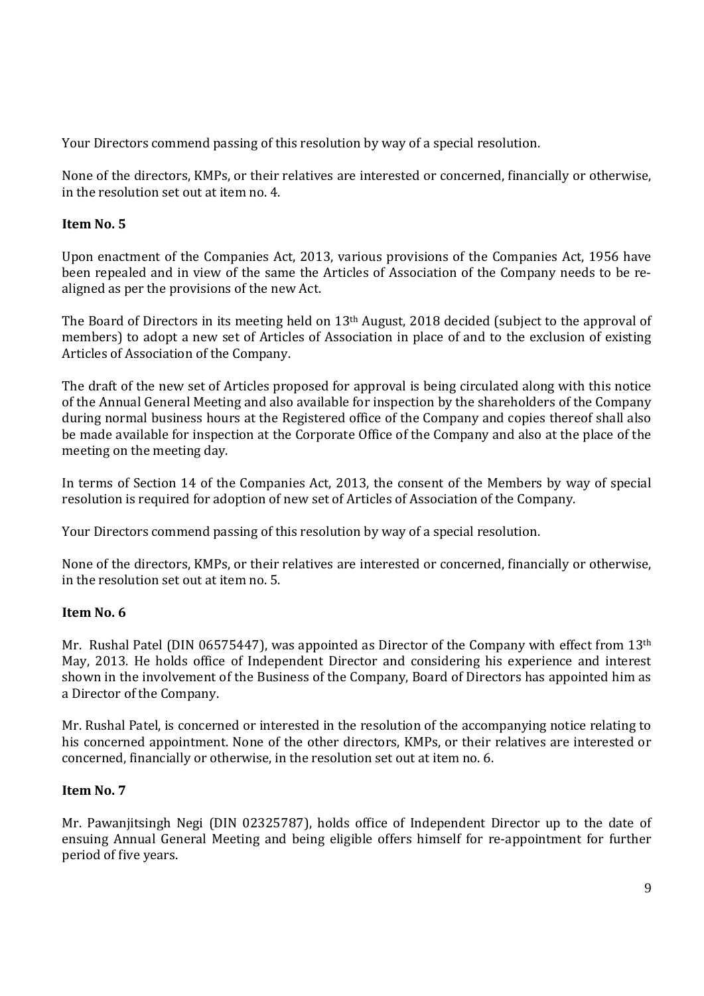Your Directors commend passing of this resolution by way of a special resolution.

None of the directors, KMPs, or their relatives are interested or concerned, financially or otherwise, in the resolution set out at item no. 4.

## **Item No. 5**

Upon enactment of the Companies Act, 2013, various provisions of the Companies Act, 1956 have been repealed and in view of the same the Articles of Association of the Company needs to be realigned as per the provisions of the new Act.

The Board of Directors in its meeting held on 13th August, 2018 decided (subject to the approval of members) to adopt a new set of Articles of Association in place of and to the exclusion of existing Articles of Association of the Company.

The draft of the new set of Articles proposed for approval is being circulated along with this notice of the Annual General Meeting and also available for inspection by the shareholders of the Company during normal business hours at the Registered office of the Company and copies thereof shall also be made available for inspection at the Corporate Office of the Company and also at the place of the meeting on the meeting day.

In terms of Section 14 of the Companies Act, 2013, the consent of the Members by way of special resolution is required for adoption of new set of Articles of Association of the Company.

Your Directors commend passing of this resolution by way of a special resolution.

None of the directors, KMPs, or their relatives are interested or concerned, financially or otherwise, in the resolution set out at item no. 5.

## **Item No. 6**

Mr. Rushal Patel (DIN 06575447), was appointed as Director of the Company with effect from 13<sup>th</sup> May, 2013. He holds office of Independent Director and considering his experience and interest shown in the involvement of the Business of the Company, Board of Directors has appointed him as a Director of the Company.

Mr. Rushal Patel, is concerned or interested in the resolution of the accompanying notice relating to his concerned appointment. None of the other directors, KMPs, or their relatives are interested or concerned, financially or otherwise, in the resolution set out at item no. 6.

## **Item No. 7**

Mr. Pawanjitsingh Negi (DIN 02325787), holds office of Independent Director up to the date of ensuing Annual General Meeting and being eligible offers himself for re-appointment for further period of five years.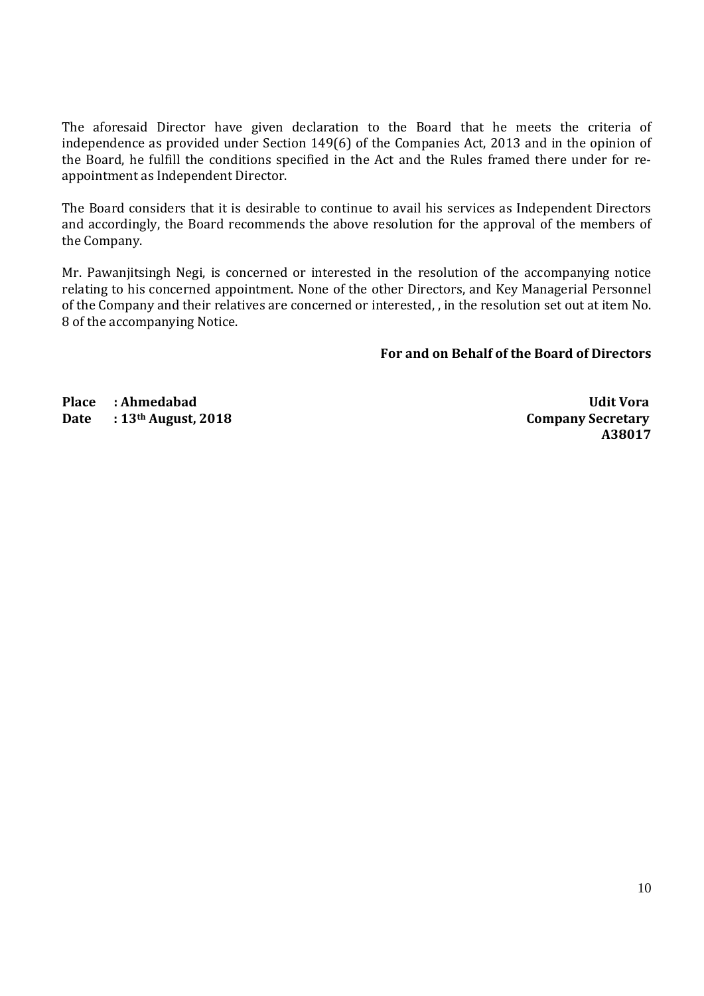The aforesaid Director have given declaration to the Board that he meets the criteria of independence as provided under Section 149(6) of the Companies Act, 2013 and in the opinion of the Board, he fulfill the conditions specified in the Act and the Rules framed there under for reappointment as Independent Director.

The Board considers that it is desirable to continue to avail his services as Independent Directors and accordingly, the Board recommends the above resolution for the approval of the members of the Company.

Mr. Pawanjitsingh Negi, is concerned or interested in the resolution of the accompanying notice relating to his concerned appointment. None of the other Directors, and Key Managerial Personnel of the Company and their relatives are concerned or interested, , in the resolution set out at item No. 8 of the accompanying Notice.

**For and on Behalf of the Board of Directors**

**Place : Ahmedabad Udit Vora**  Date : 13<sup>th</sup> August, 2018 Company Secretary

**A38017**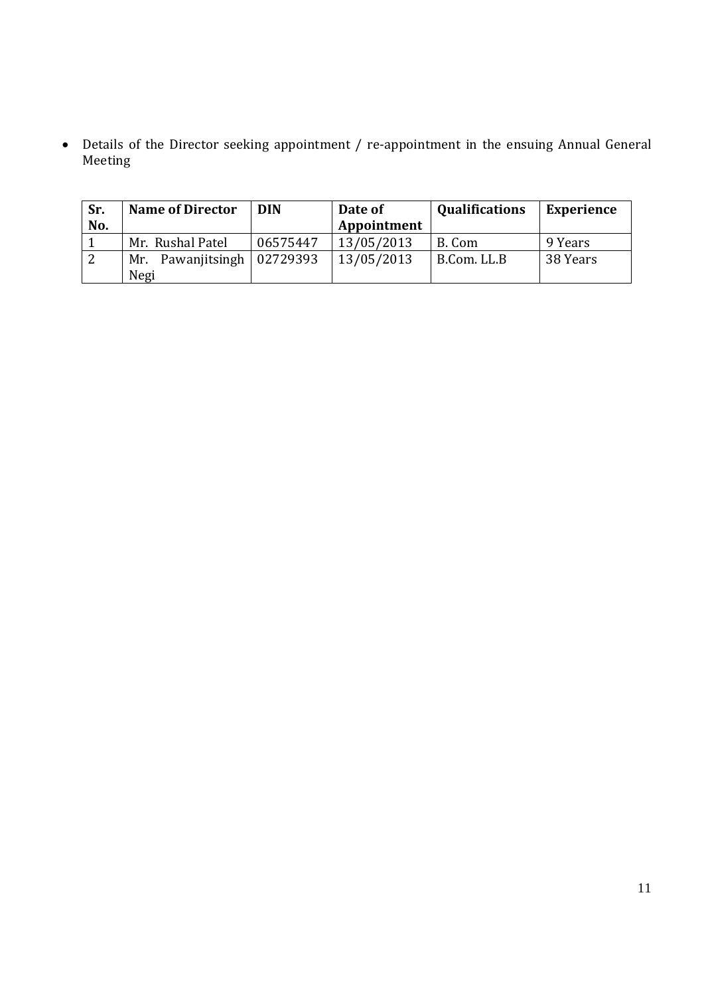Details of the Director seeking appointment / re-appointment in the ensuing Annual General Meeting

| Sr. | <b>Name of Director</b>            | <b>DIN</b> | Date of     | <b>Qualifications</b> | <b>Experience</b> |
|-----|------------------------------------|------------|-------------|-----------------------|-------------------|
| No. |                                    |            | Appointment |                       |                   |
|     | Mr. Rushal Patel                   | 06575447   | 13/05/2013  | B. Com                | 9 Years           |
| 2   | Mr. Pawanjitsingh $\vert$ 02729393 |            | 13/05/2013  | B.Com. LL.B           | 38 Years          |
|     | Negi                               |            |             |                       |                   |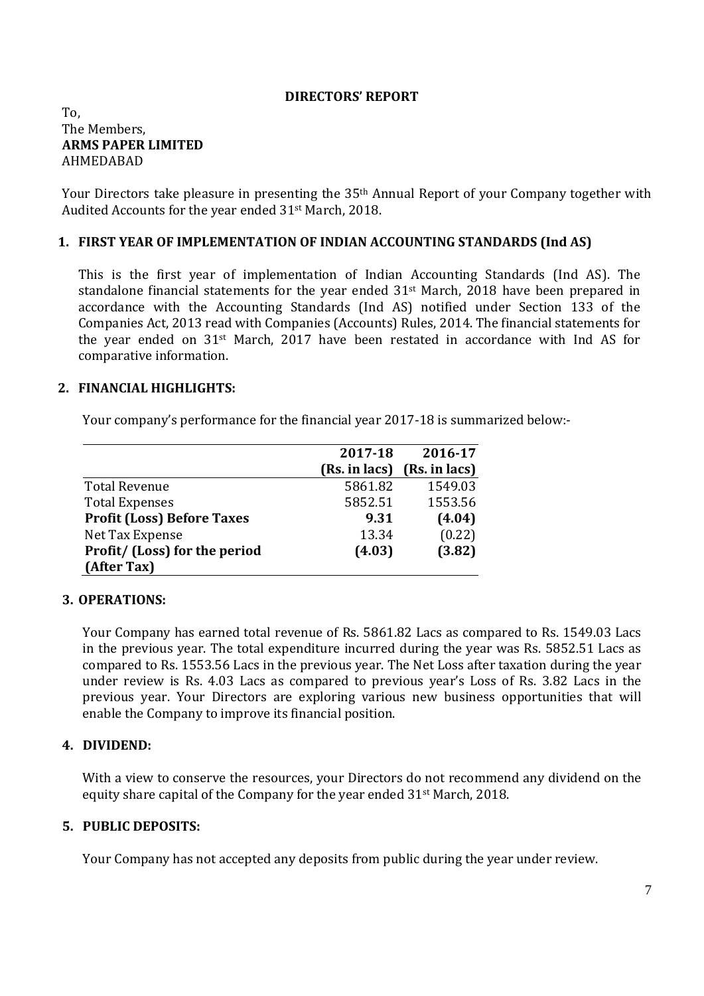## **DIRECTORS' REPORT**

## To, The Members, **ARMS PAPER LIMITED**  AHMEDABAD

Your Directors take pleasure in presenting the 35<sup>th</sup> Annual Report of your Company together with Audited Accounts for the year ended 31st March, 2018.

## **1. FIRST YEAR OF IMPLEMENTATION OF INDIAN ACCOUNTING STANDARDS (Ind AS)**

This is the first year of implementation of Indian Accounting Standards (Ind AS). The standalone financial statements for the year ended 31st March, 2018 have been prepared in accordance with the Accounting Standards (Ind AS) notified under Section 133 of the Companies Act, 2013 read with Companies (Accounts) Rules, 2014. The financial statements for the year ended on 31st March, 2017 have been restated in accordance with Ind AS for comparative information.

## **2. FINANCIAL HIGHLIGHTS:**

Your company's performance for the financial year 2017-18 is summarized below:-

|                                   | 2017-18       | 2016-17       |
|-----------------------------------|---------------|---------------|
|                                   | (Rs. in lacs) | (Rs. in lacs) |
| <b>Total Revenue</b>              | 5861.82       | 1549.03       |
| <b>Total Expenses</b>             | 5852.51       | 1553.56       |
| <b>Profit (Loss) Before Taxes</b> | 9.31          | (4.04)        |
| Net Tax Expense                   | 13.34         | (0.22)        |
| Profit/ (Loss) for the period     | (4.03)        | (3.82)        |
| (After Tax)                       |               |               |

## **3. OPERATIONS:**

Your Company has earned total revenue of Rs. 5861.82 Lacs as compared to Rs. 1549.03 Lacs in the previous year. The total expenditure incurred during the year was Rs. 5852.51 Lacs as compared to Rs. 1553.56 Lacs in the previous year. The Net Loss after taxation during the year under review is Rs. 4.03 Lacs as compared to previous year's Loss of Rs. 3.82 Lacs in the previous year. Your Directors are exploring various new business opportunities that will enable the Company to improve its financial position.

## **4. DIVIDEND:**

With a view to conserve the resources, your Directors do not recommend any dividend on the equity share capital of the Company for the year ended 31st March, 2018.

## **5. PUBLIC DEPOSITS:**

Your Company has not accepted any deposits from public during the year under review.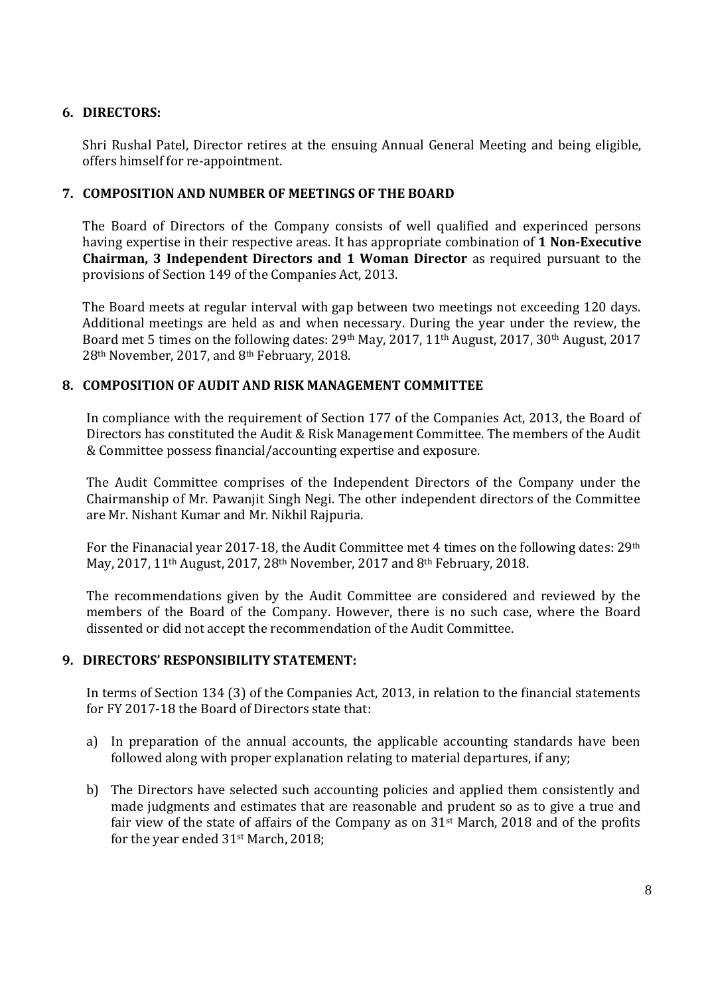## **6. DIRECTORS:**

Shri Rushal Patel, Director retires at the ensuing Annual General Meeting and being eligible, offers himself for re-appointment.

## **7. COMPOSITION AND NUMBER OF MEETINGS OF THE BOARD**

The Board of Directors of the Company consists of well qualified and experinced persons having expertise in their respective areas. It has appropriate combination of **1 Non-Executive Chairman, 3 Independent Directors and 1 Woman Director** as required pursuant to the provisions of Section 149 of the Companies Act, 2013.

The Board meets at regular interval with gap between two meetings not exceeding 120 days. Additional meetings are held as and when necessary. During the year under the review, the Board met 5 times on the following dates: 29th May, 2017, 11th August, 2017, 30th August, 2017 28th November, 2017, and 8th February, 2018.

## **8. COMPOSITION OF AUDIT AND RISK MANAGEMENT COMMITTEE**

In compliance with the requirement of Section 177 of the Companies Act, 2013, the Board of Directors has constituted the Audit & Risk Management Committee. The members of the Audit & Committee possess financial/accounting expertise and exposure.

The Audit Committee comprises of the Independent Directors of the Company under the Chairmanship of Mr. Pawanjit Singh Negi. The other independent directors of the Committee are Mr. Nishant Kumar and Mr. Nikhil Rajpuria.

For the Finanacial year 2017-18, the Audit Committee met 4 times on the following dates: 29<sup>th</sup> May, 2017, 11th August, 2017, 28th November, 2017 and 8th February, 2018.

The recommendations given by the Audit Committee are considered and reviewed by the members of the Board of the Company. However, there is no such case, where the Board dissented or did not accept the recommendation of the Audit Committee.

## **9. DIRECTORS' RESPONSIBILITY STATEMENT:**

In terms of Section 134 (3) of the Companies Act, 2013, in relation to the financial statements for FY 2017-18 the Board of Directors state that:

- a) In preparation of the annual accounts, the applicable accounting standards have been followed along with proper explanation relating to material departures, if any;
- b) The Directors have selected such accounting policies and applied them consistently and made judgments and estimates that are reasonable and prudent so as to give a true and fair view of the state of affairs of the Company as on 31st March, 2018 and of the profits for the year ended 31st March, 2018;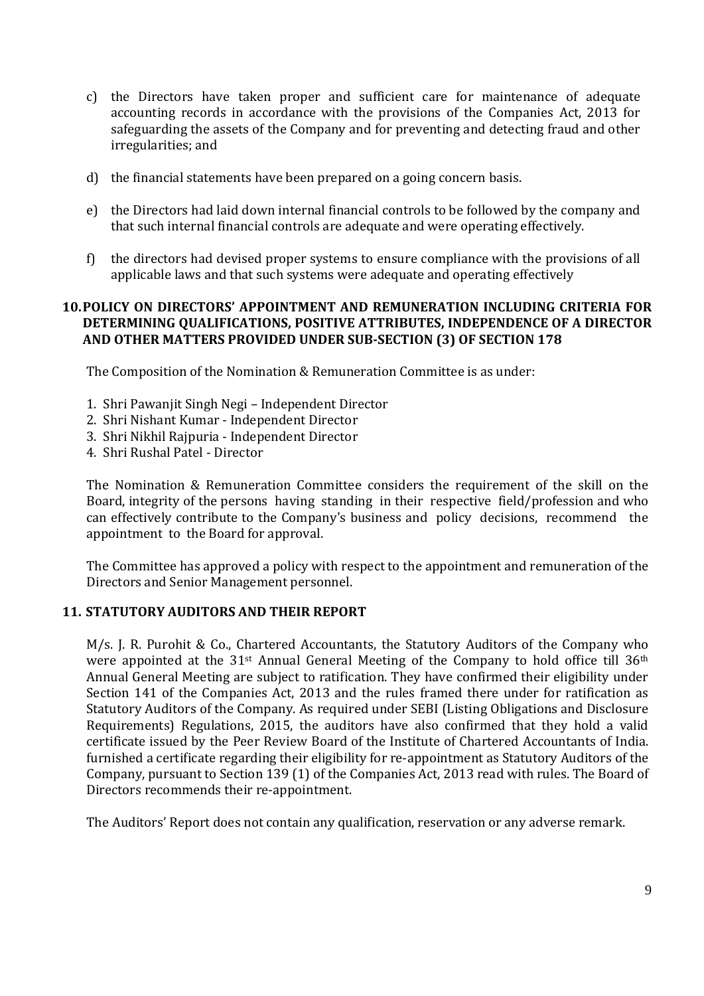- c) the Directors have taken proper and sufficient care for maintenance of adequate accounting records in accordance with the provisions of the Companies Act, 2013 for safeguarding the assets of the Company and for preventing and detecting fraud and other irregularities; and
- d) the financial statements have been prepared on a going concern basis.
- e) the Directors had laid down internal financial controls to be followed by the company and that such internal financial controls are adequate and were operating effectively.
- f) the directors had devised proper systems to ensure compliance with the provisions of all applicable laws and that such systems were adequate and operating effectively

## **10.POLICY ON DIRECTORS' APPOINTMENT AND REMUNERATION INCLUDING CRITERIA FOR DETERMINING QUALIFICATIONS, POSITIVE ATTRIBUTES, INDEPENDENCE OF A DIRECTOR AND OTHER MATTERS PROVIDED UNDER SUB-SECTION (3) OF SECTION 178**

The Composition of the Nomination & Remuneration Committee is as under:

- 1. Shri Pawanjit Singh Negi Independent Director
- 2. Shri Nishant Kumar Independent Director
- 3. Shri Nikhil Rajpuria Independent Director
- 4. Shri Rushal Patel Director

The Nomination & Remuneration Committee considers the requirement of the skill on the Board, integrity of the persons having standing in their respective field/profession and who can effectively contribute to the Company's business and policy decisions, recommend the appointment to the Board for approval.

The Committee has approved a policy with respect to the appointment and remuneration of the Directors and Senior Management personnel.

## **11. STATUTORY AUDITORS AND THEIR REPORT**

M/s. J. R. Purohit & Co., Chartered Accountants, the Statutory Auditors of the Company who were appointed at the 31<sup>st</sup> Annual General Meeting of the Company to hold office till 36<sup>th</sup> Annual General Meeting are subject to ratification. They have confirmed their eligibility under Section 141 of the Companies Act, 2013 and the rules framed there under for ratification as Statutory Auditors of the Company. As required under SEBI (Listing Obligations and Disclosure Requirements) Regulations, 2015, the auditors have also confirmed that they hold a valid certificate issued by the Peer Review Board of the Institute of Chartered Accountants of India. furnished a certificate regarding their eligibility for re-appointment as Statutory Auditors of the Company, pursuant to Section 139 (1) of the Companies Act, 2013 read with rules. The Board of Directors recommends their re-appointment.

The Auditors' Report does not contain any qualification, reservation or any adverse remark.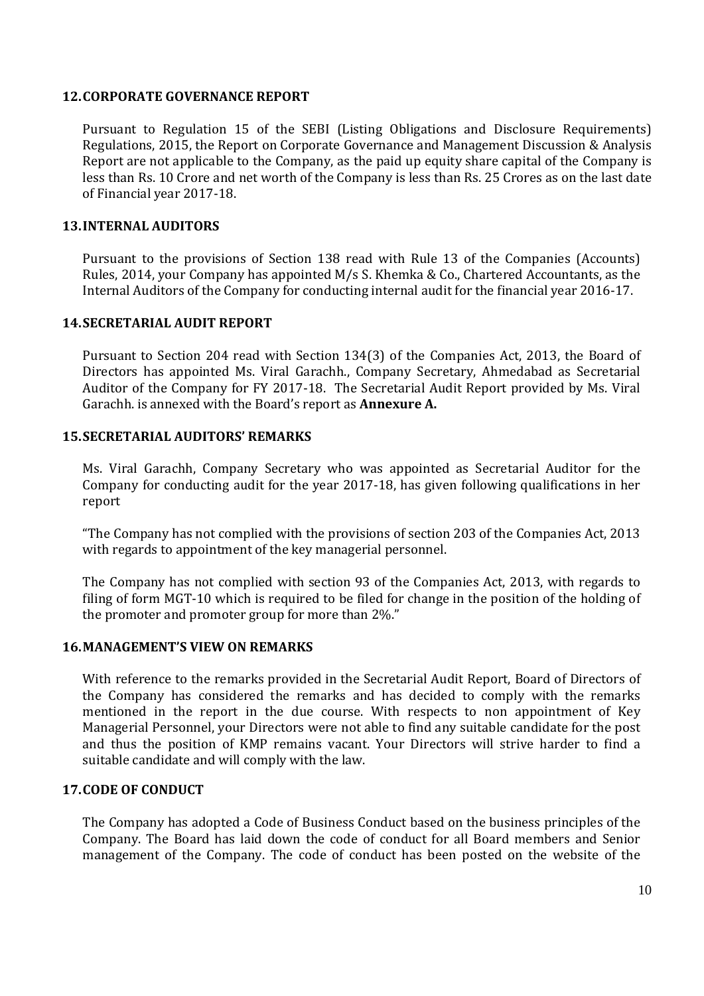## **12.CORPORATE GOVERNANCE REPORT**

Pursuant to Regulation 15 of the SEBI (Listing Obligations and Disclosure Requirements) Regulations, 2015, the Report on Corporate Governance and Management Discussion & Analysis Report are not applicable to the Company, as the paid up equity share capital of the Company is less than Rs. 10 Crore and net worth of the Company is less than Rs. 25 Crores as on the last date of Financial year 2017-18.

## **13.INTERNAL AUDITORS**

Pursuant to the provisions of Section 138 read with Rule 13 of the Companies (Accounts) Rules, 2014, your Company has appointed M/s S. Khemka & Co., Chartered Accountants, as the Internal Auditors of the Company for conducting internal audit for the financial year 2016-17.

## **14.SECRETARIAL AUDIT REPORT**

Pursuant to Section 204 read with Section 134(3) of the Companies Act, 2013, the Board of Directors has appointed Ms. Viral Garachh., Company Secretary, Ahmedabad as Secretarial Auditor of the Company for FY 2017-18. The Secretarial Audit Report provided by Ms. Viral Garachh. is annexed with the Board's report as **Annexure A.** 

## **15.SECRETARIAL AUDITORS' REMARKS**

Ms. Viral Garachh, Company Secretary who was appointed as Secretarial Auditor for the Company for conducting audit for the year 2017-18, has given following qualifications in her report

"The Company has not complied with the provisions of section 203 of the Companies Act, 2013 with regards to appointment of the key managerial personnel.

The Company has not complied with section 93 of the Companies Act, 2013, with regards to filing of form MGT-10 which is required to be filed for change in the position of the holding of the promoter and promoter group for more than 2%."

## **16.MANAGEMENT'S VIEW ON REMARKS**

With reference to the remarks provided in the Secretarial Audit Report, Board of Directors of the Company has considered the remarks and has decided to comply with the remarks mentioned in the report in the due course. With respects to non appointment of Key Managerial Personnel, your Directors were not able to find any suitable candidate for the post and thus the position of KMP remains vacant. Your Directors will strive harder to find a suitable candidate and will comply with the law.

## **17.CODE OF CONDUCT**

The Company has adopted a Code of Business Conduct based on the business principles of the Company. The Board has laid down the code of conduct for all Board members and Senior management of the Company. The code of conduct has been posted on the website of the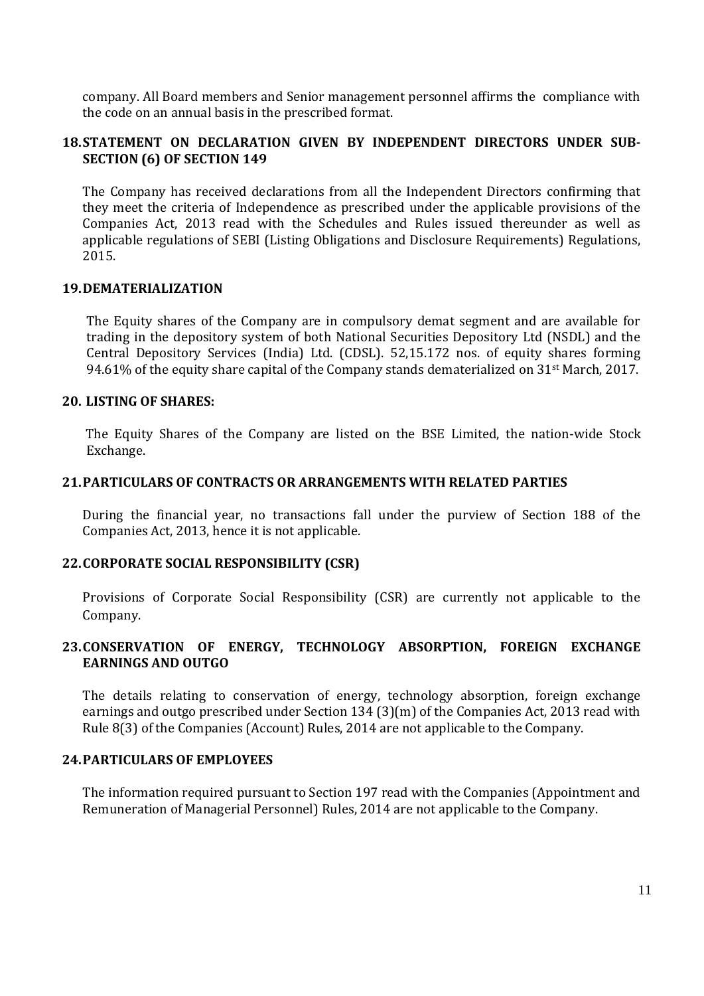company. All Board members and Senior management personnel affirms the compliance with the code on an annual basis in the prescribed format.

## **18.STATEMENT ON DECLARATION GIVEN BY INDEPENDENT DIRECTORS UNDER SUB-SECTION (6) OF SECTION 149**

The Company has received declarations from all the Independent Directors confirming that they meet the criteria of Independence as prescribed under the applicable provisions of the Companies Act, 2013 read with the Schedules and Rules issued thereunder as well as applicable regulations of SEBI (Listing Obligations and Disclosure Requirements) Regulations, 2015.

## **19.DEMATERIALIZATION**

The Equity shares of the Company are in compulsory demat segment and are available for trading in the depository system of both National Securities Depository Ltd (NSDL) and the Central Depository Services (India) Ltd. (CDSL). 52,15.172 nos. of equity shares forming 94.61% of the equity share capital of the Company stands dematerialized on 31<sup>st</sup> March, 2017.

## **20. LISTING OF SHARES:**

 The Equity Shares of the Company are listed on the BSE Limited, the nation-wide Stock Exchange.

## **21.PARTICULARS OF CONTRACTS OR ARRANGEMENTS WITH RELATED PARTIES**

During the financial year, no transactions fall under the purview of Section 188 of the Companies Act, 2013, hence it is not applicable.

## **22.CORPORATE SOCIAL RESPONSIBILITY (CSR)**

Provisions of Corporate Social Responsibility (CSR) are currently not applicable to the Company.

## **23.CONSERVATION OF ENERGY, TECHNOLOGY ABSORPTION, FOREIGN EXCHANGE EARNINGS AND OUTGO**

The details relating to conservation of energy, technology absorption, foreign exchange earnings and outgo prescribed under Section 134 (3)(m) of the Companies Act, 2013 read with Rule 8(3) of the Companies (Account) Rules, 2014 are not applicable to the Company.

## **24.PARTICULARS OF EMPLOYEES**

The information required pursuant to Section 197 read with the Companies (Appointment and Remuneration of Managerial Personnel) Rules, 2014 are not applicable to the Company.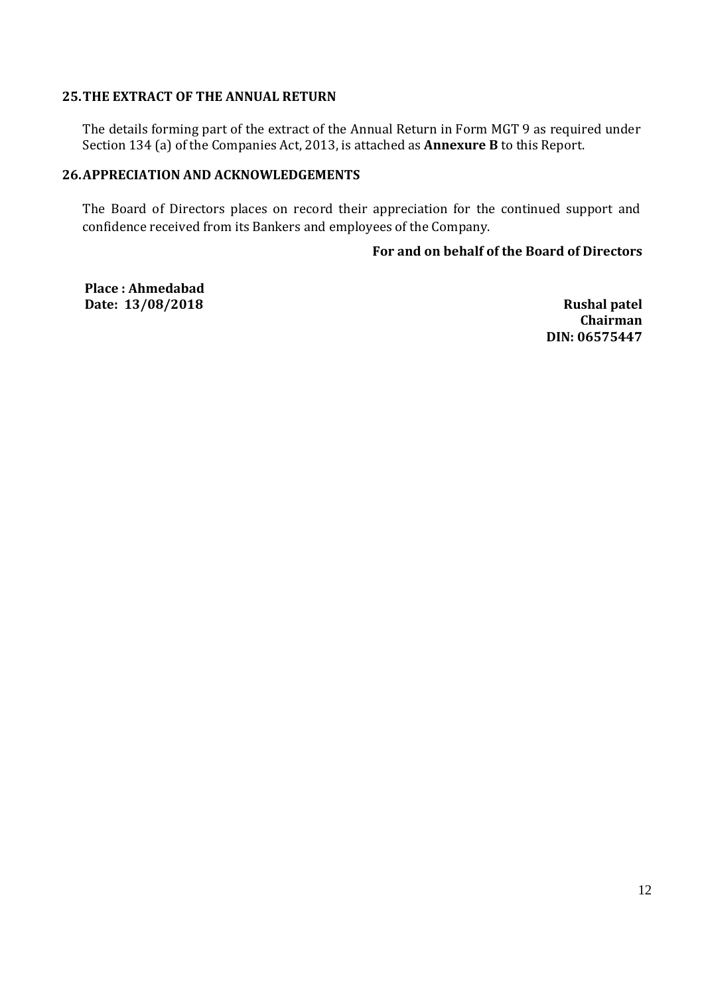## **25.THE EXTRACT OF THE ANNUAL RETURN**

The details forming part of the extract of the Annual Return in Form MGT 9 as required under Section 134 (a) of the Companies Act, 2013, is attached as **Annexure B** to this Report.

## **26.APPRECIATION AND ACKNOWLEDGEMENTS**

The Board of Directors places on record their appreciation for the continued support and confidence received from its Bankers and employees of the Company.

## **For and on behalf of the Board of Directors**

**Place : Ahmedabad Date: 13/08/2018 Rushal patel**

**Chairman DIN: 06575447**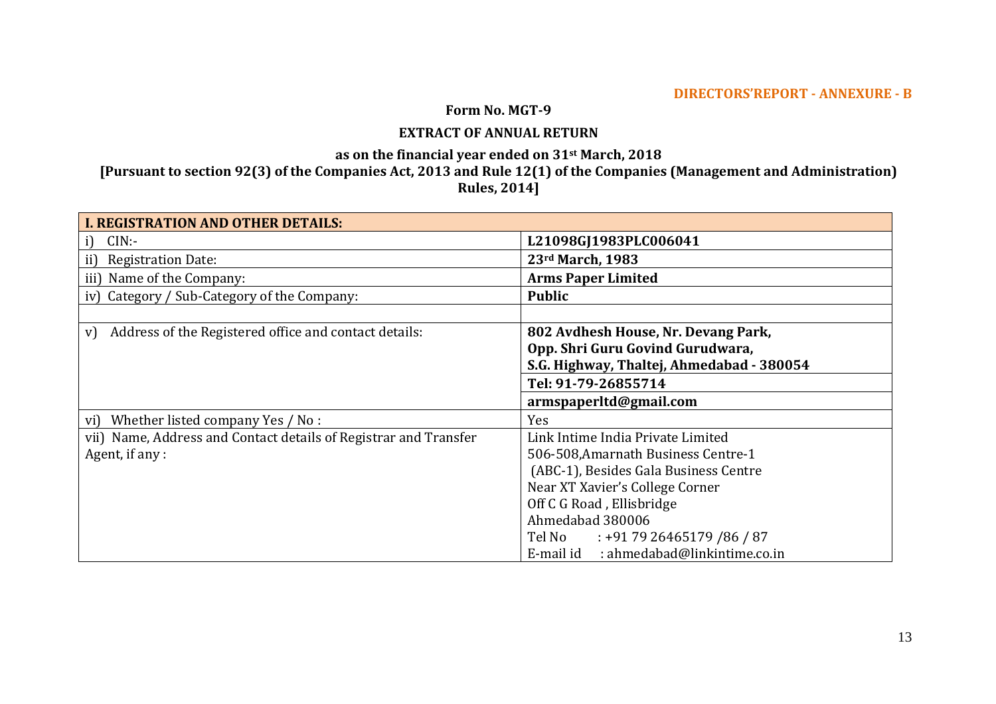## **DIRECTORS'REPORT - ANNEXURE - B**

## **Form No. MGT-9**

## **EXTRACT OF ANNUAL RETURN**

**as on the financial year ended on 31st March, 2018** 

## **[Pursuant to section 92(3) of the Companies Act, 2013 and Rule 12(1) of the Companies (Management and Administration) Rules, 2014]**

| <b>I. REGISTRATION AND OTHER DETAILS:</b>                        |                                           |
|------------------------------------------------------------------|-------------------------------------------|
| CIN:<br>i)                                                       | L21098GJ1983PLC006041                     |
| <b>Registration Date:</b><br>ii)                                 | 23rd March, 1983                          |
| Name of the Company:<br>iii)                                     | <b>Arms Paper Limited</b>                 |
| iv) Category / Sub-Category of the Company:                      | <b>Public</b>                             |
|                                                                  |                                           |
| Address of the Registered office and contact details:<br>V)      | 802 Avdhesh House, Nr. Devang Park,       |
|                                                                  | Opp. Shri Guru Govind Gurudwara,          |
|                                                                  | S.G. Highway, Thaltej, Ahmedabad - 380054 |
|                                                                  | Tel: 91-79-26855714                       |
|                                                                  | armspaperltd@gmail.com                    |
| Whether listed company Yes / No :<br>vi)                         | <b>Yes</b>                                |
| vii) Name, Address and Contact details of Registrar and Transfer | Link Intime India Private Limited         |
| Agent, if any :                                                  | 506-508, Amarnath Business Centre-1       |
|                                                                  | (ABC-1), Besides Gala Business Centre     |
|                                                                  | Near XT Xavier's College Corner           |
|                                                                  | Off C G Road, Ellisbridge                 |
|                                                                  | Ahmedabad 380006                          |
|                                                                  | Tel No :+91 79 26465179 /86 / 87          |
|                                                                  | : ahmedabad@linkintime.co.in<br>E-mail id |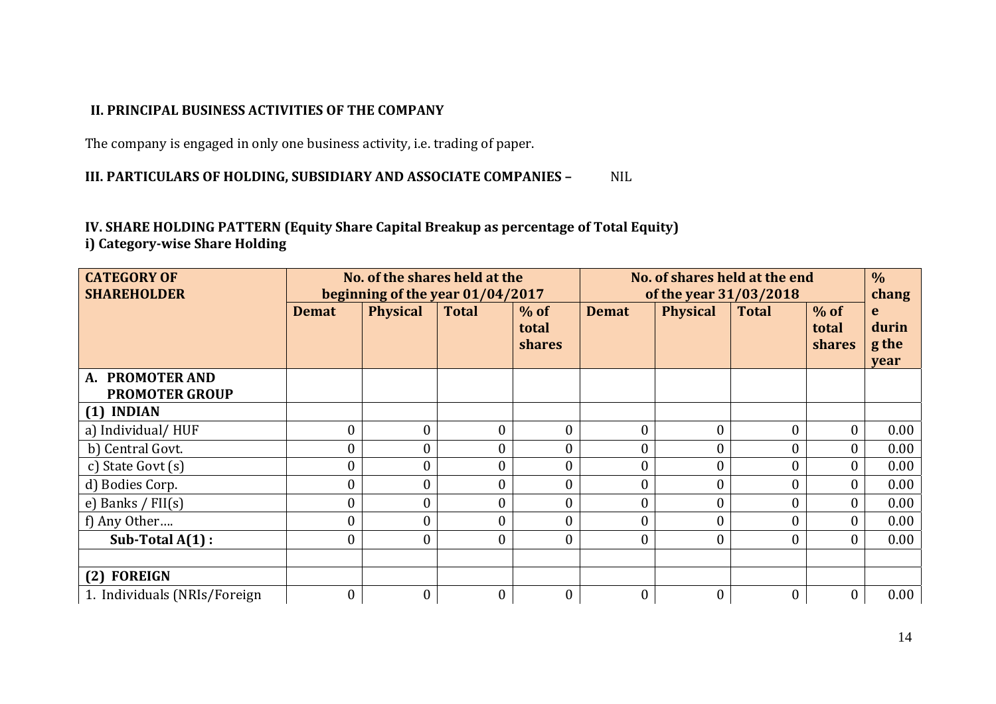## **II. PRINCIPAL BUSINESS ACTIVITIES OF THE COMPANY**

The company is engaged in only one business activity, i.e. trading of paper.

## **III. PARTICULARS OF HOLDING, SUBSIDIARY AND ASSOCIATE COMPANIES –** NIL

## **IV. SHARE HOLDING PATTERN (Equity Share Capital Breakup as percentage of Total Equity) i) Category-wise Share Holding**

| <b>CATEGORY OF</b><br><b>SHAREHOLDER</b> | No. of the shares held at the<br>beginning of the year 01/04/2017 |                  |              | No. of shares held at the end<br>of the year 31/03/2018 |                  |                 |                  | $\frac{0}{0}$<br>chang    |                             |
|------------------------------------------|-------------------------------------------------------------------|------------------|--------------|---------------------------------------------------------|------------------|-----------------|------------------|---------------------------|-----------------------------|
|                                          | <b>Demat</b>                                                      | <b>Physical</b>  | <b>Total</b> | $%$ of<br>total<br>shares                               | <b>Demat</b>     | <b>Physical</b> | <b>Total</b>     | $%$ of<br>total<br>shares | e<br>durin<br>g the<br>year |
| A. PROMOTER AND<br><b>PROMOTER GROUP</b> |                                                                   |                  |              |                                                         |                  |                 |                  |                           |                             |
| $(1)$ INDIAN                             |                                                                   |                  |              |                                                         |                  |                 |                  |                           |                             |
| a) Individual/HUF                        | $\boldsymbol{0}$                                                  | $\overline{0}$   | $\mathbf{0}$ | $\overline{0}$                                          | $\boldsymbol{0}$ |                 | $\overline{0}$   | $\theta$                  | 0.00                        |
| b) Central Govt.                         | $\boldsymbol{0}$                                                  | 0                | $\mathbf{0}$ | $\overline{0}$                                          | $\boldsymbol{0}$ |                 | $\boldsymbol{0}$ | $\overline{0}$            | 0.00                        |
| c) State Govt (s)                        | $\boldsymbol{0}$                                                  |                  | $\mathbf{0}$ | $\overline{0}$                                          | $\boldsymbol{0}$ |                 | $\boldsymbol{0}$ | $\theta$                  | 0.00                        |
| d) Bodies Corp.                          | $\boldsymbol{0}$                                                  | $\theta$         | $\mathbf{0}$ | $\overline{0}$                                          | $\boldsymbol{0}$ |                 | $\overline{0}$   | $\theta$                  | 0.00                        |
| e) Banks / $FII(s)$                      | $\boldsymbol{0}$                                                  | $\overline{0}$   | $\mathbf{0}$ | $\overline{0}$                                          | $\boldsymbol{0}$ |                 | $\overline{0}$   | $\Omega$                  | 0.00                        |
| f) Any Other                             | $\boldsymbol{0}$                                                  | $\overline{0}$   | $\mathbf{0}$ | $\overline{0}$                                          | $\boldsymbol{0}$ |                 | $\overline{0}$   | $\theta$                  | 0.00                        |
| Sub-Total $A(1)$ :                       | $\theta$                                                          | $\overline{0}$   | $\theta$     | $\theta$                                                | $\overline{0}$   |                 | $\Omega$         | $\Omega$                  | 0.00                        |
|                                          |                                                                   |                  |              |                                                         |                  |                 |                  |                           |                             |
| (2) FOREIGN                              |                                                                   |                  |              |                                                         |                  |                 |                  |                           |                             |
| 1. Individuals (NRIs/Foreign             | $\boldsymbol{0}$                                                  | $\boldsymbol{0}$ | $\mathbf{0}$ | $\boldsymbol{0}$                                        | $\boldsymbol{0}$ | $\mathbf{0}$    | $\overline{0}$   |                           | 0.00                        |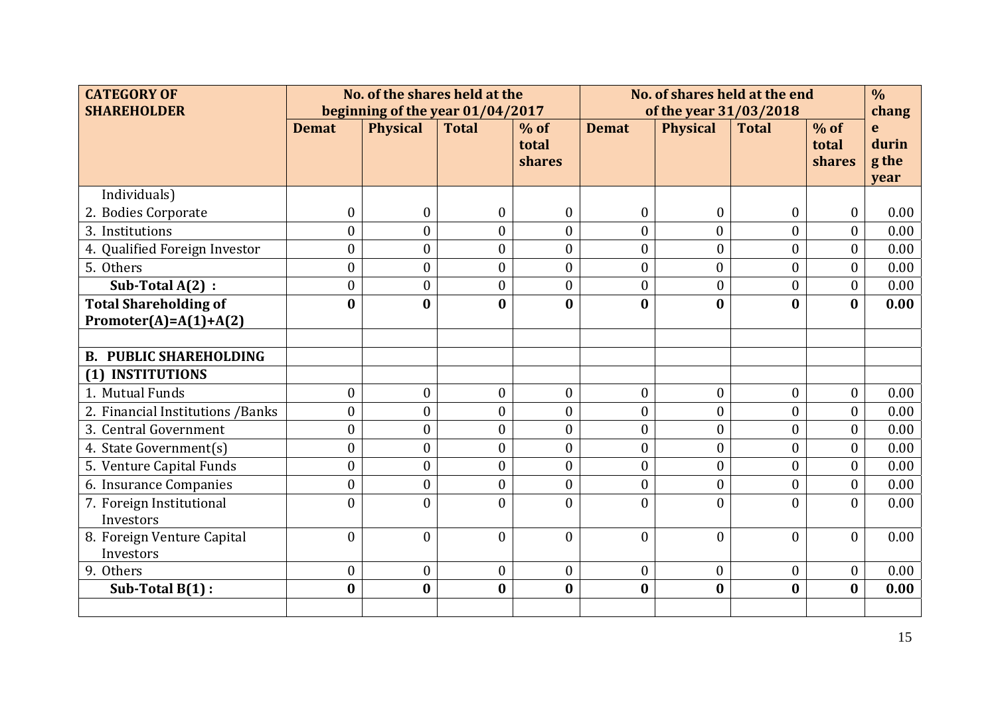| <b>CATEGORY OF</b><br><b>SHAREHOLDER</b>                 | No. of the shares held at the<br>beginning of the year 01/04/2017 |                  |                  | No. of shares held at the end<br>of the year 31/03/2018 |                  |                  | $\frac{0}{0}$    |                           |                                      |
|----------------------------------------------------------|-------------------------------------------------------------------|------------------|------------------|---------------------------------------------------------|------------------|------------------|------------------|---------------------------|--------------------------------------|
|                                                          | <b>Demat</b>                                                      | <b>Physical</b>  | <b>Total</b>     | $%$ of<br>total<br>shares                               | <b>Demat</b>     | <b>Physical</b>  | <b>Total</b>     | $%$ of<br>total<br>shares | chang<br>e<br>durin<br>g the<br>year |
| Individuals)                                             |                                                                   |                  |                  |                                                         |                  |                  |                  |                           |                                      |
| 2. Bodies Corporate                                      | $\boldsymbol{0}$                                                  | $\boldsymbol{0}$ | 0                | $\boldsymbol{0}$                                        | $\boldsymbol{0}$ | $\boldsymbol{0}$ | $\boldsymbol{0}$ | $\boldsymbol{0}$          | 0.00                                 |
| 3. Institutions                                          | $\overline{0}$                                                    | $\overline{0}$   | $\overline{0}$   | $\theta$                                                | $\overline{0}$   | $\overline{0}$   | $\theta$         | $\overline{0}$            | 0.00                                 |
| 4. Qualified Foreign Investor                            | $\mathbf{0}$                                                      | $\overline{0}$   | $\overline{0}$   | $\theta$                                                | $\overline{0}$   | $\theta$         | $\theta$         | $\mathbf{0}$              | 0.00                                 |
| 5. Others                                                | $\boldsymbol{0}$                                                  | $\boldsymbol{0}$ | $\overline{0}$   | $\mathbf{0}$                                            | $\boldsymbol{0}$ | $\boldsymbol{0}$ | $\overline{0}$   | $\boldsymbol{0}$          | 0.00                                 |
| Sub-Total $A(2)$ :                                       | $\boldsymbol{0}$                                                  | $\boldsymbol{0}$ | $\boldsymbol{0}$ | $\boldsymbol{0}$                                        | $\boldsymbol{0}$ | $\boldsymbol{0}$ | $\boldsymbol{0}$ | $\boldsymbol{0}$          | 0.00                                 |
| <b>Total Shareholding of</b><br>Promoter(A)= $A(1)+A(2)$ | $\bf{0}$                                                          | $\bf{0}$         | $\bf{0}$         | $\bf{0}$                                                | $\bf{0}$         | $\mathbf{0}$     | $\bf{0}$         | $\bf{0}$                  | 0.00                                 |
| <b>B. PUBLIC SHAREHOLDING</b>                            |                                                                   |                  |                  |                                                         |                  |                  |                  |                           |                                      |
| (1) INSTITUTIONS                                         |                                                                   |                  |                  |                                                         |                  |                  |                  |                           |                                      |
| 1. Mutual Funds                                          | $\boldsymbol{0}$                                                  | $\boldsymbol{0}$ | $\boldsymbol{0}$ | $\mathbf{0}$                                            | $\boldsymbol{0}$ | $\boldsymbol{0}$ | $\mathbf{0}$     | $\boldsymbol{0}$          | 0.00                                 |
| 2. Financial Institutions / Banks                        | $\boldsymbol{0}$                                                  | $\mathbf{0}$     | $\boldsymbol{0}$ | $\mathbf{0}$                                            | $\overline{0}$   | $\boldsymbol{0}$ | $\mathbf{0}$     | $\mathbf{0}$              | 0.00                                 |
| 3. Central Government                                    | $\mathbf{0}$                                                      | $\overline{0}$   | $\overline{0}$   | $\mathbf{0}$                                            | $\overline{0}$   | $\overline{0}$   | $\mathbf{0}$     | $\overline{0}$            | 0.00                                 |
| 4. State Government(s)                                   | $\boldsymbol{0}$                                                  | $\boldsymbol{0}$ | $\boldsymbol{0}$ | $\mathbf{0}$                                            | $\boldsymbol{0}$ | $\overline{0}$   | $\mathbf{0}$     | $\boldsymbol{0}$          | 0.00                                 |
| 5. Venture Capital Funds                                 | $\boldsymbol{0}$                                                  | $\boldsymbol{0}$ | $\boldsymbol{0}$ | $\mathbf{0}$                                            | $\boldsymbol{0}$ | $\boldsymbol{0}$ | $\mathbf{0}$     | $\boldsymbol{0}$          | 0.00                                 |
| 6. Insurance Companies                                   | $\boldsymbol{0}$                                                  | $\overline{0}$   | $\boldsymbol{0}$ | $\theta$                                                | $\boldsymbol{0}$ | $\overline{0}$   | $\mathbf{0}$     | $\boldsymbol{0}$          | 0.00                                 |
| 7. Foreign Institutional<br>Investors                    | $\mathbf{0}$                                                      | $\theta$         | $\overline{0}$   | $\theta$                                                | $\overline{0}$   | $\Omega$         | $\theta$         | $\theta$                  | 0.00                                 |
| 8. Foreign Venture Capital<br>Investors                  | $\mathbf{0}$                                                      | $\mathbf{0}$     | $\mathbf{0}$     | $\theta$                                                | $\overline{0}$   | $\theta$         | $\theta$         | $\overline{0}$            | 0.00                                 |
| 9. Others                                                | $\boldsymbol{0}$                                                  | $\boldsymbol{0}$ | $\boldsymbol{0}$ | $\boldsymbol{0}$                                        | $\boldsymbol{0}$ | $\boldsymbol{0}$ | $\boldsymbol{0}$ | $\boldsymbol{0}$          | 0.00                                 |
| Sub-Total $B(1)$ :                                       | $\bf{0}$                                                          | $\bf{0}$         | $\bf{0}$         | $\bf{0}$                                                | $\bf{0}$         | $\bf{0}$         | $\bf{0}$         | $\bf{0}$                  | 0.00                                 |
|                                                          |                                                                   |                  |                  |                                                         |                  |                  |                  |                           |                                      |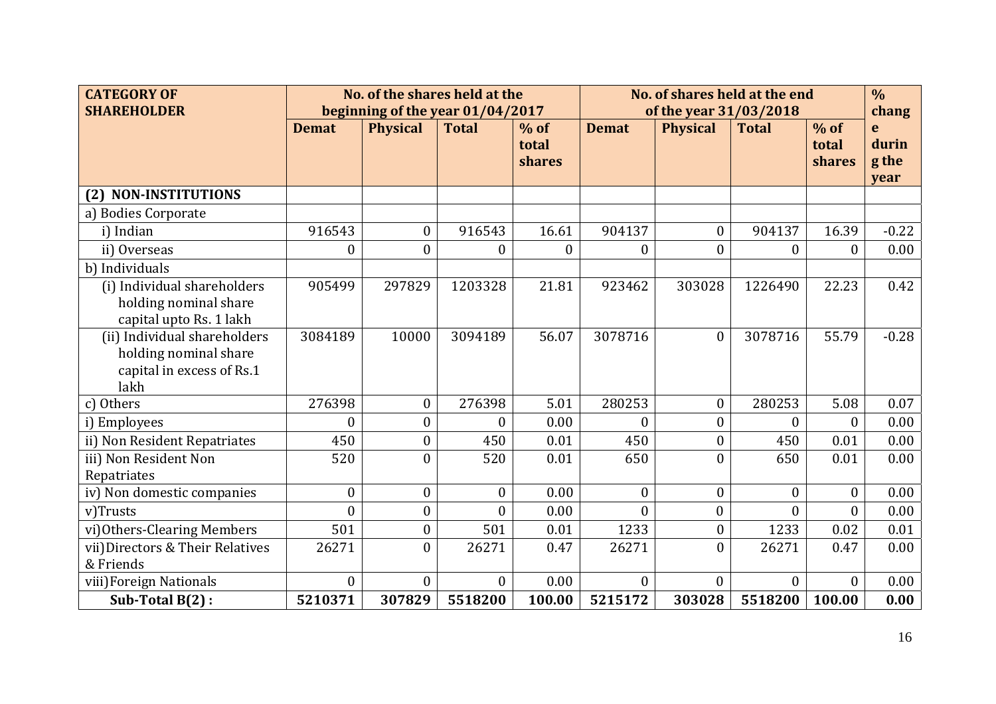| <b>CATEGORY OF</b><br><b>SHAREHOLDER</b>                                                   | No. of the shares held at the<br>beginning of the year 01/04/2017 |                  |                  | No. of shares held at the end<br>of the year 31/03/2018 |                  |                  |                  | $\frac{0}{0}$<br>chang    |                             |
|--------------------------------------------------------------------------------------------|-------------------------------------------------------------------|------------------|------------------|---------------------------------------------------------|------------------|------------------|------------------|---------------------------|-----------------------------|
|                                                                                            | <b>Demat</b>                                                      | <b>Physical</b>  | <b>Total</b>     | $%$ of<br>total<br><b>shares</b>                        | <b>Demat</b>     | <b>Physical</b>  | <b>Total</b>     | $%$ of<br>total<br>shares | e<br>durin<br>g the<br>year |
| <b>NON-INSTITUTIONS</b><br>(2)                                                             |                                                                   |                  |                  |                                                         |                  |                  |                  |                           |                             |
| a) Bodies Corporate                                                                        |                                                                   |                  |                  |                                                         |                  |                  |                  |                           |                             |
| i) Indian                                                                                  | 916543                                                            | $\boldsymbol{0}$ | 916543           | 16.61                                                   | 904137           | $\overline{0}$   | 904137           | 16.39                     | $-0.22$                     |
| ii) Overseas                                                                               | $\boldsymbol{0}$                                                  | $\overline{0}$   | $\boldsymbol{0}$ | $\boldsymbol{0}$                                        | $\boldsymbol{0}$ | $\overline{0}$   | $\boldsymbol{0}$ | $\boldsymbol{0}$          | 0.00                        |
| b) Individuals                                                                             |                                                                   |                  |                  |                                                         |                  |                  |                  |                           |                             |
| (i) Individual shareholders<br>holding nominal share<br>capital upto Rs. 1 lakh            | 905499                                                            | 297829           | 1203328          | 21.81                                                   | 923462           | 303028           | 1226490          | 22.23                     | 0.42                        |
| (ii) Individual shareholders<br>holding nominal share<br>capital in excess of Rs.1<br>lakh | 3084189                                                           | 10000            | 3094189          | 56.07                                                   | 3078716          | $\overline{0}$   | 3078716          | 55.79                     | $-0.28$                     |
| c) Others                                                                                  | 276398                                                            | $\boldsymbol{0}$ | 276398           | 5.01                                                    | 280253           | $\boldsymbol{0}$ | 280253           | 5.08                      | 0.07                        |
| i) Employees                                                                               | $\overline{0}$                                                    | $\theta$         | 0                | 0.00                                                    | $\theta$         | $\overline{0}$   | $\theta$         | 0                         | 0.00                        |
| ii) Non Resident Repatriates                                                               | 450                                                               | $\overline{0}$   | 450              | 0.01                                                    | 450              | $\overline{0}$   | 450              | 0.01                      | 0.00                        |
| iii) Non Resident Non<br>Repatriates                                                       | 520                                                               | $\theta$         | 520              | 0.01                                                    | 650              | $\theta$         | 650              | 0.01                      | 0.00                        |
| iv) Non domestic companies                                                                 | $\boldsymbol{0}$                                                  | $\overline{0}$   | $\overline{0}$   | 0.00                                                    | $\boldsymbol{0}$ | $\overline{0}$   | $\overline{0}$   | $\mathbf{0}$              | 0.00                        |
| v)Trusts                                                                                   | $\theta$                                                          | $\overline{0}$   | $\theta$         | 0.00                                                    | $\theta$         | $\overline{0}$   | $\theta$         | $\Omega$                  | 0.00                        |
| vi) Others-Clearing Members                                                                | 501                                                               | $\boldsymbol{0}$ | 501              | 0.01                                                    | 1233             | $\boldsymbol{0}$ | 1233             | 0.02                      | 0.01                        |
| vii)Directors & Their Relatives<br>& Friends                                               | 26271                                                             | $\theta$         | 26271            | 0.47                                                    | 26271            | $\theta$         | 26271            | 0.47                      | 0.00                        |
| viii) Foreign Nationals                                                                    | $\boldsymbol{0}$                                                  | $\overline{0}$   | $\theta$         | 0.00                                                    | $\theta$         | $\overline{0}$   | $\theta$         | $\Omega$                  | 0.00                        |
| Sub-Total B(2):                                                                            | 5210371                                                           | 307829           | 5518200          | 100.00                                                  | 5215172          | 303028           | 5518200          | 100.00                    | 0.00                        |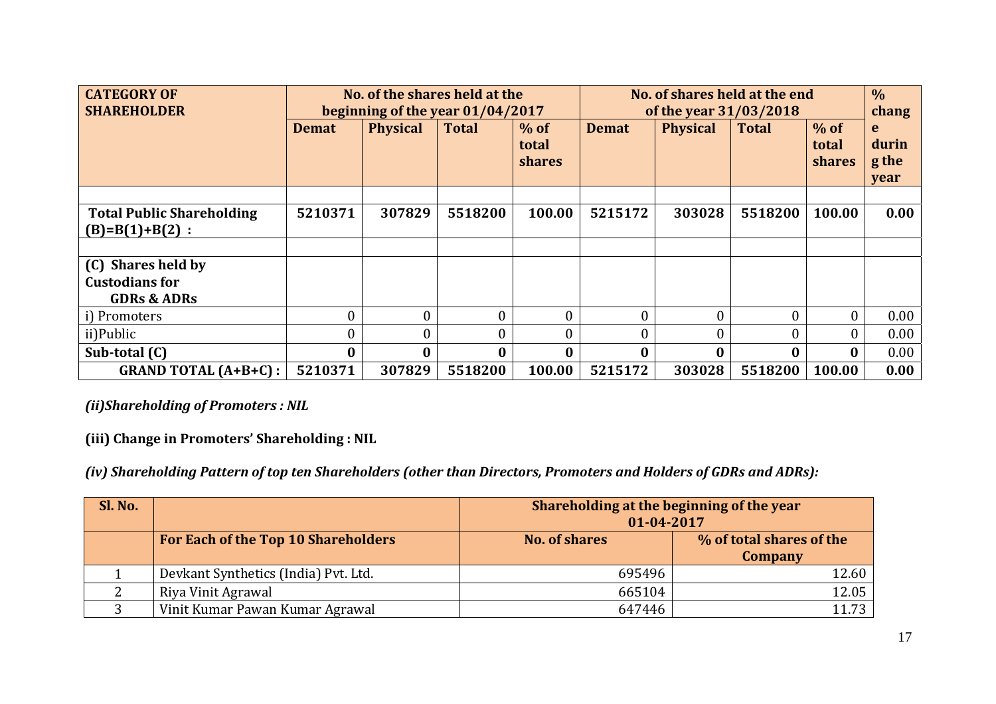| <b>CATEGORY OF</b><br><b>SHAREHOLDER</b>                              | No. of the shares held at the<br>beginning of the year 01/04/2017 |                 |              | No. of shares held at the end<br>of the year 31/03/2018 |                  |                 | $\frac{0}{0}$<br>chang |                                  |                             |
|-----------------------------------------------------------------------|-------------------------------------------------------------------|-----------------|--------------|---------------------------------------------------------|------------------|-----------------|------------------------|----------------------------------|-----------------------------|
|                                                                       | <b>Demat</b>                                                      | <b>Physical</b> | <b>Total</b> | $%$ of<br>total<br><b>shares</b>                        | <b>Demat</b>     | <b>Physical</b> | <b>Total</b>           | $%$ of<br>total<br><b>shares</b> | e<br>durin<br>g the<br>year |
|                                                                       |                                                                   |                 |              |                                                         |                  |                 |                        |                                  |                             |
| <b>Total Public Shareholding</b><br>$(B)=B(1)+B(2)$ :                 | 5210371                                                           | 307829          | 5518200      | 100.00                                                  | 5215172          | 303028          | 5518200                | 100.00                           | 0.00                        |
|                                                                       |                                                                   |                 |              |                                                         |                  |                 |                        |                                  |                             |
| (C) Shares held by<br><b>Custodians for</b><br><b>GDRs &amp; ADRs</b> |                                                                   |                 |              |                                                         |                  |                 |                        |                                  |                             |
| i) Promoters                                                          | $\overline{0}$                                                    |                 |              | $\theta$                                                | $\boldsymbol{0}$ |                 |                        |                                  | 0.00                        |
| ii)Public                                                             | $\overline{0}$                                                    |                 | 0            | O                                                       | $\overline{0}$   |                 |                        |                                  | 0.00                        |
| Sub-total (C)                                                         | $\bf{0}$                                                          | 0               |              | 0                                                       | $\bf{0}$         |                 | $\bf{0}$               | $\mathbf{0}$                     | 0.00                        |
| <b>GRAND TOTAL (A+B+C):</b>                                           | 5210371                                                           | 307829          | 5518200      | 100.00                                                  | 5215172          | 303028          | 5518200                | 100.00                           | 0.00                        |

*(ii)Shareholding of Promoters : NIL* 

**(iii) Change in Promoters' Shareholding : NIL** 

*(iv) Shareholding Pattern of top ten Shareholders (other than Directors, Promoters and Holders of GDRs and ADRs):* 

| Sl. No. |                                      | Shareholding at the beginning of the year<br>01-04-2017 |                                     |  |  |  |  |
|---------|--------------------------------------|---------------------------------------------------------|-------------------------------------|--|--|--|--|
|         | For Each of the Top 10 Shareholders  | <b>No. of shares</b>                                    | % of total shares of the<br>Company |  |  |  |  |
|         | Devkant Synthetics (India) Pvt. Ltd. | 695496                                                  | 12.60                               |  |  |  |  |
|         | Riya Vinit Agrawal                   | 665104                                                  | 12.05                               |  |  |  |  |
|         | Vinit Kumar Pawan Kumar Agrawal      | 647446                                                  | 11.73                               |  |  |  |  |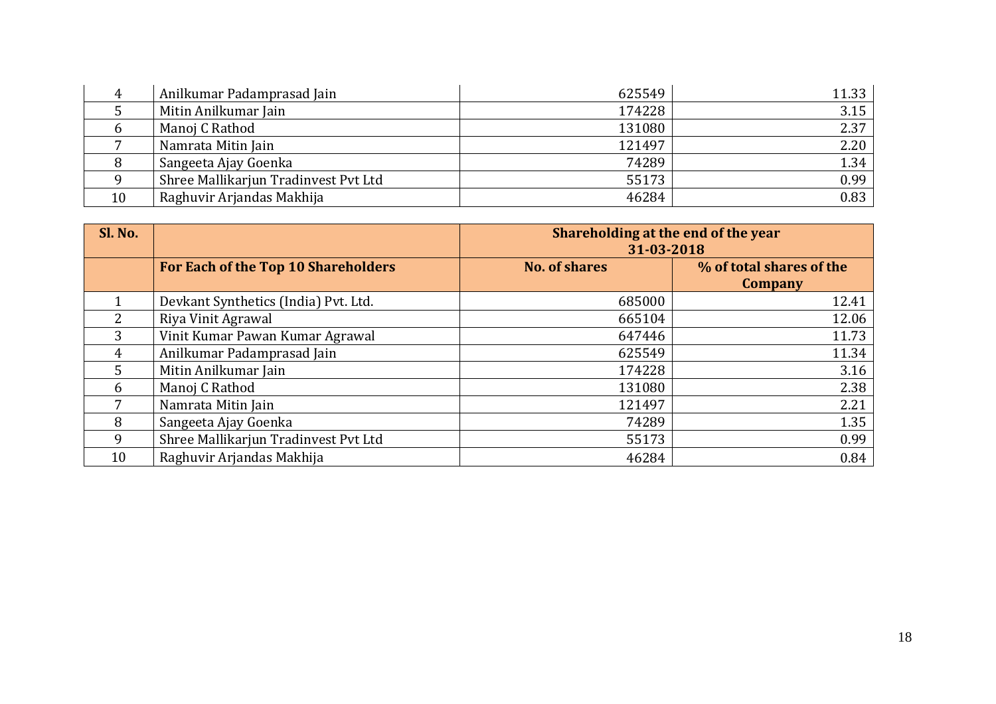|    | Anilkumar Padamprasad Jain           | 625549 | 11.33 |
|----|--------------------------------------|--------|-------|
|    | Mitin Anilkumar Jain                 | 174228 | 3.15  |
|    | Manoj C Rathod                       | 131080 | 2.37  |
|    | Namrata Mitin Jain                   | 121497 | 2.20  |
|    | Sangeeta Ajay Goenka                 | 74289  | 1.34  |
|    | Shree Mallikarjun Tradinvest Pvt Ltd | 55173  | 0.99  |
| 10 | Raghuvir Arjandas Makhija            | 46284  | 0.83  |

| Sl. No. |                                      | Shareholding at the end of the year<br>31-03-2018 |                                     |  |  |  |  |
|---------|--------------------------------------|---------------------------------------------------|-------------------------------------|--|--|--|--|
|         | For Each of the Top 10 Shareholders  | <b>No. of shares</b>                              | % of total shares of the<br>Company |  |  |  |  |
|         | Devkant Synthetics (India) Pvt. Ltd. | 685000                                            | 12.41                               |  |  |  |  |
| 2       | Riya Vinit Agrawal                   | 665104                                            | 12.06                               |  |  |  |  |
| 3       | Vinit Kumar Pawan Kumar Agrawal      | 647446                                            | 11.73                               |  |  |  |  |
| 4       | Anilkumar Padamprasad Jain           | 625549                                            | 11.34                               |  |  |  |  |
| 5       | Mitin Anilkumar Jain                 | 174228                                            | 3.16                                |  |  |  |  |
| 6       | Manoj C Rathod                       | 131080                                            | 2.38                                |  |  |  |  |
| 7       | Namrata Mitin Jain                   | 121497                                            | 2.21                                |  |  |  |  |
| 8       | Sangeeta Ajay Goenka                 | 74289                                             | 1.35                                |  |  |  |  |
| 9       | Shree Mallikarjun Tradinvest Pvt Ltd | 55173                                             | 0.99                                |  |  |  |  |
| 10      | Raghuvir Arjandas Makhija            | 46284                                             | 0.84                                |  |  |  |  |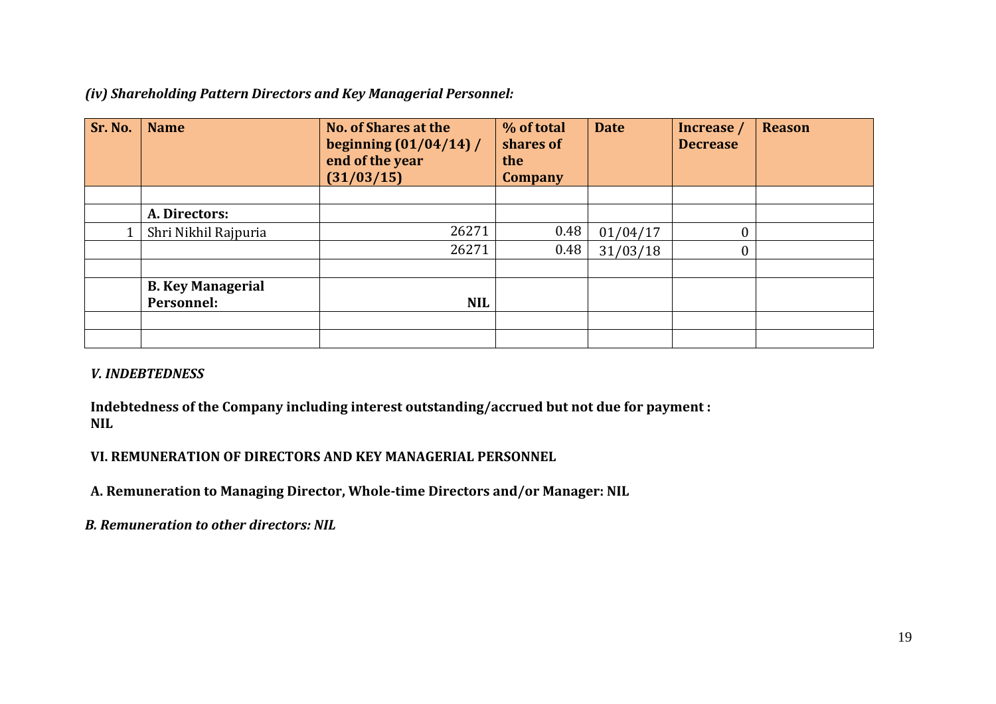*(iv) Shareholding Pattern Directors and Key Managerial Personnel:* 

| Sr. No. | <b>Name</b>              | <b>No. of Shares at the</b><br>beginning $(01/04/14)$ /<br>end of the year<br>(31/03/15) | % of total<br>shares of<br>the<br><b>Company</b> | <b>Date</b> | Increase /<br><b>Decrease</b> | <b>Reason</b> |
|---------|--------------------------|------------------------------------------------------------------------------------------|--------------------------------------------------|-------------|-------------------------------|---------------|
|         |                          |                                                                                          |                                                  |             |                               |               |
|         | A. Directors:            |                                                                                          |                                                  |             |                               |               |
|         | Shri Nikhil Rajpuria     | 26271                                                                                    | 0.48                                             | 01/04/17    | 0                             |               |
|         |                          | 26271                                                                                    | 0.48                                             | 31/03/18    | 0                             |               |
|         |                          |                                                                                          |                                                  |             |                               |               |
|         | <b>B. Key Managerial</b> |                                                                                          |                                                  |             |                               |               |
|         | Personnel:               | <b>NIL</b>                                                                               |                                                  |             |                               |               |
|         |                          |                                                                                          |                                                  |             |                               |               |
|         |                          |                                                                                          |                                                  |             |                               |               |

## *V. INDEBTEDNESS*

**Indebtedness of the Company including interest outstanding/accrued but not due for payment : NIL** 

## **VI. REMUNERATION OF DIRECTORS AND KEY MANAGERIAL PERSONNEL**

**A. Remuneration to Managing Director, Whole-time Directors and/or Manager: NIL**

*B. Remuneration to other directors: NIL*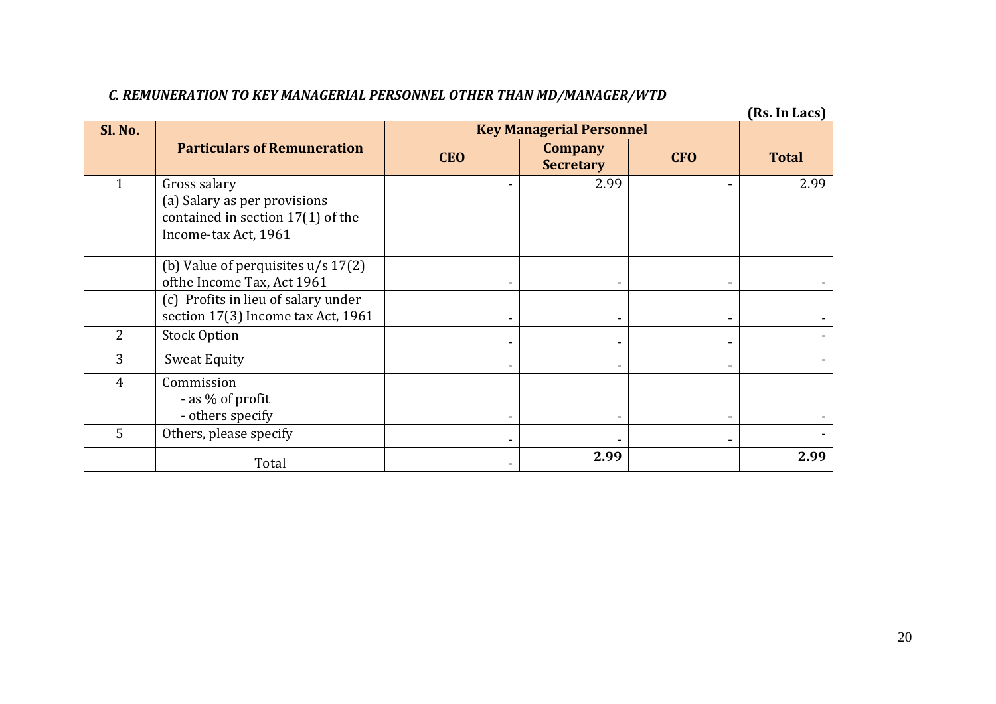## *C. REMUNERATION TO KEY MANAGERIAL PERSONNEL OTHER THAN MD/MANAGER/WTD*

**(Rs. In Lacs)**

| Sl. No.        |                                                                                                           |            | <b>Key Managerial Personnel</b>    |            |              |
|----------------|-----------------------------------------------------------------------------------------------------------|------------|------------------------------------|------------|--------------|
|                | <b>Particulars of Remuneration</b>                                                                        | <b>CEO</b> | <b>Company</b><br><b>Secretary</b> | <b>CFO</b> | <b>Total</b> |
|                | Gross salary<br>(a) Salary as per provisions<br>contained in section 17(1) of the<br>Income-tax Act, 1961 |            | 2.99                               |            | 2.99         |
|                | (b) Value of perquisites $u/s$ 17(2)<br>ofthe Income Tax, Act 1961                                        |            |                                    |            |              |
|                | (c) Profits in lieu of salary under<br>section 17(3) Income tax Act, 1961                                 |            |                                    |            |              |
| $\overline{2}$ | <b>Stock Option</b>                                                                                       |            |                                    |            |              |
| 3              | <b>Sweat Equity</b>                                                                                       |            |                                    |            |              |
| $\overline{4}$ | Commission<br>- as % of profit<br>- others specify                                                        |            |                                    |            |              |
| 5              | Others, please specify                                                                                    |            |                                    |            |              |
|                | Total                                                                                                     |            | 2.99                               |            | 2.99         |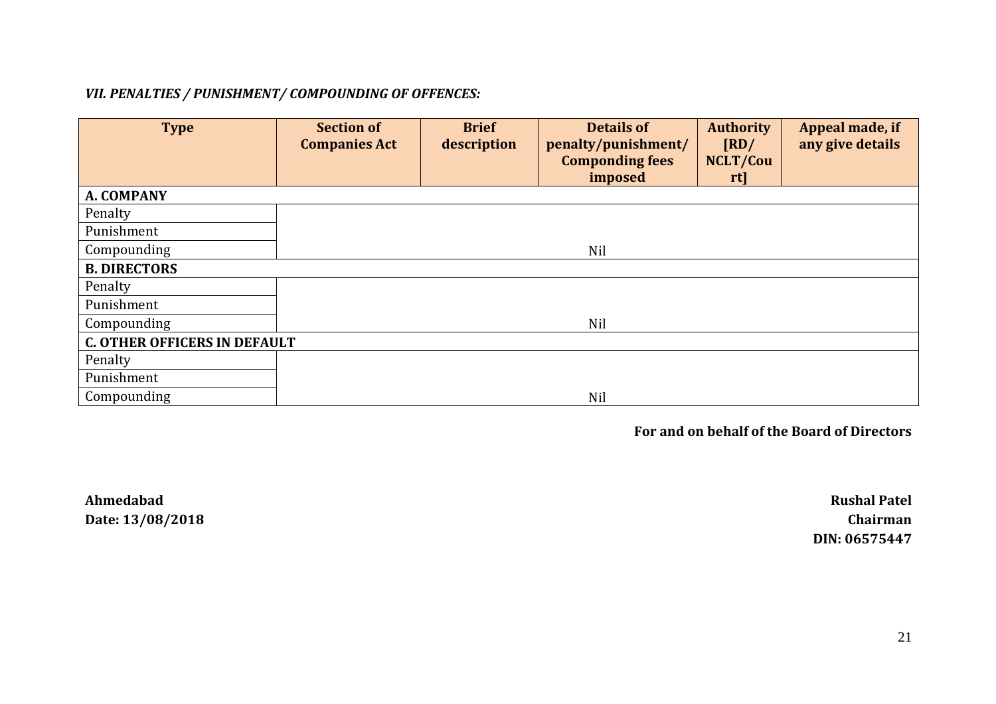## *VII. PENALTIES / PUNISHMENT/ COMPOUNDING OF OFFENCES:*

| <b>Type</b>                         | <b>Section of</b><br><b>Companies Act</b> | <b>Brief</b><br>description | <b>Details of</b><br>penalty/punishment/<br><b>Componding fees</b><br>imposed | <b>Authority</b><br>$\sqrt{\text{RD}}$<br>NCLT/Cou<br>rt | Appeal made, if<br>any give details |
|-------------------------------------|-------------------------------------------|-----------------------------|-------------------------------------------------------------------------------|----------------------------------------------------------|-------------------------------------|
| A. COMPANY                          |                                           |                             |                                                                               |                                                          |                                     |
| Penalty                             |                                           |                             |                                                                               |                                                          |                                     |
| Punishment                          |                                           |                             |                                                                               |                                                          |                                     |
| Compounding                         |                                           |                             | Nil                                                                           |                                                          |                                     |
| <b>B. DIRECTORS</b>                 |                                           |                             |                                                                               |                                                          |                                     |
| Penalty                             |                                           |                             |                                                                               |                                                          |                                     |
| Punishment                          |                                           |                             |                                                                               |                                                          |                                     |
| Compounding                         |                                           |                             | Nil                                                                           |                                                          |                                     |
| <b>C. OTHER OFFICERS IN DEFAULT</b> |                                           |                             |                                                                               |                                                          |                                     |
| Penalty                             |                                           |                             |                                                                               |                                                          |                                     |
| Punishment                          |                                           |                             |                                                                               |                                                          |                                     |
| Compounding                         |                                           |                             | Nil                                                                           |                                                          |                                     |

**For and on behalf of the Board of Directors** 

**Ahmedabad Rushal Patel Date: 13/08/2018 Chairman** 

**DIN: 06575447**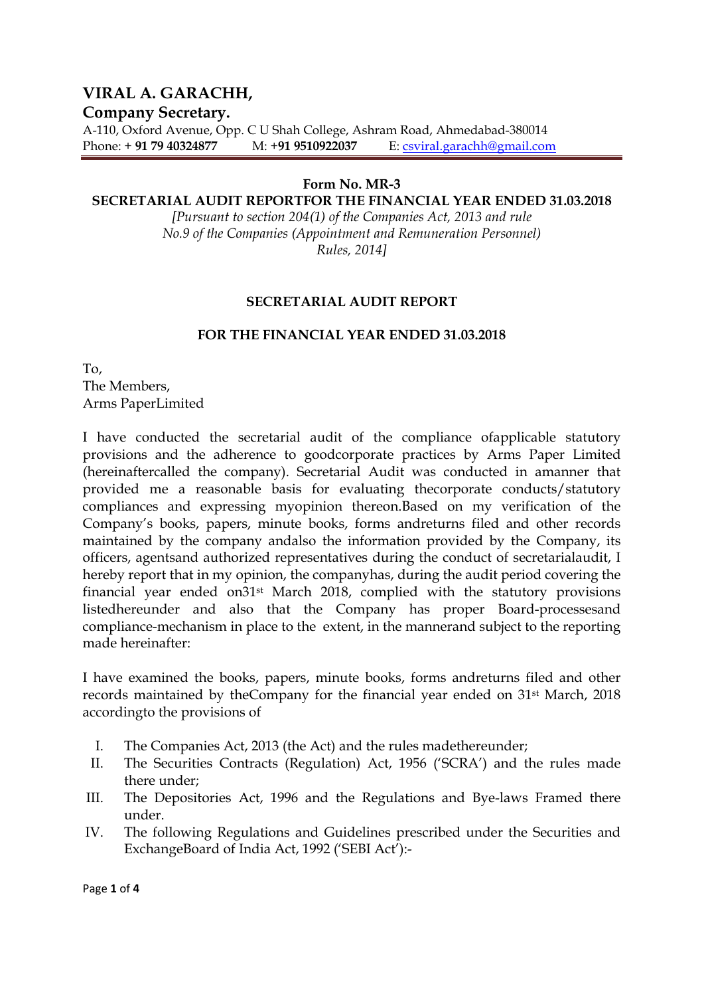## **VIRAL A. GARACHH,**

## **Company Secretary.**

A-110, Oxford Avenue, Opp. C U Shah College, Ashram Road, Ahmedabad-380014 Phone: + **91 79 40324877** M: +**91 9510922037** E: csviral.garachh@gmail.com

## **Form No. MR-3**

## **SECRETARIAL AUDIT REPORTFOR THE FINANCIAL YEAR ENDED 31.03.2018**

*[Pursuant to section 204(1) of the Companies Act, 2013 and rule No.9 of the Companies (Appointment and Remuneration Personnel) Rules, 2014]* 

## **SECRETARIAL AUDIT REPORT**

## **FOR THE FINANCIAL YEAR ENDED 31.03.2018**

To, The Members, Arms PaperLimited

I have conducted the secretarial audit of the compliance ofapplicable statutory provisions and the adherence to goodcorporate practices by Arms Paper Limited (hereinaftercalled the company). Secretarial Audit was conducted in amanner that provided me a reasonable basis for evaluating thecorporate conducts/statutory compliances and expressing myopinion thereon.Based on my verification of the Company's books, papers, minute books, forms andreturns filed and other records maintained by the company andalso the information provided by the Company, its officers, agentsand authorized representatives during the conduct of secretarialaudit, I hereby report that in my opinion, the companyhas, during the audit period covering the financial year ended on31st March 2018, complied with the statutory provisions listedhereunder and also that the Company has proper Board-processesand compliance-mechanism in place to the extent, in the mannerand subject to the reporting made hereinafter:

I have examined the books, papers, minute books, forms andreturns filed and other records maintained by theCompany for the financial year ended on 31st March, 2018 accordingto the provisions of

- I. The Companies Act, 2013 (the Act) and the rules madethereunder;
- II. The Securities Contracts (Regulation) Act, 1956 ('SCRA') and the rules made there under;
- III. The Depositories Act, 1996 and the Regulations and Bye-laws Framed there under.
- IV. The following Regulations and Guidelines prescribed under the Securities and ExchangeBoard of India Act, 1992 ('SEBI Act'):-

Page **1** of **4**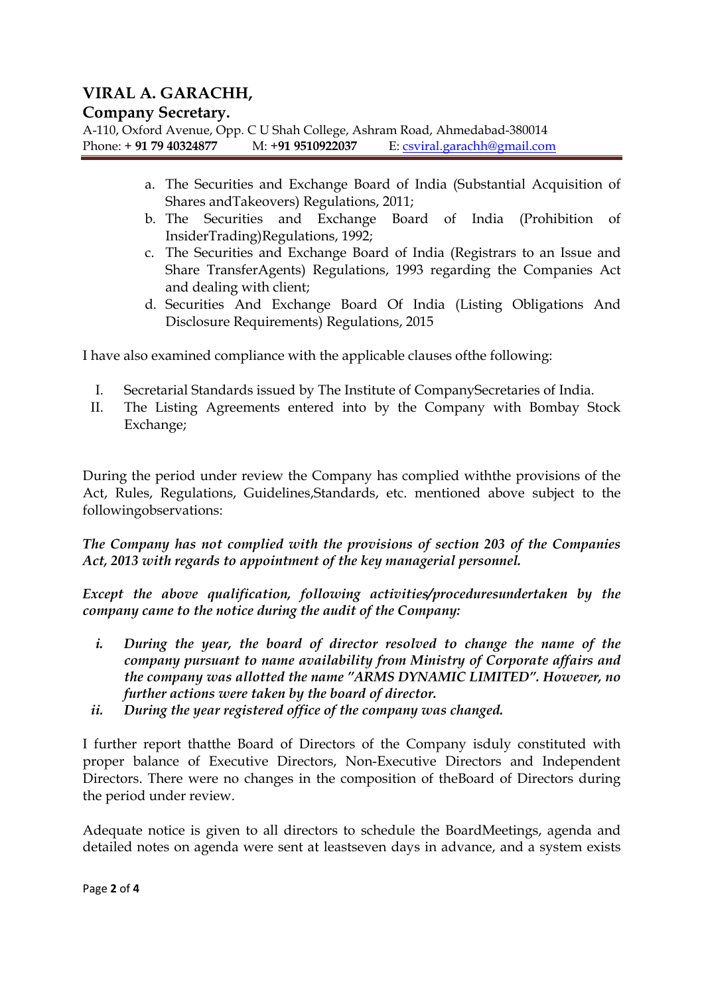## **VIRAL A. GARACHH,**

## **Company Secretary.**

A-110, Oxford Avenue, Opp. C U Shah College, Ashram Road, Ahmedabad-380014 Phone: + **91 79 40324877** M: +**91 9510922037** E: csviral.garachh@gmail.com

- a. The Securities and Exchange Board of India (Substantial Acquisition of Shares andTakeovers) Regulations, 2011;
- b. The Securities and Exchange Board of India (Prohibition of InsiderTrading)Regulations, 1992;
- c. The Securities and Exchange Board of India (Registrars to an Issue and Share TransferAgents) Regulations, 1993 regarding the Companies Act and dealing with client;
- d. Securities And Exchange Board Of India (Listing Obligations And Disclosure Requirements) Regulations, 2015

I have also examined compliance with the applicable clauses ofthe following:

- I. Secretarial Standards issued by The Institute of CompanySecretaries of India.
- II. The Listing Agreements entered into by the Company with Bombay Stock Exchange;

During the period under review the Company has complied withthe provisions of the Act, Rules, Regulations, Guidelines,Standards, etc. mentioned above subject to the followingobservations:

*The Company has not complied with the provisions of section 203 of the Companies Act, 2013 with regards to appointment of the key managerial personnel.* 

*Except the above qualification, following activities/proceduresundertaken by the company came to the notice during the audit of the Company:* 

- *i. During the year, the board of director resolved to change the name of the company pursuant to name availability from Ministry of Corporate affairs and the company was allotted the name "ARMS DYNAMIC LIMITED". However, no further actions were taken by the board of director.*
- *ii. During the year registered office of the company was changed.*

I further report thatthe Board of Directors of the Company isduly constituted with proper balance of Executive Directors, Non-Executive Directors and Independent Directors. There were no changes in the composition of theBoard of Directors during the period under review.

Adequate notice is given to all directors to schedule the BoardMeetings, agenda and detailed notes on agenda were sent at leastseven days in advance, and a system exists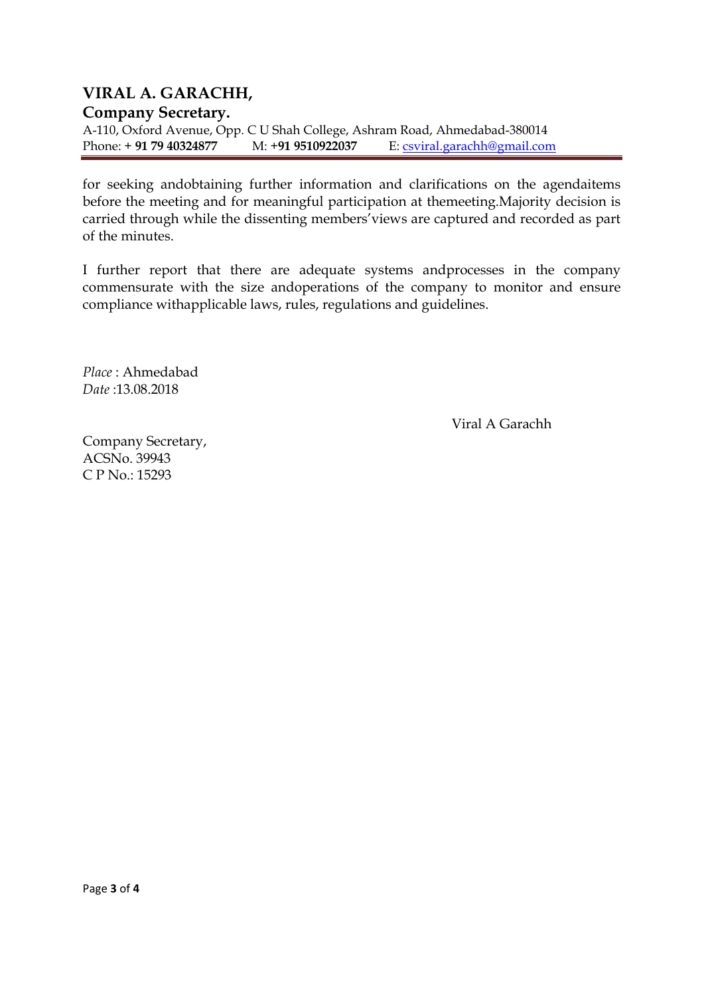## **VIRAL A. GARACHH, Company Secretary.**  A-110, Oxford Avenue, Opp. C U Shah College, Ashram Road, Ahmedabad-380014 Phone: + **91 79 40324877** M: +**91 9510922037** E: csviral.garachh@gmail.com

for seeking andobtaining further information and clarifications on the agendaitems before the meeting and for meaningful participation at themeeting.Majority decision is carried through while the dissenting members'views are captured and recorded as part of the minutes.

I further report that there are adequate systems andprocesses in the company commensurate with the size andoperations of the company to monitor and ensure compliance withapplicable laws, rules, regulations and guidelines.

*Place* : Ahmedabad *Date* :13.08.2018

Viral A Garachh

Company Secretary, ACSNo. 39943 C P No.: 15293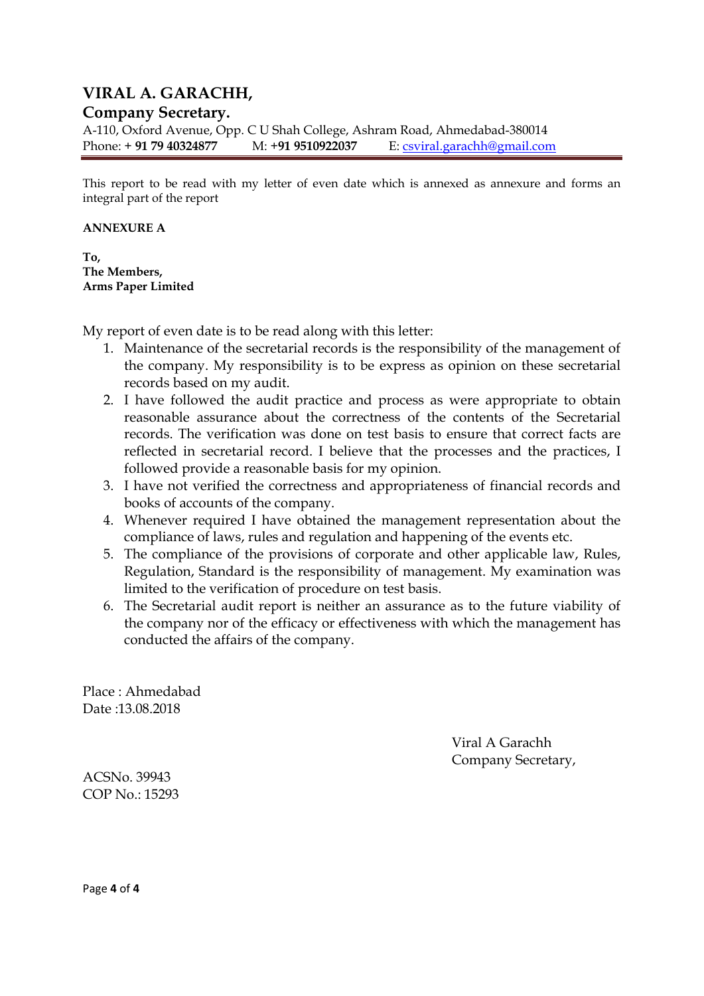## **VIRAL A. GARACHH,**

## **Company Secretary.**

A-110, Oxford Avenue, Opp. C U Shah College, Ashram Road, Ahmedabad-380014 Phone: + **91 79 40324877** M: +**91 9510922037** E: csviral.garachh@gmail.com

This report to be read with my letter of even date which is annexed as annexure and forms an integral part of the report

### **ANNEXURE A**

**To, The Members, Arms Paper Limited** 

My report of even date is to be read along with this letter:

- 1. Maintenance of the secretarial records is the responsibility of the management of the company. My responsibility is to be express as opinion on these secretarial records based on my audit.
- 2. I have followed the audit practice and process as were appropriate to obtain reasonable assurance about the correctness of the contents of the Secretarial records. The verification was done on test basis to ensure that correct facts are reflected in secretarial record. I believe that the processes and the practices, I followed provide a reasonable basis for my opinion.
- 3. I have not verified the correctness and appropriateness of financial records and books of accounts of the company.
- 4. Whenever required I have obtained the management representation about the compliance of laws, rules and regulation and happening of the events etc.
- 5. The compliance of the provisions of corporate and other applicable law, Rules, Regulation, Standard is the responsibility of management. My examination was limited to the verification of procedure on test basis.
- 6. The Secretarial audit report is neither an assurance as to the future viability of the company nor of the efficacy or effectiveness with which the management has conducted the affairs of the company.

Place : Ahmedabad Date :13.08.2018

> Viral A Garachh Company Secretary,

ACSNo. 39943 COP No.: 15293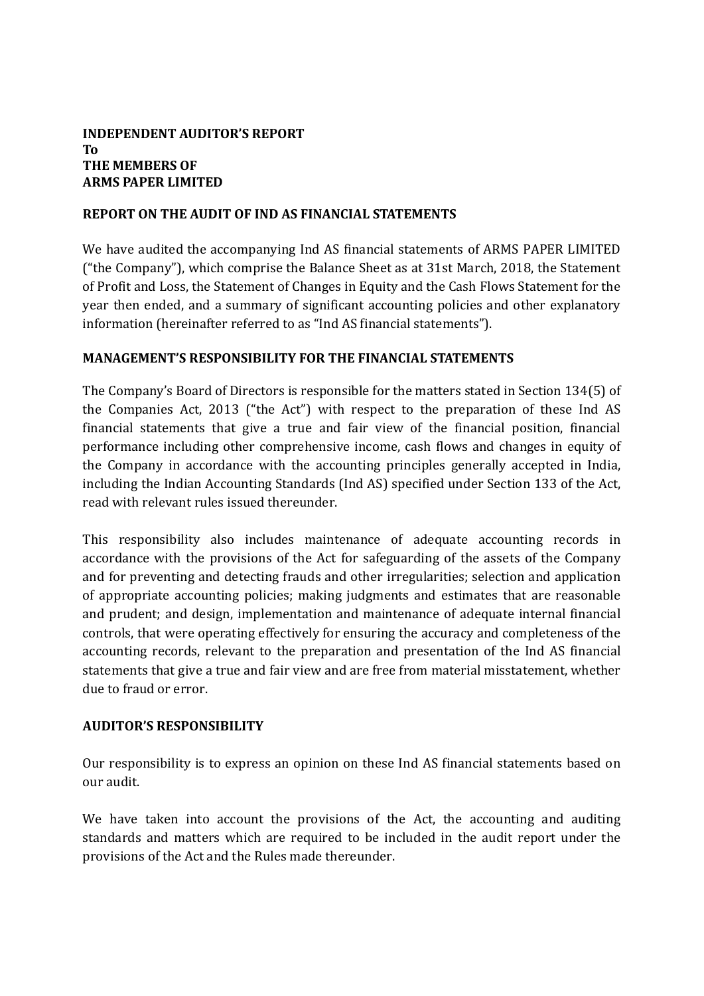## **INDEPENDENT AUDITOR'S REPORT To THE MEMBERS OF ARMS PAPER LIMITED**

## **REPORT ON THE AUDIT OF IND AS FINANCIAL STATEMENTS**

We have audited the accompanying Ind AS financial statements of ARMS PAPER LIMITED ("the Company"), which comprise the Balance Sheet as at 31st March, 2018, the Statement of Profit and Loss, the Statement of Changes in Equity and the Cash Flows Statement for the year then ended, and a summary of significant accounting policies and other explanatory information (hereinafter referred to as "Ind AS financial statements").

## **MANAGEMENT'S RESPONSIBILITY FOR THE FINANCIAL STATEMENTS**

The Company's Board of Directors is responsible for the matters stated in Section 134(5) of the Companies Act, 2013 ("the Act") with respect to the preparation of these Ind AS financial statements that give a true and fair view of the financial position, financial performance including other comprehensive income, cash flows and changes in equity of the Company in accordance with the accounting principles generally accepted in India, including the Indian Accounting Standards (Ind AS) specified under Section 133 of the Act, read with relevant rules issued thereunder.

This responsibility also includes maintenance of adequate accounting records in accordance with the provisions of the Act for safeguarding of the assets of the Company and for preventing and detecting frauds and other irregularities; selection and application of appropriate accounting policies; making judgments and estimates that are reasonable and prudent; and design, implementation and maintenance of adequate internal financial controls, that were operating effectively for ensuring the accuracy and completeness of the accounting records, relevant to the preparation and presentation of the Ind AS financial statements that give a true and fair view and are free from material misstatement, whether due to fraud or error.

## **AUDITOR'S RESPONSIBILITY**

Our responsibility is to express an opinion on these Ind AS financial statements based on our audit.

We have taken into account the provisions of the Act, the accounting and auditing standards and matters which are required to be included in the audit report under the provisions of the Act and the Rules made thereunder.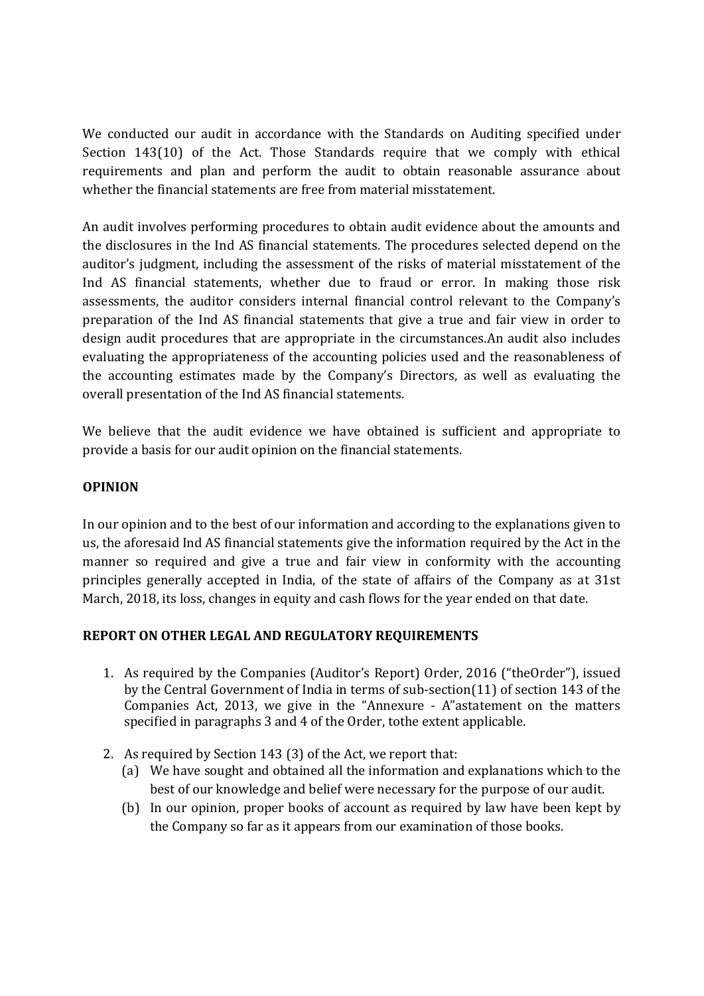We conducted our audit in accordance with the Standards on Auditing specified under Section 143(10) of the Act. Those Standards require that we comply with ethical requirements and plan and perform the audit to obtain reasonable assurance about whether the financial statements are free from material misstatement.

An audit involves performing procedures to obtain audit evidence about the amounts and the disclosures in the Ind AS financial statements. The procedures selected depend on the auditor's judgment, including the assessment of the risks of material misstatement of the Ind AS financial statements, whether due to fraud or error. In making those risk assessments, the auditor considers internal financial control relevant to the Company's preparation of the Ind AS financial statements that give a true and fair view in order to design audit procedures that are appropriate in the circumstances.An audit also includes evaluating the appropriateness of the accounting policies used and the reasonableness of the accounting estimates made by the Company's Directors, as well as evaluating the overall presentation of the Ind AS financial statements.

We believe that the audit evidence we have obtained is sufficient and appropriate to provide a basis for our audit opinion on the financial statements.

## **OPINION**

In our opinion and to the best of our information and according to the explanations given to us, the aforesaid Ind AS financial statements give the information required by the Act in the manner so required and give a true and fair view in conformity with the accounting principles generally accepted in India, of the state of affairs of the Company as at 31st March, 2018, its loss, changes in equity and cash flows for the year ended on that date.

## **REPORT ON OTHER LEGAL AND REGULATORY REQUIREMENTS**

- 1. As required by the Companies (Auditor's Report) Order, 2016 ("theOrder"), issued by the Central Government of India in terms of sub-section(11) of section 143 of the Companies Act, 2013, we give in the "Annexure - A"astatement on the matters specified in paragraphs 3 and 4 of the Order, tothe extent applicable.
- 2. As required by Section 143 (3) of the Act, we report that:
	- (a) We have sought and obtained all the information and explanations which to the best of our knowledge and belief were necessary for the purpose of our audit.
	- (b) In our opinion, proper books of account as required by law have been kept by the Company so far as it appears from our examination of those books.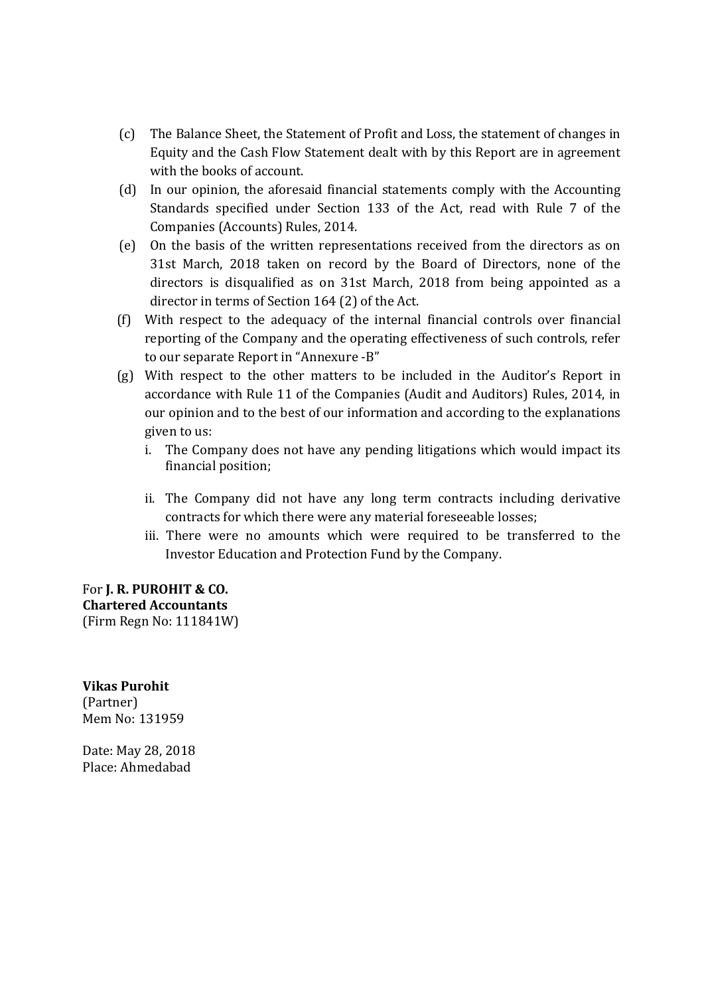- (c) The Balance Sheet, the Statement of Profit and Loss, the statement of changes in Equity and the Cash Flow Statement dealt with by this Report are in agreement with the books of account.
- (d) In our opinion, the aforesaid financial statements comply with the Accounting Standards specified under Section 133 of the Act, read with Rule 7 of the Companies (Accounts) Rules, 2014.
- (e) On the basis of the written representations received from the directors as on 31st March, 2018 taken on record by the Board of Directors, none of the directors is disqualified as on 31st March, 2018 from being appointed as a director in terms of Section 164 (2) of the Act.
- (f) With respect to the adequacy of the internal financial controls over financial reporting of the Company and the operating effectiveness of such controls, refer to our separate Report in "Annexure -B"
- (g) With respect to the other matters to be included in the Auditor's Report in accordance with Rule 11 of the Companies (Audit and Auditors) Rules, 2014, in our opinion and to the best of our information and according to the explanations given to us:
	- i. The Company does not have any pending litigations which would impact its financial position;
	- ii. The Company did not have any long term contracts including derivative contracts for which there were any material foreseeable losses;
	- iii. There were no amounts which were required to be transferred to the Investor Education and Protection Fund by the Company.

For **J. R. PUROHIT & CO. Chartered Accountants** (Firm Regn No: 111841W)

**Vikas Purohit**  (Partner) Mem No: 131959

Date: May 28, 2018 Place: Ahmedabad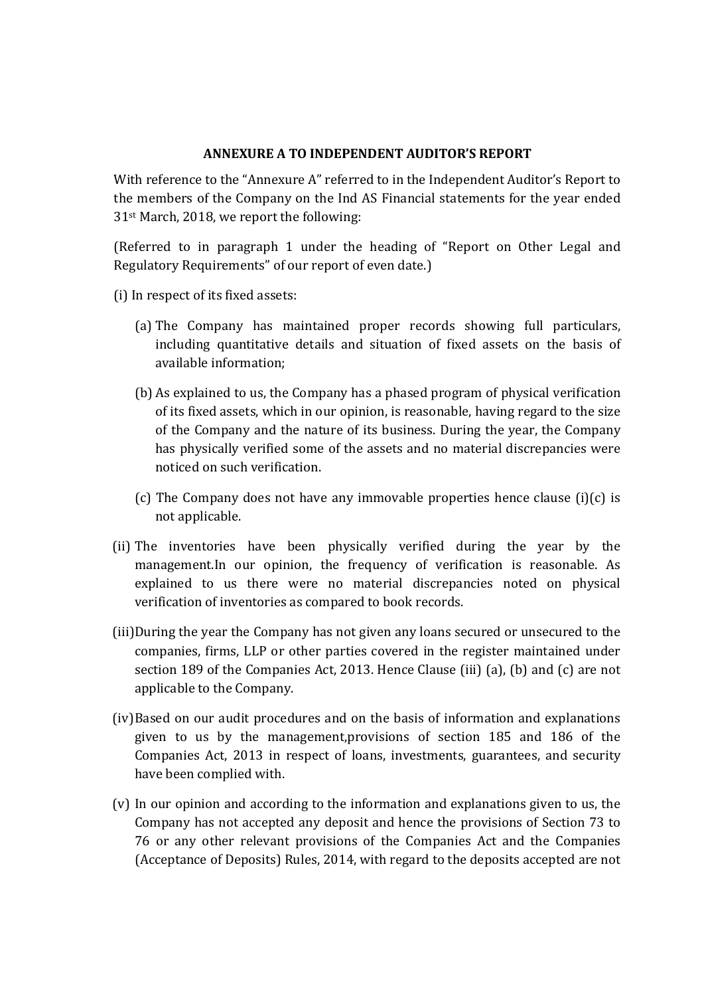## **ANNEXURE A TO INDEPENDENT AUDITOR'S REPORT**

With reference to the "Annexure A" referred to in the Independent Auditor's Report to the members of the Company on the Ind AS Financial statements for the year ended 31st March, 2018, we report the following:

(Referred to in paragraph 1 under the heading of "Report on Other Legal and Regulatory Requirements" of our report of even date.)

- (i) In respect of its fixed assets:
	- (a) The Company has maintained proper records showing full particulars, including quantitative details and situation of fixed assets on the basis of available information;
	- (b) As explained to us, the Company has a phased program of physical verification of its fixed assets, which in our opinion, is reasonable, having regard to the size of the Company and the nature of its business. During the year, the Company has physically verified some of the assets and no material discrepancies were noticed on such verification.
	- (c) The Company does not have any immovable properties hence clause (i)(c) is not applicable.
- (ii) The inventories have been physically verified during the year by the management.In our opinion, the frequency of verification is reasonable. As explained to us there were no material discrepancies noted on physical verification of inventories as compared to book records.
- (iii)During the year the Company has not given any loans secured or unsecured to the companies, firms, LLP or other parties covered in the register maintained under section 189 of the Companies Act, 2013. Hence Clause (iii) (a), (b) and (c) are not applicable to the Company.
- (iv) Based on our audit procedures and on the basis of information and explanations given to us by the management,provisions of section 185 and 186 of the Companies Act, 2013 in respect of loans, investments, guarantees, and security have been complied with.
- (v) In our opinion and according to the information and explanations given to us, the Company has not accepted any deposit and hence the provisions of Section 73 to 76 or any other relevant provisions of the Companies Act and the Companies (Acceptance of Deposits) Rules, 2014, with regard to the deposits accepted are not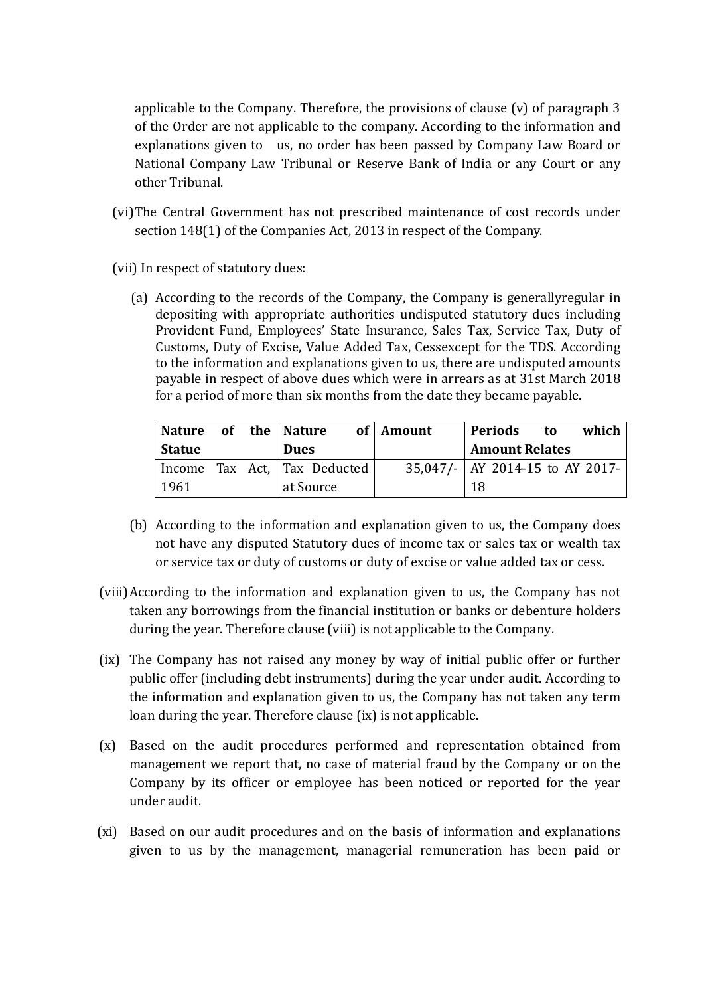applicable to the Company. Therefore, the provisions of clause (v) of paragraph 3 of the Order are not applicable to the company. According to the information and explanations given to us, no order has been passed by Company Law Board or National Company Law Tribunal or Reserve Bank of India or any Court or any other Tribunal.

- (vi) The Central Government has not prescribed maintenance of cost records under section 148(1) of the Companies Act, 2013 in respect of the Company.
- (vii) In respect of statutory dues:
	- (a) According to the records of the Company, the Company is generallyregular in depositing with appropriate authorities undisputed statutory dues including Provident Fund, Employees' State Insurance, Sales Tax, Service Tax, Duty of Customs, Duty of Excise, Value Added Tax, Cessexcept for the TDS. According to the information and explanations given to us, there are undisputed amounts payable in respect of above dues which were in arrears as at 31st March 2018 for a period of more than six months from the date they became payable.

| Nature of the Nature |  |                              | of   Amount | Periods<br>which<br>to            |  |
|----------------------|--|------------------------------|-------------|-----------------------------------|--|
| <b>Statue</b>        |  | <b>Dues</b>                  |             | <b>Amount Relates</b>             |  |
|                      |  | Income Tax Act, Tax Deducted |             | 35,047/-   AY 2014-15 to AY 2017- |  |
| 1961                 |  | at Source                    |             | 18                                |  |

- (b) According to the information and explanation given to us, the Company does not have any disputed Statutory dues of income tax or sales tax or wealth tax or service tax or duty of customs or duty of excise or value added tax or cess.
- (viii) According to the information and explanation given to us, the Company has not taken any borrowings from the financial institution or banks or debenture holders during the year. Therefore clause (viii) is not applicable to the Company.
- (ix) The Company has not raised any money by way of initial public offer or further public offer (including debt instruments) during the year under audit. According to the information and explanation given to us, the Company has not taken any term loan during the year. Therefore clause (ix) is not applicable.
- (x) Based on the audit procedures performed and representation obtained from management we report that, no case of material fraud by the Company or on the Company by its officer or employee has been noticed or reported for the year under audit.
- (xi) Based on our audit procedures and on the basis of information and explanations given to us by the management, managerial remuneration has been paid or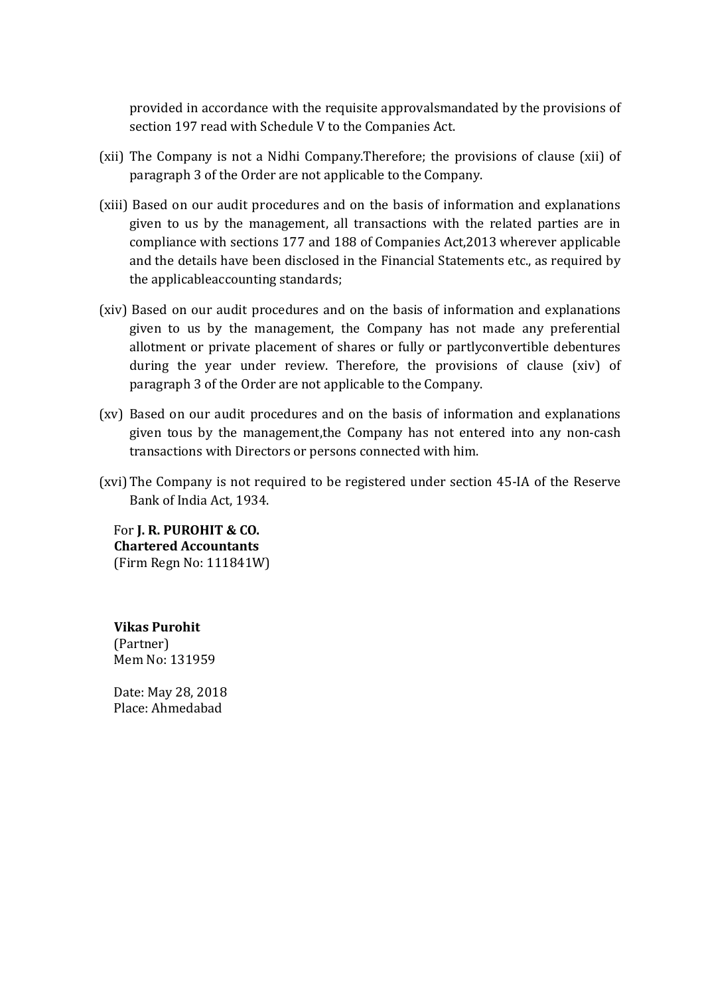provided in accordance with the requisite approvalsmandated by the provisions of section 197 read with Schedule V to the Companies Act.

- (xii) The Company is not a Nidhi Company.Therefore; the provisions of clause (xii) of paragraph 3 of the Order are not applicable to the Company.
- (xiii) Based on our audit procedures and on the basis of information and explanations given to us by the management, all transactions with the related parties are in compliance with sections 177 and 188 of Companies Act,2013 wherever applicable and the details have been disclosed in the Financial Statements etc., as required by the applicableaccounting standards;
- (xiv) Based on our audit procedures and on the basis of information and explanations given to us by the management, the Company has not made any preferential allotment or private placement of shares or fully or partlyconvertible debentures during the year under review. Therefore, the provisions of clause (xiv) of paragraph 3 of the Order are not applicable to the Company.
- (xv) Based on our audit procedures and on the basis of information and explanations given tous by the management,the Company has not entered into any non-cash transactions with Directors or persons connected with him.
- (xvi) The Company is not required to be registered under section 45-IA of the Reserve Bank of India Act, 1934.

For **J. R. PUROHIT & CO. Chartered Accountants** (Firm Regn No: 111841W)

**Vikas Purohit**  (Partner) Mem No: 131959

Date: May 28, 2018 Place: Ahmedabad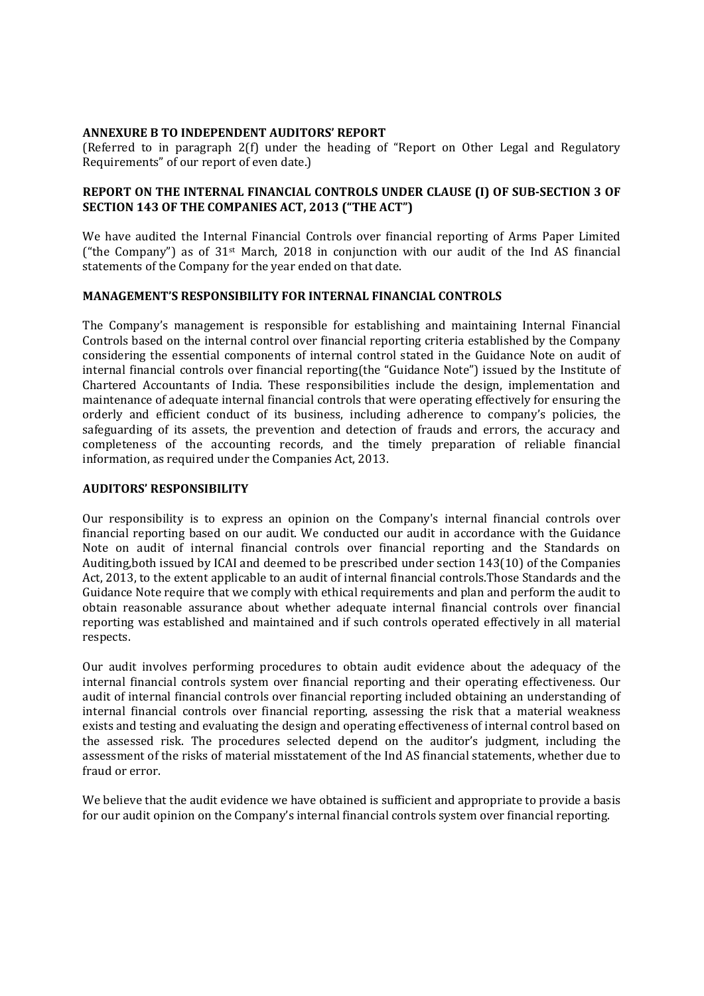### **ANNEXURE B TO INDEPENDENT AUDITORS' REPORT**

(Referred to in paragraph 2(f) under the heading of "Report on Other Legal and Regulatory Requirements" of our report of even date.)

## **REPORT ON THE INTERNAL FINANCIAL CONTROLS UNDER CLAUSE (I) OF SUB-SECTION 3 OF SECTION 143 OF THE COMPANIES ACT, 2013 ("THE ACT")**

We have audited the Internal Financial Controls over financial reporting of Arms Paper Limited ("the Company") as of 31st March, 2018 in conjunction with our audit of the Ind AS financial statements of the Company for the year ended on that date.

### **MANAGEMENT'S RESPONSIBILITY FOR INTERNAL FINANCIAL CONTROLS**

The Company's management is responsible for establishing and maintaining Internal Financial Controls based on the internal control over financial reporting criteria established by the Company considering the essential components of internal control stated in the Guidance Note on audit of internal financial controls over financial reporting(the "Guidance Note") issued by the Institute of Chartered Accountants of India. These responsibilities include the design, implementation and maintenance of adequate internal financial controls that were operating effectively for ensuring the orderly and efficient conduct of its business, including adherence to company's policies, the safeguarding of its assets, the prevention and detection of frauds and errors, the accuracy and completeness of the accounting records, and the timely preparation of reliable financial information, as required under the Companies Act, 2013.

### **AUDITORS' RESPONSIBILITY**

Our responsibility is to express an opinion on the Company's internal financial controls over financial reporting based on our audit. We conducted our audit in accordance with the Guidance Note on audit of internal financial controls over financial reporting and the Standards on Auditing,both issued by ICAI and deemed to be prescribed under section 143(10) of the Companies Act, 2013, to the extent applicable to an audit of internal financial controls.Those Standards and the Guidance Note require that we comply with ethical requirements and plan and perform the audit to obtain reasonable assurance about whether adequate internal financial controls over financial reporting was established and maintained and if such controls operated effectively in all material respects.

Our audit involves performing procedures to obtain audit evidence about the adequacy of the internal financial controls system over financial reporting and their operating effectiveness. Our audit of internal financial controls over financial reporting included obtaining an understanding of internal financial controls over financial reporting, assessing the risk that a material weakness exists and testing and evaluating the design and operating effectiveness of internal control based on the assessed risk. The procedures selected depend on the auditor's judgment, including the assessment of the risks of material misstatement of the Ind AS financial statements, whether due to fraud or error.

We believe that the audit evidence we have obtained is sufficient and appropriate to provide a basis for our audit opinion on the Company's internal financial controls system over financial reporting.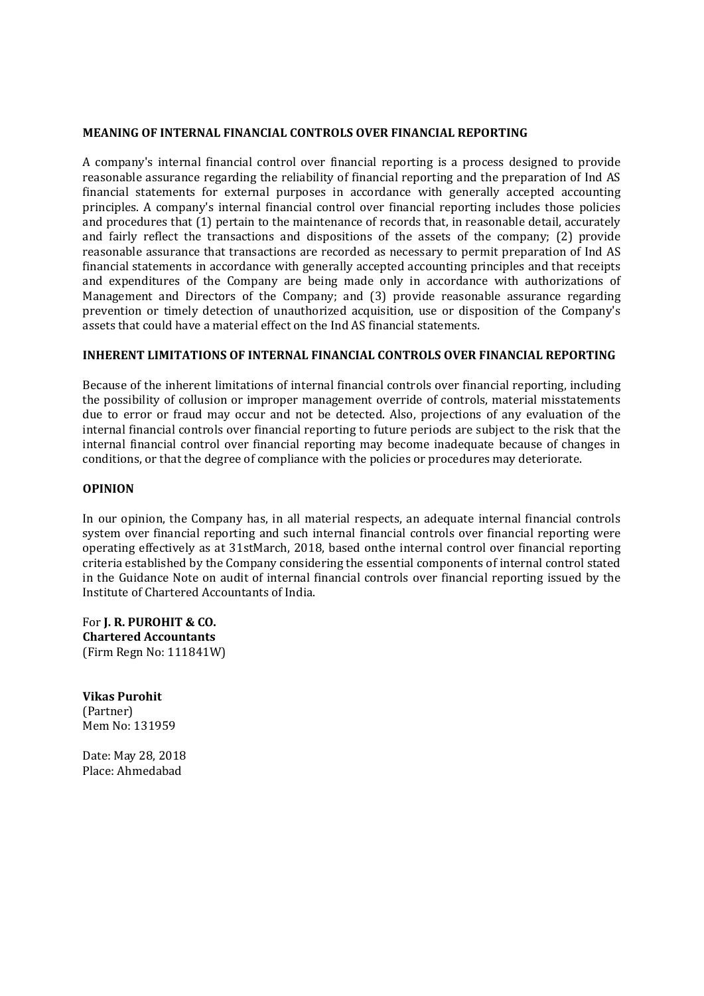### **MEANING OF INTERNAL FINANCIAL CONTROLS OVER FINANCIAL REPORTING**

A company's internal financial control over financial reporting is a process designed to provide reasonable assurance regarding the reliability of financial reporting and the preparation of Ind AS financial statements for external purposes in accordance with generally accepted accounting principles. A company's internal financial control over financial reporting includes those policies and procedures that (1) pertain to the maintenance of records that, in reasonable detail, accurately and fairly reflect the transactions and dispositions of the assets of the company; (2) provide reasonable assurance that transactions are recorded as necessary to permit preparation of Ind AS financial statements in accordance with generally accepted accounting principles and that receipts and expenditures of the Company are being made only in accordance with authorizations of Management and Directors of the Company; and (3) provide reasonable assurance regarding prevention or timely detection of unauthorized acquisition, use or disposition of the Company's assets that could have a material effect on the Ind AS financial statements.

### **INHERENT LIMITATIONS OF INTERNAL FINANCIAL CONTROLS OVER FINANCIAL REPORTING**

Because of the inherent limitations of internal financial controls over financial reporting, including the possibility of collusion or improper management override of controls, material misstatements due to error or fraud may occur and not be detected. Also, projections of any evaluation of the internal financial controls over financial reporting to future periods are subject to the risk that the internal financial control over financial reporting may become inadequate because of changes in conditions, or that the degree of compliance with the policies or procedures may deteriorate.

### **OPINION**

In our opinion, the Company has, in all material respects, an adequate internal financial controls system over financial reporting and such internal financial controls over financial reporting were operating effectively as at 31stMarch, 2018, based onthe internal control over financial reporting criteria established by the Company considering the essential components of internal control stated in the Guidance Note on audit of internal financial controls over financial reporting issued by the Institute of Chartered Accountants of India.

For **J. R. PUROHIT & CO. Chartered Accountants** (Firm Regn No: 111841W)

**Vikas Purohit**  (Partner) Mem No: 131959

Date: May 28, 2018 Place: Ahmedabad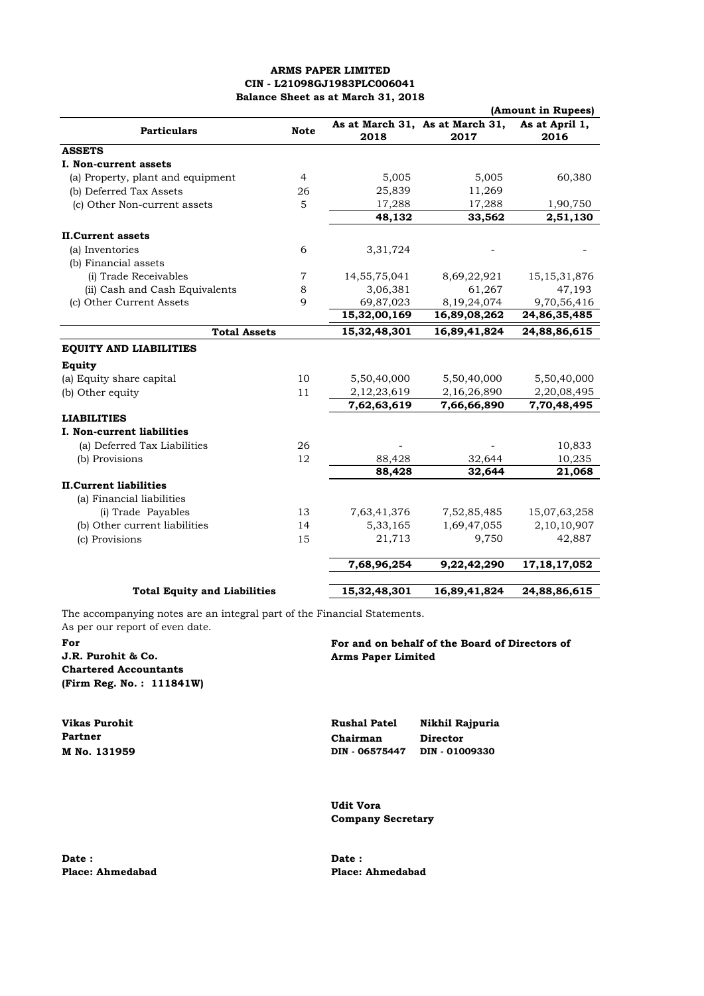### **ARMS PAPER LIMITED CIN - L21098GJ1983PLC006041 Balance Sheet as at March 31, 2018**

|                                     |                |              |                                         | (Amount in Rupees)     |
|-------------------------------------|----------------|--------------|-----------------------------------------|------------------------|
| <b>Particulars</b>                  | <b>Note</b>    | 2018         | As at March 31, As at March 31,<br>2017 | As at April 1,<br>2016 |
| <b>ASSETS</b>                       |                |              |                                         |                        |
| I. Non-current assets               |                |              |                                         |                        |
| (a) Property, plant and equipment   | $\overline{4}$ | 5,005        | 5,005                                   | 60,380                 |
| (b) Deferred Tax Assets             | 26             | 25,839       | 11,269                                  |                        |
| (c) Other Non-current assets        | 5              | 17,288       | 17,288                                  | 1,90,750               |
|                                     |                | 48,132       | 33,562                                  | 2,51,130               |
| <b>II.Current assets</b>            |                |              |                                         |                        |
| (a) Inventories                     | 6              | 3,31,724     |                                         |                        |
| (b) Financial assets                |                |              |                                         |                        |
| (i) Trade Receivables               | 7              | 14,55,75,041 | 8,69,22,921                             | 15, 15, 31, 876        |
| (ii) Cash and Cash Equivalents      | 8              | 3,06,381     | 61,267                                  | 47,193                 |
| (c) Other Current Assets            | $\mathbf Q$    | 69,87,023    | 8,19,24,074                             | 9,70,56,416            |
|                                     |                | 15,32,00,169 | 16,89,08,262                            | 24,86,35,485           |
| <b>Total Assets</b>                 |                | 15,32,48,301 | 16,89,41,824                            | 24,88,86,615           |
| <b>EQUITY AND LIABILITIES</b>       |                |              |                                         |                        |
| Equity                              |                |              |                                         |                        |
| (a) Equity share capital            | 10             | 5,50,40,000  | 5,50,40,000                             | 5,50,40,000            |
| (b) Other equity                    | 11             | 2,12,23,619  | 2,16,26,890                             | 2,20,08,495            |
|                                     |                | 7,62,63,619  | 7,66,66,890                             | 7,70,48,495            |
| <b>LIABILITIES</b>                  |                |              |                                         |                        |
| I. Non-current liabilities          |                |              |                                         |                        |
| (a) Deferred Tax Liabilities        | 26             |              |                                         | 10,833                 |
| (b) Provisions                      | 12             | 88,428       | 32,644                                  | 10,235                 |
|                                     |                | 88,428       | 32,644                                  | 21,068                 |
| <b>II.Current liabilities</b>       |                |              |                                         |                        |
| (a) Financial liabilities           |                |              |                                         |                        |
| (i) Trade Payables                  | 13             | 7,63,41,376  | 7,52,85,485                             | 15,07,63,258           |
| (b) Other current liabilities       | 14             | 5,33,165     | 1,69,47,055                             | 2,10,10,907            |
| (c) Provisions                      | 15             | 21,713       | 9,750                                   | 42,887                 |
|                                     |                | 7,68,96,254  | 9,22,42,290                             | 17, 18, 17, 052        |
|                                     |                |              |                                         |                        |
| <b>Total Equity and Liabilities</b> |                | 15,32,48,301 | 16,89,41,824                            | 24,88,86,615           |

The accompanying notes are an integral part of the Financial Statements. As per our report of even date.

## **J.R. Purohit & Co. Arms Paper Limited Chartered Accountants (Firm Reg. No. : 111841W)**

**For For and on behalf of the Board of Directors of**

**Vikas Purohit Rushal Patel Nikhil Rajpuria Partner Chairman Director**<br>**M** No. 131959 **Chairman DIN** - 06575447 **DIN** - 010 **M No. 131959 DIN - 06575447 DIN - 01009330**

> **Udit Vora Company Secretary**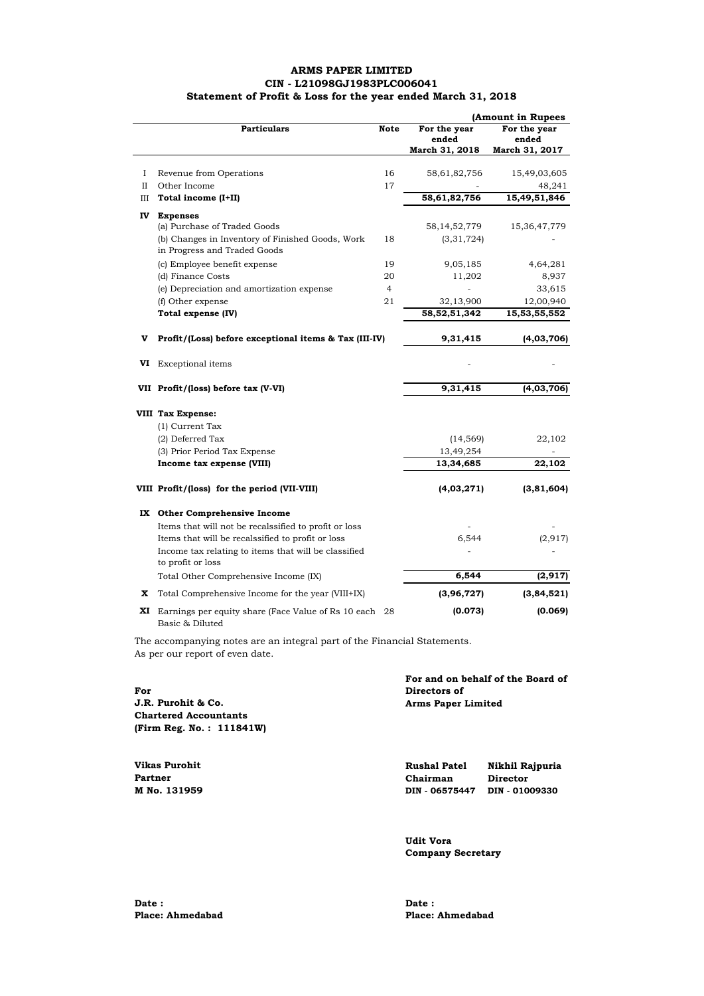### **ARMS PAPER LIMITED CIN - L21098GJ1983PLC006041 Statement of Profit & Loss for the year ended March 31, 2018**

|             |                                                                                  | (Amount in Rupees |                                         |                                         |  |
|-------------|----------------------------------------------------------------------------------|-------------------|-----------------------------------------|-----------------------------------------|--|
|             | <b>Particulars</b>                                                               | <b>Note</b>       | For the year<br>ended<br>March 31, 2018 | For the year<br>ended<br>March 31, 2017 |  |
| I           | Revenue from Operations                                                          | 16                | 58,61,82,756                            | 15,49,03,605                            |  |
| $_{\rm II}$ | Other Income                                                                     | 17                |                                         | 48,241                                  |  |
| III         | Total income (I+II)                                                              |                   | 58,61,82,756                            | 15,49,51,846                            |  |
| IV          | <b>Expenses</b>                                                                  |                   |                                         |                                         |  |
|             | (a) Purchase of Traded Goods                                                     |                   | 58, 14, 52, 779                         | 15,36,47,779                            |  |
|             | (b) Changes in Inventory of Finished Goods, Work<br>in Progress and Traded Goods | 18                | (3,31,724)                              |                                         |  |
|             | (c) Employee benefit expense                                                     | 19                | 9,05,185                                | 4,64,281                                |  |
|             | (d) Finance Costs                                                                | 20                | 11,202                                  | 8,937                                   |  |
|             | (e) Depreciation and amortization expense                                        | $\overline{4}$    |                                         | 33,615                                  |  |
|             | (f) Other expense                                                                | 21                | 32,13,900                               | 12,00,940                               |  |
|             | Total expense (IV)                                                               |                   | 58, 52, 51, 342                         | 15,53,55,552                            |  |
| V           | Profit/(Loss) before exceptional items & Tax (III-IV)                            |                   | 9,31,415                                | (4,03,706)                              |  |
| VI          | <b>Exceptional</b> items                                                         |                   |                                         |                                         |  |
|             | VII Profit/(loss) before tax (V-VI)                                              |                   | 9,31,415                                | (4,03,706)                              |  |
|             | VIII Tax Expense:                                                                |                   |                                         |                                         |  |
|             | (1) Current Tax                                                                  |                   |                                         |                                         |  |
|             | (2) Deferred Tax                                                                 |                   | (14, 569)                               | 22,102                                  |  |
|             | (3) Prior Period Tax Expense                                                     |                   | 13,49,254                               |                                         |  |
|             | Income tax expense (VIII)                                                        |                   | 13,34,685                               | 22,102                                  |  |
|             | VIII Profit/(loss) for the period (VII-VIII)                                     |                   | (4,03,271)                              | (3,81,604)                              |  |
|             | IX Other Comprehensive Income                                                    |                   |                                         |                                         |  |
|             | Items that will not be recalssified to profit or loss                            |                   |                                         |                                         |  |
|             | Items that will be recalssified to profit or loss                                |                   | 6,544                                   | (2, 917)                                |  |
|             | Income tax relating to items that will be classified<br>to profit or loss        |                   |                                         |                                         |  |
|             | Total Other Comprehensive Income (IX)                                            |                   | 6,544                                   | (2, 917)                                |  |
| x           | Total Comprehensive Income for the year (VIII+IX)                                |                   | (3,96,727)                              | (3,84,521)                              |  |
| XI          | Earnings per equity share (Face Value of Rs 10 each 28)<br>Basic & Diluted       |                   | (0.073)                                 | (0.069)                                 |  |

The accompanying notes are an integral part of the Financial Statements. As per our report of even date.

|                              | For and on behalf of the Board of |
|------------------------------|-----------------------------------|
| For                          | Directors of                      |
| J.R. Purohit & Co.           | <b>Arms Paper Limited</b>         |
| <b>Chartered Accountants</b> |                                   |
| (Firm Reg. No.: 111841W)     |                                   |

| Vikas Purohit | <b>Rushal Patel</b> | Nikhil Rajpuria |
|---------------|---------------------|-----------------|
| Partner       | Chairman            | Director        |
| M No. 131959  | DIN - 06575447      | DIN - 01009330  |

**Udit Vora Company Secretary**

**Date : Date : Date :** 

**Place: Ahmedabad Place: Ahmedabad**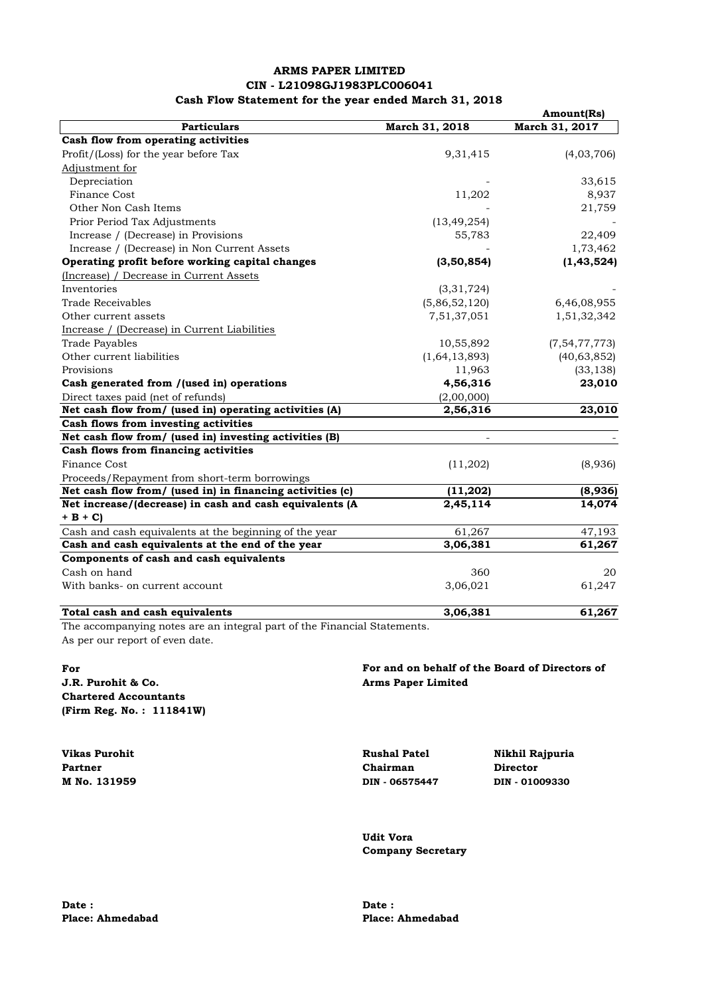### **ARMS PAPER LIMITED CIN - L21098GJ1983PLC006041 Cash Flow Statement for the year ended March 31, 2018**

|                                                           |                          | Amount(Rs)       |
|-----------------------------------------------------------|--------------------------|------------------|
| <b>Particulars</b>                                        | March 31, 2018           | March 31, 2017   |
| Cash flow from operating activities                       |                          |                  |
| Profit/(Loss) for the year before Tax                     | 9,31,415                 | (4,03,706)       |
| Adjustment for                                            |                          |                  |
| Depreciation                                              |                          | 33,615           |
| <b>Finance Cost</b>                                       | 11,202                   | 8,937            |
| Other Non Cash Items                                      |                          | 21,759           |
| Prior Period Tax Adjustments                              | (13, 49, 254)            |                  |
| Increase / (Decrease) in Provisions                       | 55,783                   | 22,409           |
| Increase / (Decrease) in Non Current Assets               |                          | 1,73,462         |
| Operating profit before working capital changes           | (3,50,854)               | (1, 43, 524)     |
| (Increase) / Decrease in Current Assets                   |                          |                  |
| Inventories                                               | (3,31,724)               |                  |
| <b>Trade Receivables</b>                                  | (5,86,52,120)            | 6,46,08,955      |
| Other current assets                                      | 7,51,37,051              | 1,51,32,342      |
| Increase / (Decrease) in Current Liabilities              |                          |                  |
| <b>Trade Payables</b>                                     | 10,55,892                | (7, 54, 77, 773) |
| Other current liabilities                                 | (1,64,13,893)            | (40, 63, 852)    |
| Provisions                                                | 11,963                   | (33, 138)        |
| Cash generated from /(used in) operations                 | 4,56,316                 | 23,010           |
| Direct taxes paid (net of refunds)                        | (2,00,000)               |                  |
| Net cash flow from/ (used in) operating activities (A)    | 2,56,316                 | 23,010           |
| Cash flows from investing activities                      |                          |                  |
| Net cash flow from/ (used in) investing activities (B)    | $\overline{\phantom{a}}$ |                  |
| Cash flows from financing activities                      |                          |                  |
| <b>Finance Cost</b>                                       | (11,202)                 | (8,936)          |
| Proceeds/Repayment from short-term borrowings             |                          |                  |
| Net cash flow from/ (used in) in financing activities (c) | (11,202)                 | (8,936)          |
| Net increase/(decrease) in cash and cash equivalents (A   | 2,45,114                 | 14,074           |
| $+ B + C$                                                 |                          |                  |
| Cash and cash equivalents at the beginning of the year    | 61,267                   | 47,193           |
| Cash and cash equivalents at the end of the year          | 3,06,381                 | 61,267           |
| Components of cash and cash equivalents                   |                          |                  |
| Cash on hand                                              | 360                      | 20               |
| With banks- on current account                            | 3,06,021                 | 61,247           |
| Total cash and cash equivalents                           | 3,06,381                 | 61,267           |

The accompanying notes are an integral part of the Financial Statements. As per our report of even date.

**For J.R. Purohit & Co. Arms Paper Limited Chartered Accountants (Firm Reg. No. : 111841W)**

**Partner Chairman Director M No. 131959 DIN - 06575447 DIN - 01009330**

# **For and on behalf of the Board of Directors of**

**Vikas Purohit Rushal Patel Nikhil Rajpuria**

**Udit Vora Company Secretary**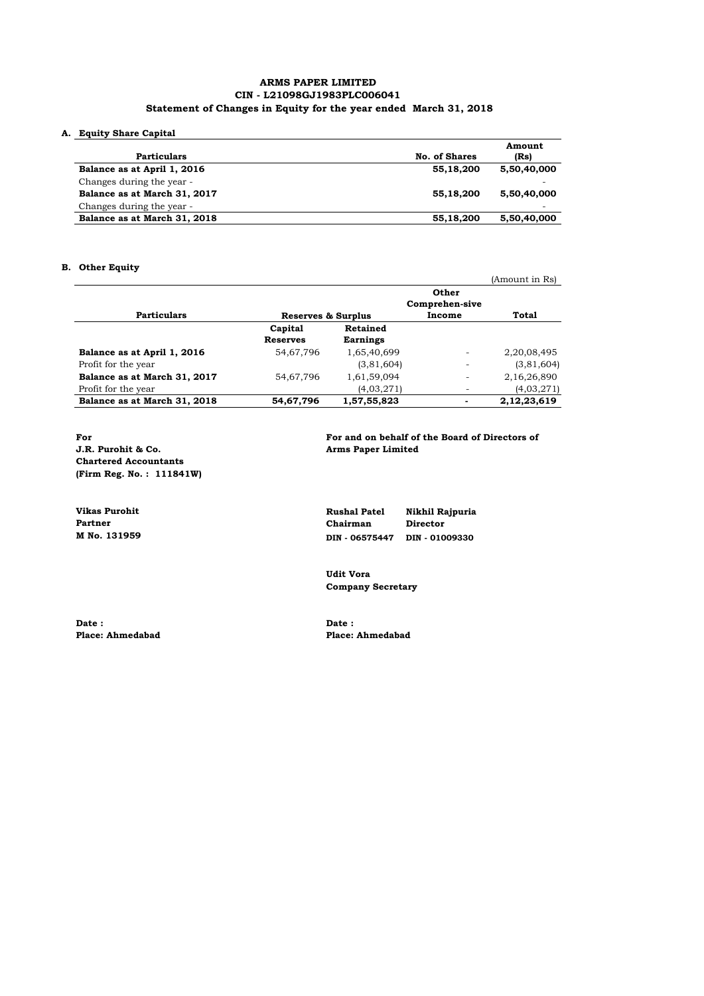### **ARMS PAPER LIMITED CIN - L21098GJ1983PLC006041 Statement of Changes in Equity for the year ended March 31, 2018**

### **A. Equity Share Capital**

|                              |               | Amount      |
|------------------------------|---------------|-------------|
| <b>Particulars</b>           | No. of Shares | (Rs)        |
| Balance as at April 1, 2016  | 55,18,200     | 5,50,40,000 |
| Changes during the year -    |               |             |
| Balance as at March 31, 2017 | 55,18,200     | 5,50,40,000 |
| Changes during the year -    |               |             |
| Balance as at March 31, 2018 | 55,18,200     | 5,50,40,000 |

### **B. Other Equity**

|                              |                            |                             |                                   | (Amount in Rs) |
|------------------------------|----------------------------|-----------------------------|-----------------------------------|----------------|
| <b>Particulars</b>           | Reserves & Surplus         |                             | Other<br>Comprehen-sive<br>Income | <b>Total</b>   |
|                              | Capital<br><b>Reserves</b> | Retained<br><b>Earnings</b> |                                   |                |
| Balance as at April 1, 2016  | 54,67,796                  | 1,65,40,699                 | $\overline{\phantom{a}}$          | 2,20,08,495    |
| Profit for the year          |                            | (3,81,604)                  | ۰                                 | (3,81,604)     |
| Balance as at March 31, 2017 | 54,67,796                  | 1,61,59,094                 | ٠                                 | 2,16,26,890    |
| Profit for the year          |                            | (4,03,271)                  | ۰                                 | (4,03,271)     |
| Balance as at March 31, 2018 | 54,67,796                  | 1,57,55,823                 | ۰                                 | 2,12,23,619    |

**Chartered Accountants (Firm Reg. No. : 111841W)**

Date : **Date : Date : Date : Place: Ahmedabad Place: Place: Place: Place: Place: Place: Place: Place: Place: Place: Place: Place: Place: Place: Place: Place: Place: Place: Plac** 

For<br>
For and on behalf of the Board of Directors of<br> **J.R. Purohit & Co.**<br> **Arms Paper Limited Arms Paper Limited** 

**Vikas Purohit Rushal Patel Nikhil Rajpuria Partner Chairman Director M** No. 131959 **M** No. 131959 **M** No. 131959 **M** No. 131959 **M M No. 131959 DIN - 06575447 DIN - 01009330**

> **Udit Vora Company Secretary**

**Place: Ahmedabad Place: Ahmedabad**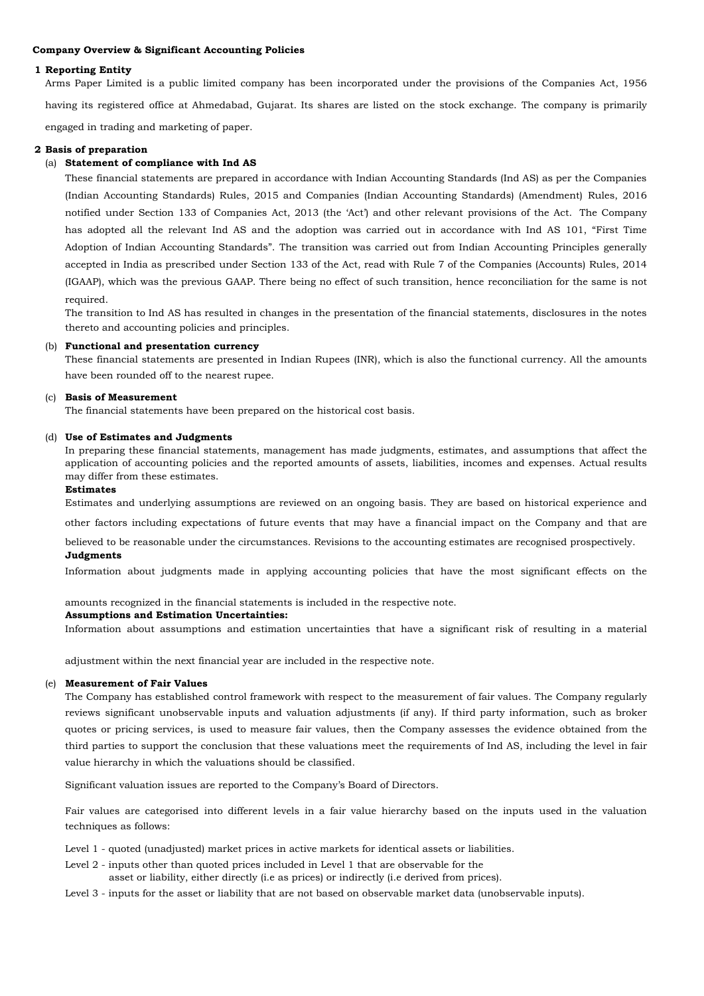### **Company Overview & Significant Accounting Policies**

### **1 Reporting Entity**

Arms Paper Limited is a public limited company has been incorporated under the provisions of the Companies Act, 1956 having its registered office at Ahmedabad, Gujarat. Its shares are listed on the stock exchange. The company is primarily engaged in trading and marketing of paper.

### **2 Basis of preparation**

### (a) **Statement of compliance with Ind AS**

These financial statements are prepared in accordance with Indian Accounting Standards (Ind AS) as per the Companies (Indian Accounting Standards) Rules, 2015 and Companies (Indian Accounting Standards) (Amendment) Rules, 2016 notified under Section 133 of Companies Act, 2013 (the 'Act') and other relevant provisions of the Act. The Company has adopted all the relevant Ind AS and the adoption was carried out in accordance with Ind AS 101, "First Time Adoption of Indian Accounting Standards". The transition was carried out from Indian Accounting Principles generally accepted in India as prescribed under Section 133 of the Act, read with Rule 7 of the Companies (Accounts) Rules, 2014 (IGAAP), which was the previous GAAP. There being no effect of such transition, hence reconciliation for the same is not required.

The transition to Ind AS has resulted in changes in the presentation of the financial statements, disclosures in the notes thereto and accounting policies and principles.

### (b) **Functional and presentation currency**

These financial statements are presented in Indian Rupees (INR), which is also the functional currency. All the amounts have been rounded off to the nearest rupee.

### (c) **Basis of Measurement**

The financial statements have been prepared on the historical cost basis.

### (d) **Use of Estimates and Judgments**

In preparing these financial statements, management has made judgments, estimates, and assumptions that affect the application of accounting policies and the reported amounts of assets, liabilities, incomes and expenses. Actual results may differ from these estimates.

### **Estimates**

Estimates and underlying assumptions are reviewed on an ongoing basis. They are based on historical experience and

other factors including expectations of future events that may have a financial impact on the Company and that are

believed to be reasonable under the circumstances. Revisions to the accounting estimates are recognised prospectively.

### **Judgments**

Information about judgments made in applying accounting policies that have the most significant effects on the

amounts recognized in the financial statements is included in the respective note.

### **Assumptions and Estimation Uncertainties:**

Information about assumptions and estimation uncertainties that have a significant risk of resulting in a material

adjustment within the next financial year are included in the respective note.

### (e) **Measurement of Fair Values**

The Company has established control framework with respect to the measurement of fair values. The Company regularly reviews significant unobservable inputs and valuation adjustments (if any). If third party information, such as broker quotes or pricing services, is used to measure fair values, then the Company assesses the evidence obtained from the third parties to support the conclusion that these valuations meet the requirements of Ind AS, including the level in fair value hierarchy in which the valuations should be classified.

Significant valuation issues are reported to the Company's Board of Directors.

Fair values are categorised into different levels in a fair value hierarchy based on the inputs used in the valuation techniques as follows:

- Level 1 quoted (unadjusted) market prices in active markets for identical assets or liabilities.
- Level 2 inputs other than quoted prices included in Level 1 that are observable for the asset or liability, either directly (i.e as prices) or indirectly (i.e derived from prices).
- Level 3 inputs for the asset or liability that are not based on observable market data (unobservable inputs).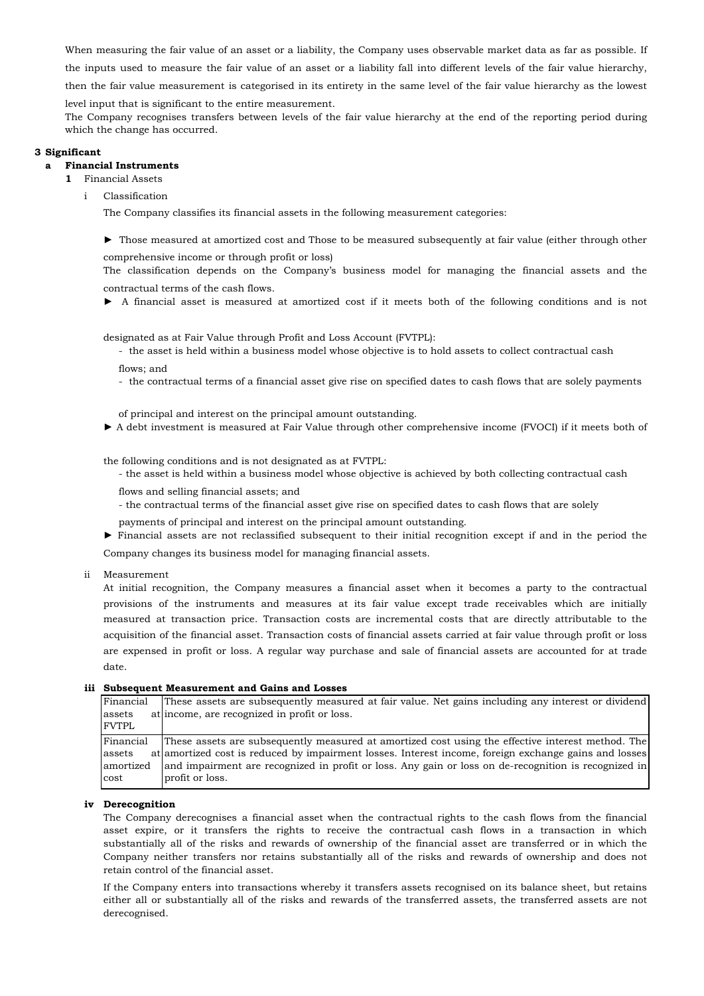When measuring the fair value of an asset or a liability, the Company uses observable market data as far as possible. If

the inputs used to measure the fair value of an asset or a liability fall into different levels of the fair value hierarchy,

then the fair value measurement is categorised in its entirety in the same level of the fair value hierarchy as the lowest

level input that is significant to the entire measurement.

The Company recognises transfers between levels of the fair value hierarchy at the end of the reporting period during which the change has occurred.

### **3 Significant**

#### **a Financial Instruments**

- **1** Financial Assets
	- i Classification

The Company classifies its financial assets in the following measurement categories:

► Those measured at amortized cost and Those to be measured subsequently at fair value (either through other

comprehensive income or through profit or loss)

The classification depends on the Company's business model for managing the financial assets and the contractual terms of the cash flows.

► A financial asset is measured at amortized cost if it meets both of the following conditions and is not

designated as at Fair Value through Profit and Loss Account (FVTPL):

- the asset is held within a business model whose objective is to hold assets to collect contractual cash flows; and

- the contractual terms of a financial asset give rise on specified dates to cash flows that are solely payments

of principal and interest on the principal amount outstanding.

► A debt investment is measured at Fair Value through other comprehensive income (FVOCI) if it meets both of

the following conditions and is not designated as at FVTPL:

- the asset is held within a business model whose objective is achieved by both collecting contractual cash

flows and selling financial assets; and

- the contractual terms of the financial asset give rise on specified dates to cash flows that are solely
- payments of principal and interest on the principal amount outstanding.

► Financial assets are not reclassified subsequent to their initial recognition except if and in the period the

Company changes its business model for managing financial assets.

ii Measurement

At initial recognition, the Company measures a financial asset when it becomes a party to the contractual provisions of the instruments and measures at its fair value except trade receivables which are initially measured at transaction price. Transaction costs are incremental costs that are directly attributable to the acquisition of the financial asset. Transaction costs of financial assets carried at fair value through profit or loss are expensed in profit or loss. A regular way purchase and sale of financial assets are accounted for at trade date.

### **iii Subsequent Measurement and Gains and Losses**

| Financial    | These assets are subsequently measured at fair value. Net gains including any interest or dividend                                                                                                                             |
|--------------|--------------------------------------------------------------------------------------------------------------------------------------------------------------------------------------------------------------------------------|
| assets       | at income, are recognized in profit or loss.                                                                                                                                                                                   |
| <b>FVTPL</b> |                                                                                                                                                                                                                                |
| Financial    | These assets are subsequently measured at amortized cost using the effective interest method. The                                                                                                                              |
| assets       | at at a term at a term of the set of the set of the set of the set of the set of the set of the set of the set of the set of the set of the set of the set of the set of the set of the set of the set of the set of the set o |
| amortized    | and impairment are recognized in profit or loss. Any gain or loss on de-recognition is recognized in                                                                                                                           |
| cost         | profit or loss.                                                                                                                                                                                                                |

### **iv Derecognition**

The Company derecognises a financial asset when the contractual rights to the cash flows from the financial asset expire, or it transfers the rights to receive the contractual cash flows in a transaction in which substantially all of the risks and rewards of ownership of the financial asset are transferred or in which the Company neither transfers nor retains substantially all of the risks and rewards of ownership and does not retain control of the financial asset.

If the Company enters into transactions whereby it transfers assets recognised on its balance sheet, but retains either all or substantially all of the risks and rewards of the transferred assets, the transferred assets are not derecognised.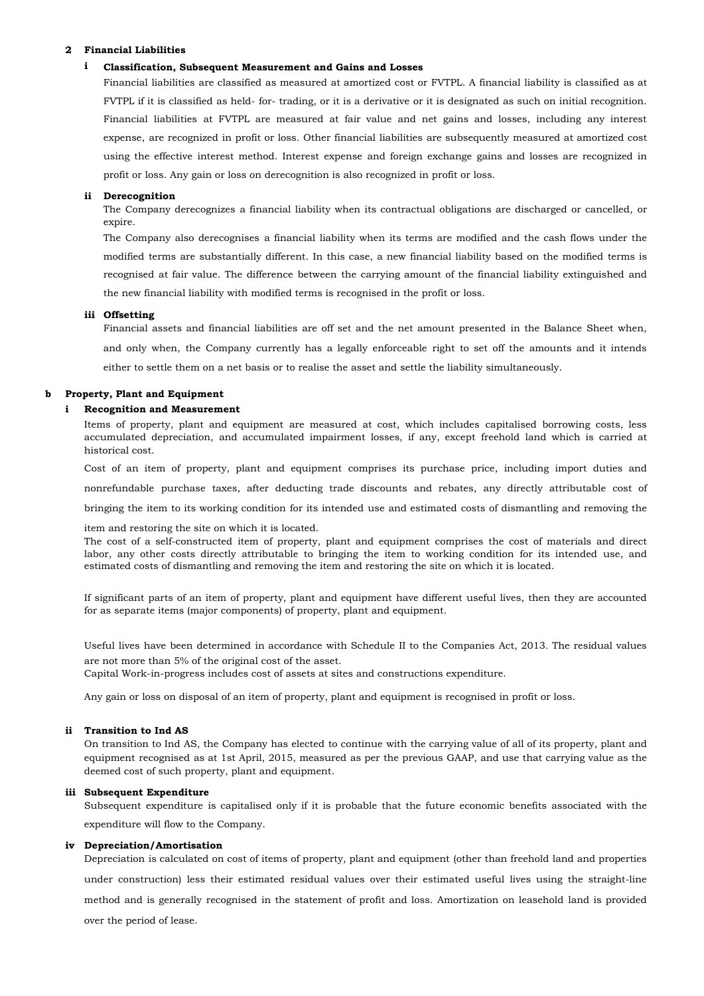### **2 Financial Liabilities**

#### **i Classification, Subsequent Measurement and Gains and Losses**

Financial liabilities are classified as measured at amortized cost or FVTPL. A financial liability is classified as at FVTPL if it is classified as held- for- trading, or it is a derivative or it is designated as such on initial recognition. Financial liabilities at FVTPL are measured at fair value and net gains and losses, including any interest expense, are recognized in profit or loss. Other financial liabilities are subsequently measured at amortized cost using the effective interest method. Interest expense and foreign exchange gains and losses are recognized in profit or loss. Any gain or loss on derecognition is also recognized in profit or loss.

### **ii Derecognition**

The Company derecognizes a financial liability when its contractual obligations are discharged or cancelled, or expire.

The Company also derecognises a financial liability when its terms are modified and the cash flows under the modified terms are substantially different. In this case, a new financial liability based on the modified terms is recognised at fair value. The difference between the carrying amount of the financial liability extinguished and the new financial liability with modified terms is recognised in the profit or loss.

### **iii Offsetting**

Financial assets and financial liabilities are off set and the net amount presented in the Balance Sheet when, and only when, the Company currently has a legally enforceable right to set off the amounts and it intends either to settle them on a net basis or to realise the asset and settle the liability simultaneously.

#### **b Property, Plant and Equipment**

#### **i Recognition and Measurement**

Items of property, plant and equipment are measured at cost, which includes capitalised borrowing costs, less accumulated depreciation, and accumulated impairment losses, if any, except freehold land which is carried at historical cost.

Cost of an item of property, plant and equipment comprises its purchase price, including import duties and nonrefundable purchase taxes, after deducting trade discounts and rebates, any directly attributable cost of bringing the item to its working condition for its intended use and estimated costs of dismantling and removing the

item and restoring the site on which it is located.

The cost of a self-constructed item of property, plant and equipment comprises the cost of materials and direct labor, any other costs directly attributable to bringing the item to working condition for its intended use, and estimated costs of dismantling and removing the item and restoring the site on which it is located.

If significant parts of an item of property, plant and equipment have different useful lives, then they are accounted for as separate items (major components) of property, plant and equipment.

Useful lives have been determined in accordance with Schedule II to the Companies Act, 2013. The residual values are not more than 5% of the original cost of the asset.

Capital Work-in-progress includes cost of assets at sites and constructions expenditure.

Any gain or loss on disposal of an item of property, plant and equipment is recognised in profit or loss.

### **ii Transition to Ind AS**

On transition to Ind AS, the Company has elected to continue with the carrying value of all of its property, plant and equipment recognised as at 1st April, 2015, measured as per the previous GAAP, and use that carrying value as the deemed cost of such property, plant and equipment.

### **iii Subsequent Expenditure**

Subsequent expenditure is capitalised only if it is probable that the future economic benefits associated with the expenditure will flow to the Company.

### **iv Depreciation/Amortisation**

Depreciation is calculated on cost of items of property, plant and equipment (other than freehold land and properties under construction) less their estimated residual values over their estimated useful lives using the straight-line method and is generally recognised in the statement of profit and loss. Amortization on leasehold land is provided over the period of lease.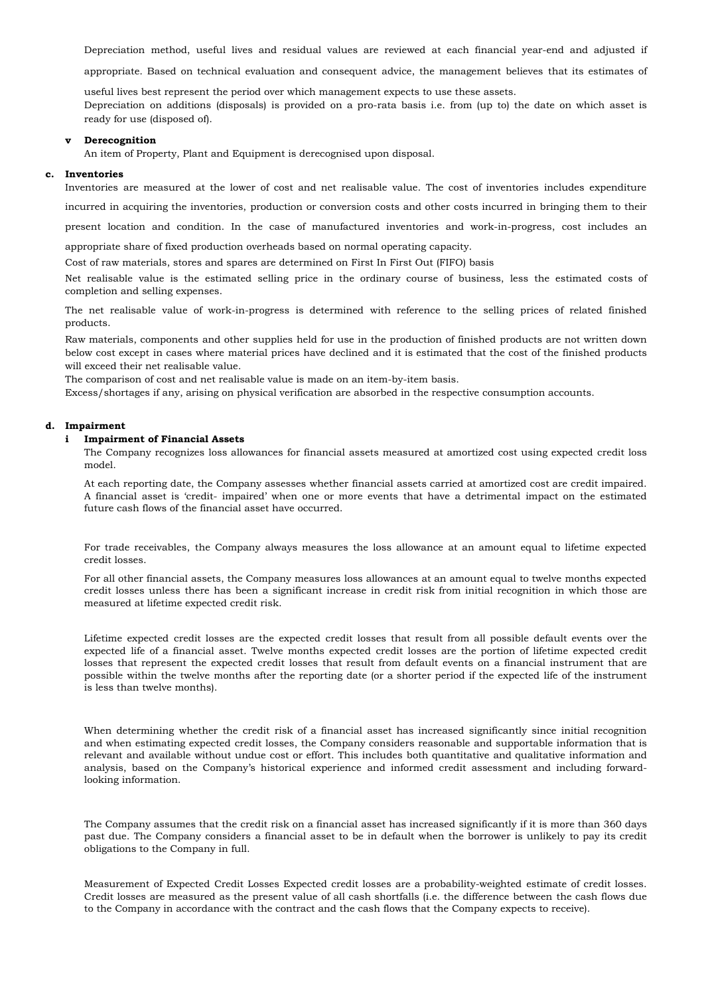Depreciation method, useful lives and residual values are reviewed at each financial year-end and adjusted if

appropriate. Based on technical evaluation and consequent advice, the management believes that its estimates of

useful lives best represent the period over which management expects to use these assets. Depreciation on additions (disposals) is provided on a pro-rata basis i.e. from (up to) the date on which asset is ready for use (disposed of).

#### **v Derecognition**

An item of Property, Plant and Equipment is derecognised upon disposal.

### **c. Inventories**

Inventories are measured at the lower of cost and net realisable value. The cost of inventories includes expenditure

incurred in acquiring the inventories, production or conversion costs and other costs incurred in bringing them to their

present location and condition. In the case of manufactured inventories and work-in-progress, cost includes an

appropriate share of fixed production overheads based on normal operating capacity.

Cost of raw materials, stores and spares are determined on First In First Out (FIFO) basis

Net realisable value is the estimated selling price in the ordinary course of business, less the estimated costs of completion and selling expenses.

The net realisable value of work-in-progress is determined with reference to the selling prices of related finished products.

Raw materials, components and other supplies held for use in the production of finished products are not written down below cost except in cases where material prices have declined and it is estimated that the cost of the finished products will exceed their net realisable value.

The comparison of cost and net realisable value is made on an item-by-item basis.

Excess/shortages if any, arising on physical verification are absorbed in the respective consumption accounts.

### **d. Impairment**

#### **i Impairment of Financial Assets**

The Company recognizes loss allowances for financial assets measured at amortized cost using expected credit loss model.

At each reporting date, the Company assesses whether financial assets carried at amortized cost are credit impaired. A financial asset is 'credit- impaired' when one or more events that have a detrimental impact on the estimated future cash flows of the financial asset have occurred.

For trade receivables, the Company always measures the loss allowance at an amount equal to lifetime expected credit losses.

For all other financial assets, the Company measures loss allowances at an amount equal to twelve months expected credit losses unless there has been a significant increase in credit risk from initial recognition in which those are measured at lifetime expected credit risk.

Lifetime expected credit losses are the expected credit losses that result from all possible default events over the expected life of a financial asset. Twelve months expected credit losses are the portion of lifetime expected credit losses that represent the expected credit losses that result from default events on a financial instrument that are possible within the twelve months after the reporting date (or a shorter period if the expected life of the instrument is less than twelve months).

When determining whether the credit risk of a financial asset has increased significantly since initial recognition and when estimating expected credit losses, the Company considers reasonable and supportable information that is relevant and available without undue cost or effort. This includes both quantitative and qualitative information and analysis, based on the Company's historical experience and informed credit assessment and including forwardlooking information.

The Company assumes that the credit risk on a financial asset has increased significantly if it is more than 360 days past due. The Company considers a financial asset to be in default when the borrower is unlikely to pay its credit obligations to the Company in full.

Measurement of Expected Credit Losses Expected credit losses are a probability-weighted estimate of credit losses. Credit losses are measured as the present value of all cash shortfalls (i.e. the difference between the cash flows due to the Company in accordance with the contract and the cash flows that the Company expects to receive).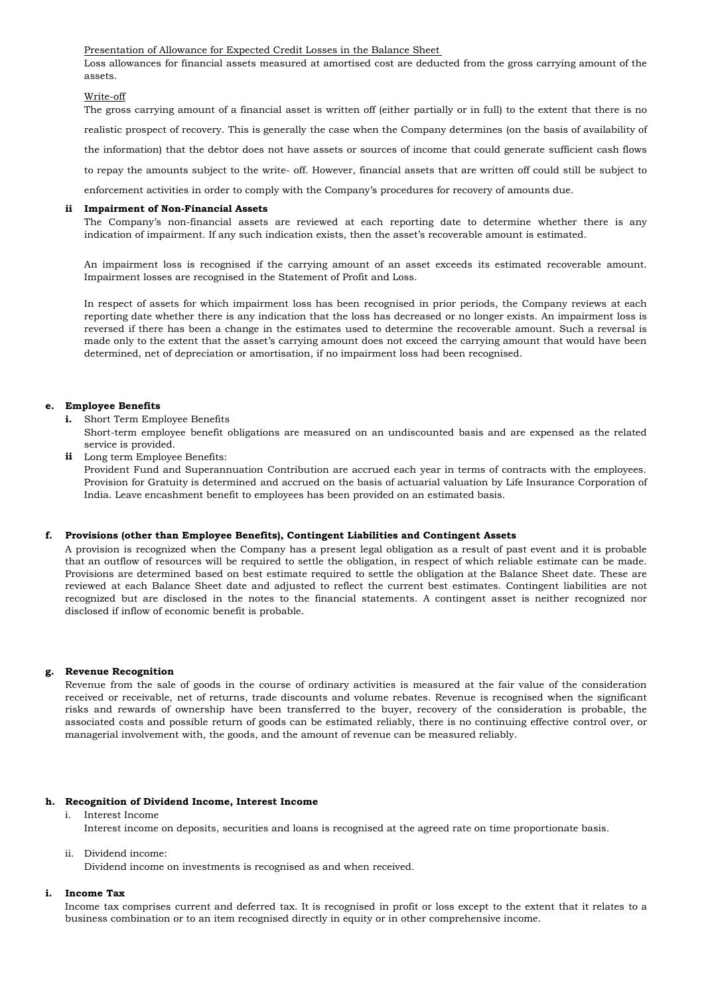Presentation of Allowance for Expected Credit Losses in the Balance Sheet

Loss allowances for financial assets measured at amortised cost are deducted from the gross carrying amount of the assets.

### Write-off

The gross carrying amount of a financial asset is written off (either partially or in full) to the extent that there is no realistic prospect of recovery. This is generally the case when the Company determines (on the basis of availability of the information) that the debtor does not have assets or sources of income that could generate sufficient cash flows to repay the amounts subject to the write- off. However, financial assets that are written off could still be subject to

enforcement activities in order to comply with the Company's procedures for recovery of amounts due.

### **ii Impairment of Non-Financial Assets**

The Company's non-financial assets are reviewed at each reporting date to determine whether there is any indication of impairment. If any such indication exists, then the asset's recoverable amount is estimated.

An impairment loss is recognised if the carrying amount of an asset exceeds its estimated recoverable amount. Impairment losses are recognised in the Statement of Profit and Loss.

In respect of assets for which impairment loss has been recognised in prior periods, the Company reviews at each reporting date whether there is any indication that the loss has decreased or no longer exists. An impairment loss is reversed if there has been a change in the estimates used to determine the recoverable amount. Such a reversal is made only to the extent that the asset's carrying amount does not exceed the carrying amount that would have been determined, net of depreciation or amortisation, if no impairment loss had been recognised.

### **e. Employee Benefits**

- **i.** Short Term Employee Benefits
	- Short-term employee benefit obligations are measured on an undiscounted basis and are expensed as the related service is provided.
- **ii** Long term Employee Benefits:

Provident Fund and Superannuation Contribution are accrued each year in terms of contracts with the employees. Provision for Gratuity is determined and accrued on the basis of actuarial valuation by Life Insurance Corporation of India. Leave encashment benefit to employees has been provided on an estimated basis.

### **f. Provisions (other than Employee Benefits), Contingent Liabilities and Contingent Assets**

A provision is recognized when the Company has a present legal obligation as a result of past event and it is probable that an outflow of resources will be required to settle the obligation, in respect of which reliable estimate can be made. Provisions are determined based on best estimate required to settle the obligation at the Balance Sheet date. These are reviewed at each Balance Sheet date and adjusted to reflect the current best estimates. Contingent liabilities are not recognized but are disclosed in the notes to the financial statements. A contingent asset is neither recognized nor disclosed if inflow of economic benefit is probable.

### **g. Revenue Recognition**

Revenue from the sale of goods in the course of ordinary activities is measured at the fair value of the consideration received or receivable, net of returns, trade discounts and volume rebates. Revenue is recognised when the significant risks and rewards of ownership have been transferred to the buyer, recovery of the consideration is probable, the associated costs and possible return of goods can be estimated reliably, there is no continuing effective control over, or managerial involvement with, the goods, and the amount of revenue can be measured reliably.

### **h. Recognition of Dividend Income, Interest Income**

i. Interest Income Interest income on deposits, securities and loans is recognised at the agreed rate on time proportionate basis.

### ii. Dividend income:

Dividend income on investments is recognised as and when received.

#### **i. Income Tax**

Income tax comprises current and deferred tax. It is recognised in profit or loss except to the extent that it relates to a business combination or to an item recognised directly in equity or in other comprehensive income.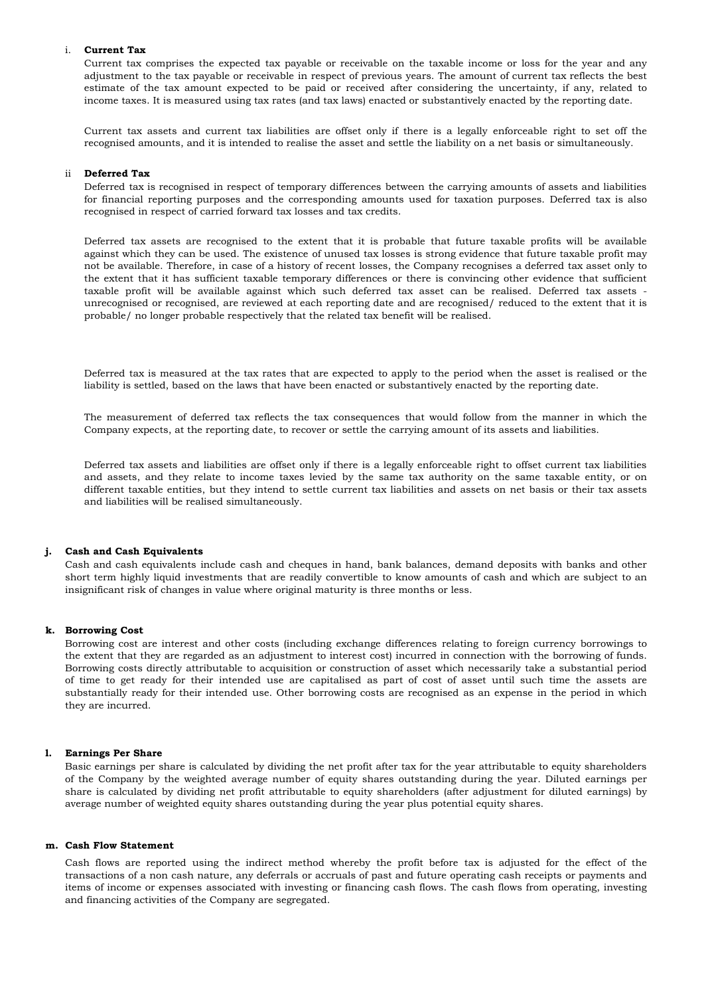### i. **Current Tax**

Current tax comprises the expected tax payable or receivable on the taxable income or loss for the year and any adjustment to the tax payable or receivable in respect of previous years. The amount of current tax reflects the best estimate of the tax amount expected to be paid or received after considering the uncertainty, if any, related to income taxes. It is measured using tax rates (and tax laws) enacted or substantively enacted by the reporting date.

Current tax assets and current tax liabilities are offset only if there is a legally enforceable right to set off the recognised amounts, and it is intended to realise the asset and settle the liability on a net basis or simultaneously.

### ii **Deferred Tax**

Deferred tax is recognised in respect of temporary differences between the carrying amounts of assets and liabilities for financial reporting purposes and the corresponding amounts used for taxation purposes. Deferred tax is also recognised in respect of carried forward tax losses and tax credits.

Deferred tax assets are recognised to the extent that it is probable that future taxable profits will be available against which they can be used. The existence of unused tax losses is strong evidence that future taxable profit may not be available. Therefore, in case of a history of recent losses, the Company recognises a deferred tax asset only to the extent that it has sufficient taxable temporary differences or there is convincing other evidence that sufficient taxable profit will be available against which such deferred tax asset can be realised. Deferred tax assets unrecognised or recognised, are reviewed at each reporting date and are recognised/ reduced to the extent that it is probable/ no longer probable respectively that the related tax benefit will be realised.

Deferred tax is measured at the tax rates that are expected to apply to the period when the asset is realised or the liability is settled, based on the laws that have been enacted or substantively enacted by the reporting date.

The measurement of deferred tax reflects the tax consequences that would follow from the manner in which the Company expects, at the reporting date, to recover or settle the carrying amount of its assets and liabilities.

Deferred tax assets and liabilities are offset only if there is a legally enforceable right to offset current tax liabilities and assets, and they relate to income taxes levied by the same tax authority on the same taxable entity, or on different taxable entities, but they intend to settle current tax liabilities and assets on net basis or their tax assets and liabilities will be realised simultaneously.

#### **j. Cash and Cash Equivalents**

Cash and cash equivalents include cash and cheques in hand, bank balances, demand deposits with banks and other short term highly liquid investments that are readily convertible to know amounts of cash and which are subject to an insignificant risk of changes in value where original maturity is three months or less.

### **k. Borrowing Cost**

Borrowing cost are interest and other costs (including exchange differences relating to foreign currency borrowings to the extent that they are regarded as an adjustment to interest cost) incurred in connection with the borrowing of funds. Borrowing costs directly attributable to acquisition or construction of asset which necessarily take a substantial period of time to get ready for their intended use are capitalised as part of cost of asset until such time the assets are substantially ready for their intended use. Other borrowing costs are recognised as an expense in the period in which they are incurred.

#### **l. Earnings Per Share**

Basic earnings per share is calculated by dividing the net profit after tax for the year attributable to equity shareholders of the Company by the weighted average number of equity shares outstanding during the year. Diluted earnings per share is calculated by dividing net profit attributable to equity shareholders (after adjustment for diluted earnings) by average number of weighted equity shares outstanding during the year plus potential equity shares.

### **m. Cash Flow Statement**

Cash flows are reported using the indirect method whereby the profit before tax is adjusted for the effect of the transactions of a non cash nature, any deferrals or accruals of past and future operating cash receipts or payments and items of income or expenses associated with investing or financing cash flows. The cash flows from operating, investing and financing activities of the Company are segregated.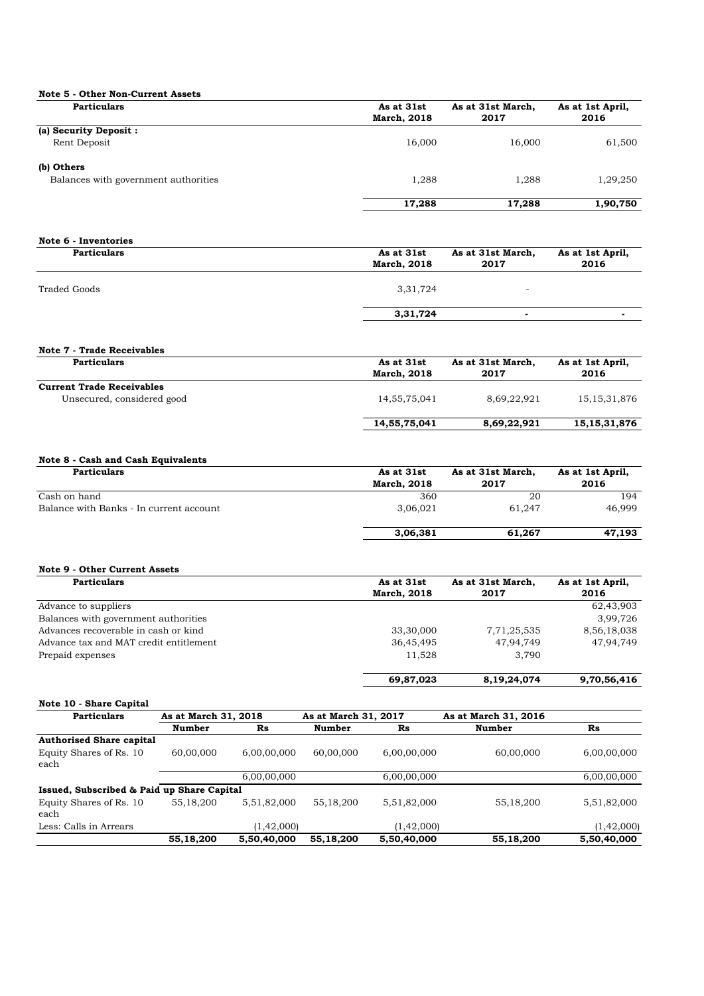| As at 31st         | As at 31st March, | As at 1st April, |
|--------------------|-------------------|------------------|
| <b>March, 2018</b> | 2017              | 2016             |
|                    |                   |                  |
| 16,000             | 16.000            | 61,500           |
|                    |                   |                  |
| 1,288              | 1.288             | 1,29,250         |
| 17,288             | 17,288            | 1,90,750         |
|                    |                   |                  |

| Note 6 - Inventories |                                  |                           |                          |
|----------------------|----------------------------------|---------------------------|--------------------------|
| <b>Particulars</b>   | As at 31st<br><b>March, 2018</b> | As at 31st March,<br>2017 | As at 1st April,<br>2016 |
| Traded Goods         | 3,31,724                         | -                         |                          |
|                      | 3,31,724                         | $\overline{a}$            |                          |

| <b>Particulars</b>               | As at 31st         | As at 31st March, | As at 1st April, |
|----------------------------------|--------------------|-------------------|------------------|
|                                  | <b>March, 2018</b> | 2017              | 2016             |
| <b>Current Trade Receivables</b> |                    |                   |                  |
| Unsecured, considered good       | 14, 55, 75, 041    | 8.69.22.921       | 15, 15, 31, 876  |
|                                  | 14,55,75,041       | 8,69,22,921       | 15, 15, 31, 876  |

### **Note 8 - Cash and Cash Equivalents**

| <b>Particulars</b>                      | As at 31st         | As at 31st March, | As at 1st April, |
|-----------------------------------------|--------------------|-------------------|------------------|
|                                         | <b>March, 2018</b> | 2017              | 2016             |
| Cash on hand                            | 360                | 20                | 194              |
| Balance with Banks - In current account | 3,06,021           | 61.247            | 46.999           |
|                                         | 3,06,381           | 61,267            | 47,193           |

### **Note 9 - Other Current Assets**

| <b>Particulars</b>                     | As at 31st         | As at 31st March, | As at 1st April, |
|----------------------------------------|--------------------|-------------------|------------------|
|                                        | <b>March, 2018</b> | 2017              | 2016             |
| Advance to suppliers                   |                    |                   | 62,43,903        |
| Balances with government authorities   |                    |                   | 3,99,726         |
| Advances recoverable in cash or kind   | 33,30,000          | 7,71,25,535       | 8,56,18,038      |
| Advance tax and MAT credit entitlement | 36,45,495          | 47.94.749         | 47.94.749        |
| Prepaid expenses                       | 11,528             | 3.790             |                  |
|                                        | 69,87,023          | 8,19,24,074       | 9,70,56,416      |

### **Note 10 - Share Capital**

| <b>Particulars</b>                         | As at March 31, 2018 |                | As at March 31, 2017<br>As at March 31, 2016 |                |               |                |
|--------------------------------------------|----------------------|----------------|----------------------------------------------|----------------|---------------|----------------|
|                                            | <b>Number</b>        | R <sub>s</sub> | Number                                       | R <sub>s</sub> | <b>Number</b> | R <sub>S</sub> |
| <b>Authorised Share capital</b>            |                      |                |                                              |                |               |                |
| Equity Shares of Rs. 10<br>each            | 60,00,000            | 6,00,00,000    | 60,00,000                                    | 6,00,00,000    | 60,00,000     | 6,00,00,000    |
|                                            |                      | 6,00,00,000    |                                              | 6,00,00,000    |               | 6,00,00,000    |
| Issued, Subscribed & Paid up Share Capital |                      |                |                                              |                |               |                |
| Equity Shares of Rs. 10<br>each            | 55,18,200            | 5,51,82,000    | 55,18,200                                    | 5,51,82,000    | 55,18,200     | 5,51,82,000    |
| Less: Calls in Arrears                     |                      | (1, 42, 000)   |                                              | (1, 42, 000)   |               | (1, 42, 000)   |
|                                            | 55,18,200            | 5,50,40,000    | 55,18,200                                    | 5,50,40,000    | 55,18,200     | 5,50,40,000    |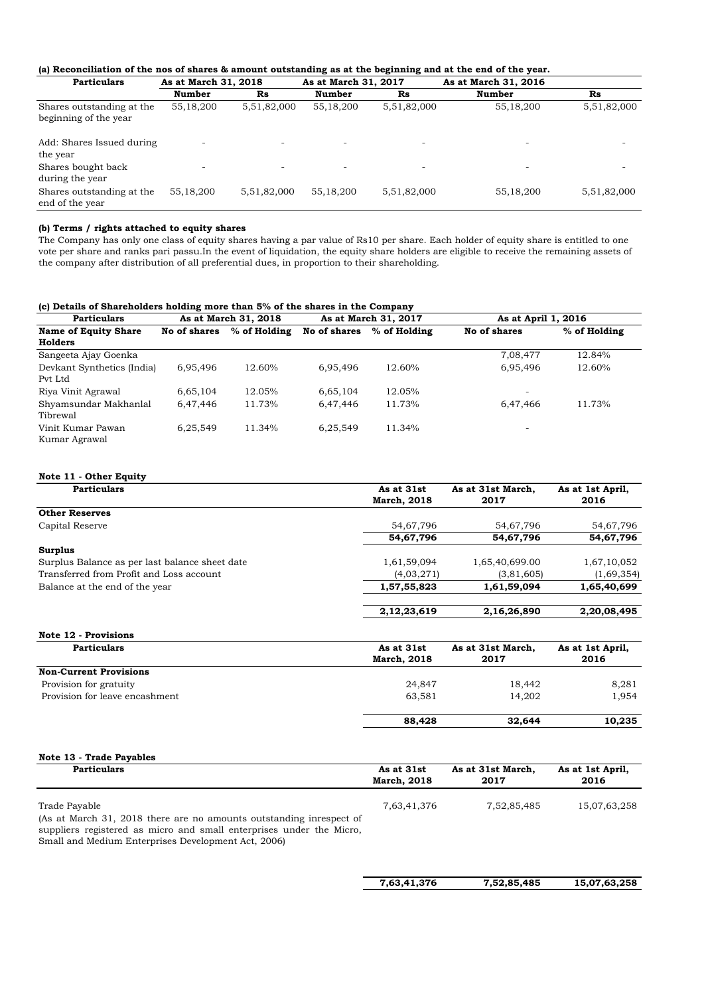### **(a) Reconciliation of the nos of shares & amount outstanding as at the beginning and at the end of the year.**

| <b>Particulars</b>                                 | As at March 31, 2018     |                          | As at March 31, 2017     |                          | As at March 31, 2016     |             |
|----------------------------------------------------|--------------------------|--------------------------|--------------------------|--------------------------|--------------------------|-------------|
|                                                    | <b>Number</b>            | R <sub>S</sub>           | Number                   | R <sub>S</sub>           | Number                   | Rs          |
| Shares outstanding at the<br>beginning of the year | 55,18,200                | 5,51,82,000              | 55,18,200                | 5,51,82,000              | 55,18,200                | 5,51,82,000 |
| Add: Shares Issued during<br>the year              | $\overline{\phantom{a}}$ | ٠                        | $\overline{\phantom{a}}$ | $\overline{\phantom{a}}$ | ٠                        |             |
| Shares bought back<br>during the year              | $\overline{\phantom{a}}$ | $\overline{\phantom{a}}$ | $\overline{\phantom{0}}$ | $\overline{\phantom{0}}$ | $\overline{\phantom{a}}$ | -           |
| Shares outstanding at the<br>end of the year       | 55,18,200                | 5,51,82,000              | 55,18,200                | 5,51,82,000              | 55,18,200                | 5,51,82,000 |

### **(b) Terms / rights attached to equity shares**

The Company has only one class of equity shares having a par value of Rs10 per share. Each holder of equity share is entitled to one vote per share and ranks pari passu.In the event of liquidation, the equity share holders are eligible to receive the remaining assets of the company after distribution of all preferential dues, in proportion to their shareholding.

### **(c) Details of Shareholders holding more than 5% of the shares in the Company**

| <b>Particulars</b>                    |              | As at March 31, 2018 |              | As at March 31, 2017 | As at April 1, 2016 |              |
|---------------------------------------|--------------|----------------------|--------------|----------------------|---------------------|--------------|
| Name of Equity Share<br>Holders       | No of shares | % of Holding         | No of shares | $%$ of Holding       | No of shares        | % of Holding |
| Sangeeta Ajay Goenka                  |              |                      |              |                      | 7,08,477            | 12.84%       |
| Devkant Synthetics (India)<br>Pvt Ltd | 6,95,496     | 12.60%               | 6.95.496     | 12.60%               | 6,95,496            | 12.60%       |
| Riya Vinit Agrawal                    | 6,65,104     | 12.05%               | 6,65,104     | 12.05%               | ۰                   |              |
| Shyamsundar Makhanlal<br>Tibrewal     | 6,47,446     | 11.73%               | 6.47.446     | 11.73%               | 6,47,466            | 11.73%       |
| Vinit Kumar Pawan<br>Kumar Agrawal    | 6,25,549     | 11.34%               | 6,25,549     | 11.34%               | -                   |              |

### **Note 11 - Other Equity**

| <b>Particulars</b>                             | As at 31st         | As at 31st March, | As at 1st April, |
|------------------------------------------------|--------------------|-------------------|------------------|
|                                                | <b>March, 2018</b> | 2017              | 2016             |
| <b>Other Reserves</b>                          |                    |                   |                  |
| Capital Reserve                                | 54,67,796          | 54,67,796         | 54,67,796        |
|                                                | 54,67,796          | 54,67,796         | 54,67,796        |
| <b>Surplus</b>                                 |                    |                   |                  |
| Surplus Balance as per last balance sheet date | 1,61,59,094        | 1,65,40,699.00    | 1,67,10,052      |
| Transferred from Profit and Loss account       | (4,03,271)         | (3,81,605)        | (1,69,354)       |
| Balance at the end of the year                 | 1,57,55,823        | 1,61,59,094       | 1,65,40,699      |
|                                                | 2, 12, 23, 619     | 2,16,26,890       | 2,20,08,495      |
| Note 12 - Provisions                           |                    |                   |                  |
| <b>Particulars</b>                             | As at 31st         | As at 31st March, | As at 1st April, |
|                                                | <b>March, 2018</b> | 2017              | 2016             |
| <b>Non-Current Provisions</b>                  |                    |                   |                  |

|                                | 88,428 | 32,644 | 10.235 |
|--------------------------------|--------|--------|--------|
| Provision for leave encashment | 63.581 | 14.202 | 1.954  |
|                                |        |        |        |
| Provision for gratuity         | 24.847 | 18.442 | 8,281  |
| Non-Current Provisions         |        |        |        |

#### **Note 13 - Trade Payables Particulars** As at 31st **March, 2018 As at 31st March, 2017 As at 1st April, 2016** Trade Payable 15,07,63,258 15,07,63,258 15,07,63,258 15,07,63,258 (As at March 31, 2018 there are no amounts outstanding inrespect of suppliers registered as micro and small enterprises under the Micro, Small and Medium Enterprises Development Act, 2006)

 **7,52,85,485 7,63,41,376 15,07,63,258**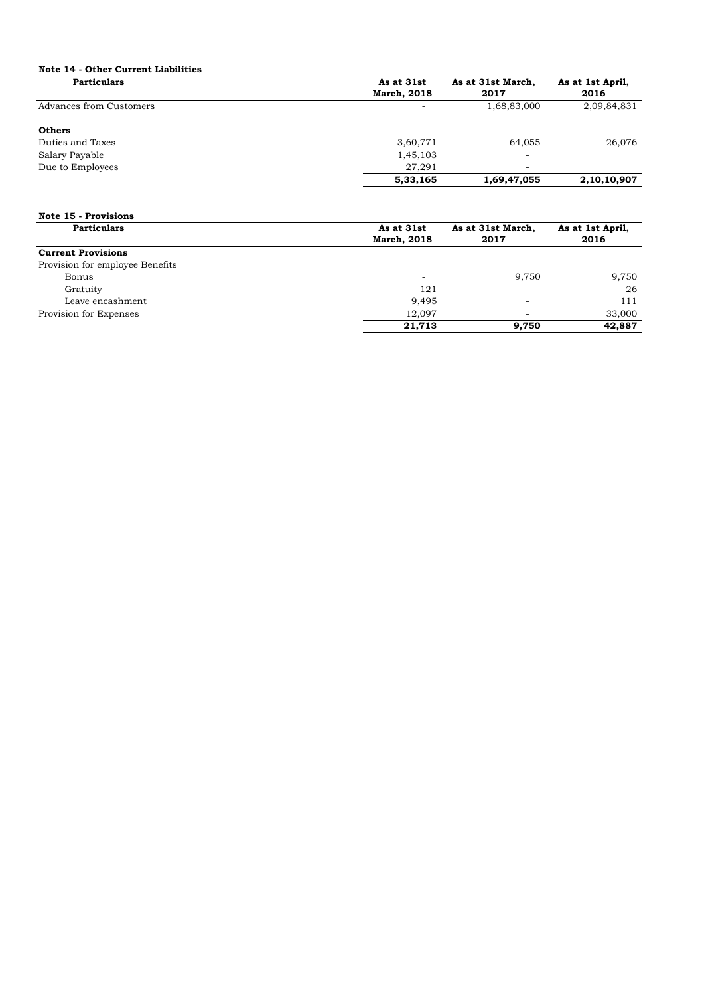### **Note 14 - Other Current Liabilities**

| <b>Particulars</b>      | As at 31st         | As at 31st March,        | As at 1st April, |
|-------------------------|--------------------|--------------------------|------------------|
|                         | <b>March, 2018</b> | 2017                     | 2016             |
| Advances from Customers |                    | 1,68,83,000              | 2,09,84,831      |
| <b>Others</b>           |                    |                          |                  |
| Duties and Taxes        | 3,60,771           | 64,055                   | 26,076           |
| Salary Payable          | 1,45,103           | ۰                        |                  |
| Due to Employees        | 27.291             | $\overline{\phantom{a}}$ |                  |
|                         | 5,33,165           | 1,69,47,055              | 2,10,10,907      |

### **Note 15 - Provisions**

| <b>Particulars</b>              | As at 31st         | As at 31st March,        | As at 1st April, |
|---------------------------------|--------------------|--------------------------|------------------|
|                                 | <b>March, 2018</b> | 2017                     | 2016             |
| <b>Current Provisions</b>       |                    |                          |                  |
| Provision for employee Benefits |                    |                          |                  |
| Bonus                           | -                  | 9.750                    | 9,750            |
| Gratuity                        | 121                | $\overline{\phantom{a}}$ | 26               |
| Leave encashment                | 9,495              |                          | 111              |
| Provision for Expenses          | 12.097             |                          | 33,000           |
|                                 | 21,713             | 9.750                    | 42,887           |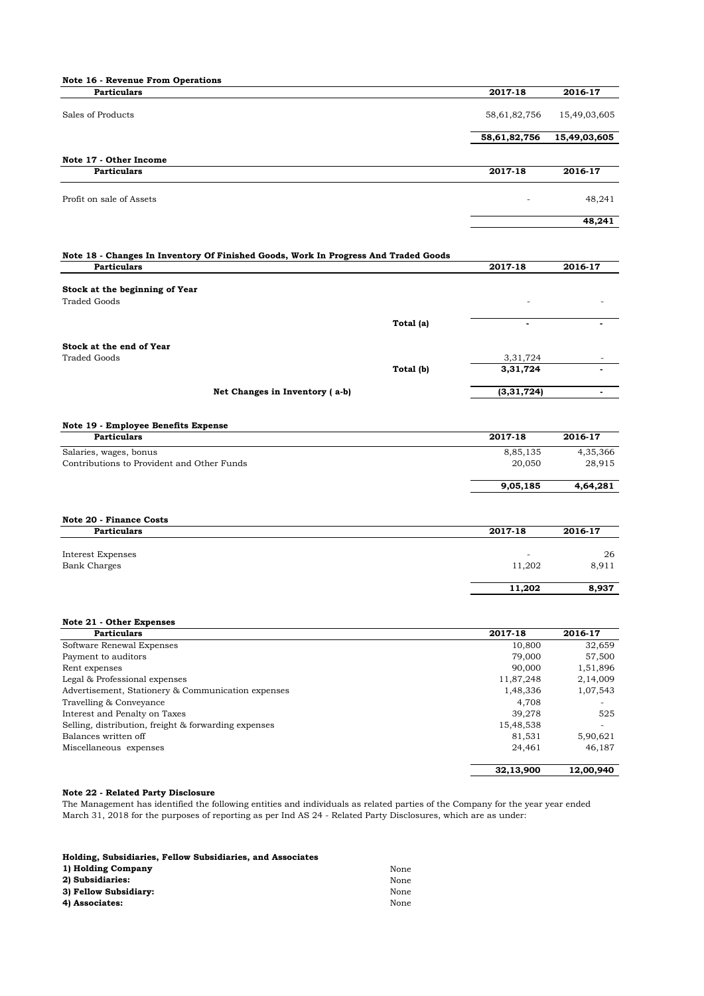| Note 16 - Revenue From Operations                                                   |           |                  |                    |
|-------------------------------------------------------------------------------------|-----------|------------------|--------------------|
| <b>Particulars</b>                                                                  |           | 2017-18          | 2016-17            |
| Sales of Products                                                                   |           | 58,61,82,756     | 15,49,03,605       |
|                                                                                     |           | 58,61,82,756     | 15,49,03,605       |
|                                                                                     |           |                  |                    |
| Note 17 - Other Income<br><b>Particulars</b>                                        |           | 2017-18          | 2016-17            |
|                                                                                     |           |                  |                    |
| Profit on sale of Assets                                                            |           |                  | 48,241             |
|                                                                                     |           |                  | 48,241             |
| Note 18 - Changes In Inventory Of Finished Goods, Work In Progress And Traded Goods |           |                  |                    |
| <b>Particulars</b>                                                                  |           | 2017-18          | 2016-17            |
|                                                                                     |           |                  |                    |
| Stock at the beginning of Year<br><b>Traded Goods</b>                               |           |                  |                    |
|                                                                                     |           |                  |                    |
|                                                                                     | Total (a) |                  |                    |
| Stock at the end of Year                                                            |           |                  |                    |
| <b>Traded Goods</b>                                                                 |           | 3,31,724         |                    |
|                                                                                     | Total (b) | 3,31,724         |                    |
| Net Changes in Inventory (a-b)                                                      |           | (3,31,724)       | ٠                  |
|                                                                                     |           |                  |                    |
|                                                                                     |           |                  |                    |
| Note 19 - Employee Benefits Expense<br><b>Particulars</b>                           |           | 2017-18          | 2016-17            |
| Salaries, wages, bonus                                                              |           | 8,85,135         | 4,35,366           |
| Contributions to Provident and Other Funds                                          |           | 20,050           | 28,915             |
|                                                                                     |           |                  |                    |
|                                                                                     |           | 9,05,185         | 4,64,281           |
|                                                                                     |           |                  |                    |
| <b>Note 20 - Finance Costs</b><br><b>Particulars</b>                                |           | 2017-18          |                    |
|                                                                                     |           |                  | 2016-17            |
| <b>Interest Expenses</b>                                                            |           |                  | 26                 |
| <b>Bank Charges</b>                                                                 |           | 11,202           | 8,911              |
|                                                                                     |           | 11,202           | 8,937              |
|                                                                                     |           |                  |                    |
| Note 21 - Other Expenses                                                            |           |                  |                    |
| <b>Particulars</b>                                                                  |           | 2017-18          | 2016-17            |
| Software Renewal Expenses                                                           |           | 10,800           | 32,659             |
| Payment to auditors<br>Rent expenses                                                |           | 79,000<br>90,000 | 57,500<br>1,51,896 |
| Legal & Professional expenses                                                       |           | 11,87,248        | 2,14,009           |
| Advertisement, Stationery & Communication expenses                                  |           | 1,48,336         | 1,07,543           |
| Travelling & Conveyance                                                             |           | 4,708            |                    |
| Interest and Penalty on Taxes                                                       |           | 39,278           | 525                |
| Selling, distribution, freight & forwarding expenses                                |           | 15,48,538        | L.                 |
| Balances written off                                                                |           | 81,531           | 5,90,621           |
| Miscellaneous expenses                                                              |           | 24,461           | 46,187             |
|                                                                                     |           | 32,13,900        | 12,00,940          |

### **Note 22 - Related Party Disclosure**

The Management has identified the following entities and individuals as related parties of the Company for the year year ended March 31, 2018 for the purposes of reporting as per Ind AS 24 - Related Party Disclosures, which are as under:

| Holding, Subsidiaries, Fellow Subsidiaries, and Associates |      |
|------------------------------------------------------------|------|
| 1) Holding Company                                         | None |
| 2) Subsidiaries:                                           | None |
| 3) Fellow Subsidiary:                                      | None |
| 4) Associates:                                             | None |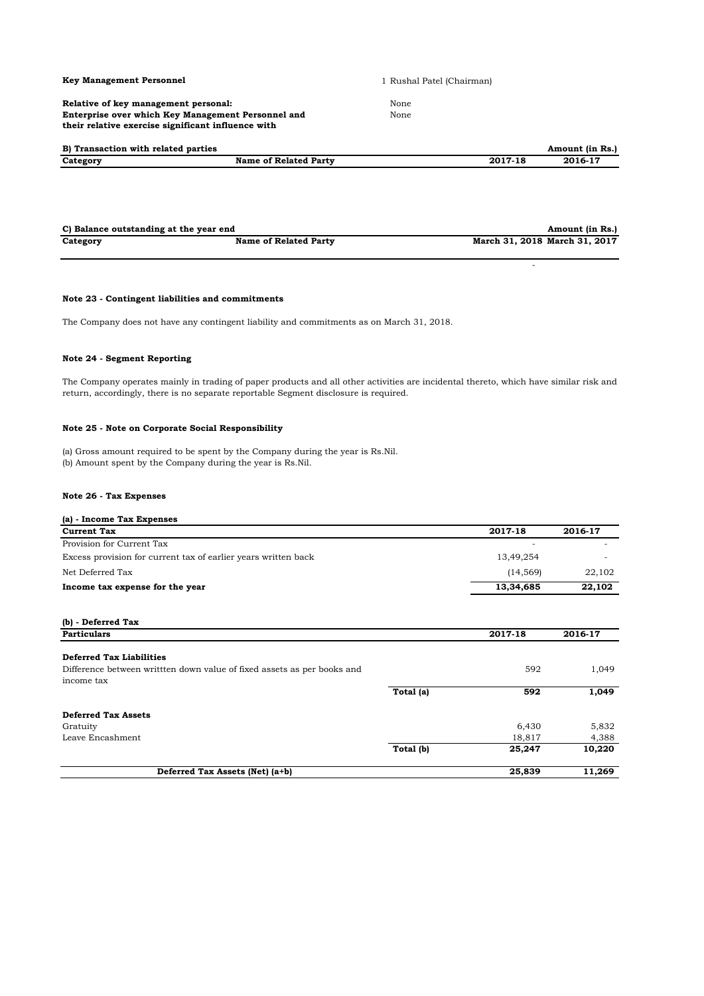### **Key Management Personnel**

**Relative of key management personal: Enterprise over which Key Management Personnel and their relative exercise significant influence with** 

1 Rushal Patel (Chairman)

- 100 million of the

None None

| B) Transaction with related parties |                       |         | Amount (in Rs.) |
|-------------------------------------|-----------------------|---------|-----------------|
| Category                            | Name of Related Party | 2017-18 | 2016-17         |

| C) Balance outstanding at the year end |                              | Amount (in Rs.)               |
|----------------------------------------|------------------------------|-------------------------------|
| Category                               | <b>Name of Related Party</b> | March 31, 2018 March 31, 2017 |

### **Note 23 - Contingent liabilities and commitments**

The Company does not have any contingent liability and commitments as on March 31, 2018.

### **Note 24 - Segment Reporting**

The Company operates mainly in trading of paper products and all other activities are incidental thereto, which have similar risk and return, accordingly, there is no separate reportable Segment disclosure is required.

### **Note 25 - Note on Corporate Social Responsibility**

(a) Gross amount required to be spent by the Company during the year is Rs.Nil. (b) Amount spent by the Company during the year is Rs.Nil.

### **Note 26 - Tax Expenses**

| (a) - Income Tax Expenses                                      |           |         |
|----------------------------------------------------------------|-----------|---------|
| <b>Current Tax</b>                                             | 2017-18   | 2016-17 |
| Provision for Current Tax                                      |           |         |
| Excess provision for current tax of earlier years written back | 13.49.254 |         |
| Net Deferred Tax                                               | (14.569)  | 22,102  |
| Income tax expense for the year                                | 13,34,685 | 22,102  |

| (b) - Deferred Tax                                                                   |           |         |         |
|--------------------------------------------------------------------------------------|-----------|---------|---------|
| <b>Particulars</b>                                                                   |           | 2017-18 | 2016-17 |
| <b>Deferred Tax Liabilities</b>                                                      |           |         |         |
| Difference between written down value of fixed assets as per books and<br>income tax |           | 592     | 1,049   |
|                                                                                      | Total (a) | 592     | 1,049   |
| <b>Deferred Tax Assets</b>                                                           |           |         |         |
| Gratuity                                                                             |           | 6,430   | 5,832   |
| Leave Encashment                                                                     |           | 18,817  | 4,388   |
|                                                                                      | Total (b) | 25,247  | 10,220  |
| Deferred Tax Assets (Net) (a+b)                                                      |           | 25,839  | 11,269  |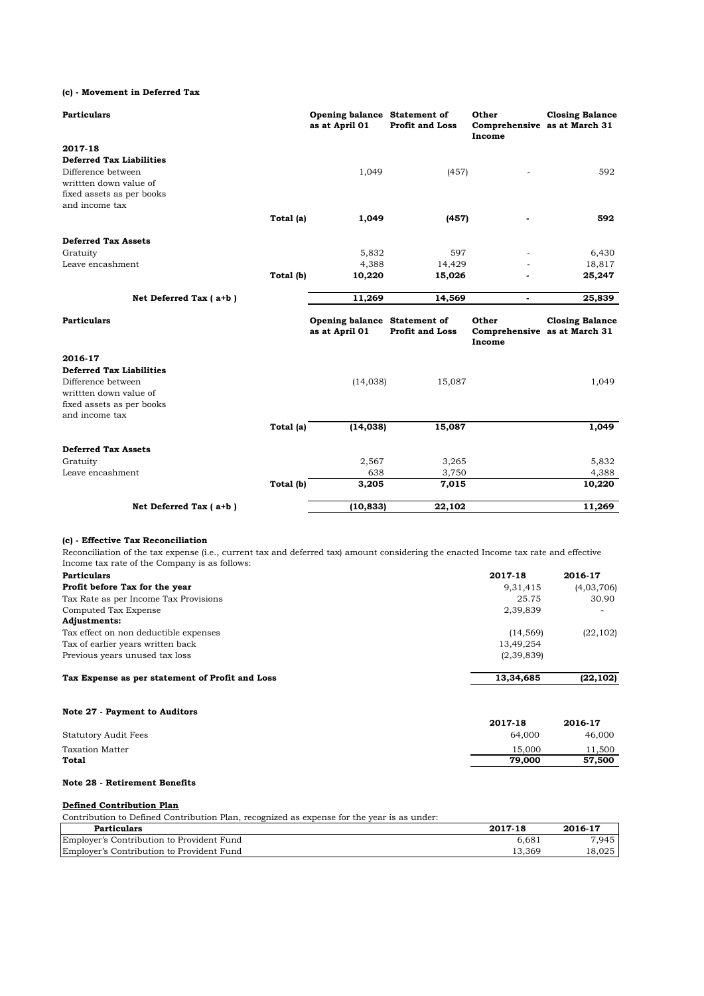**(c) - Movement in Deferred Tax**

| <b>Particulars</b>              |           | Opening balance Statement of<br>as at April 01 | <b>Profit and Loss</b> | Other<br>Income          | <b>Closing Balance</b><br>Comprehensive as at March 31 |
|---------------------------------|-----------|------------------------------------------------|------------------------|--------------------------|--------------------------------------------------------|
| 2017-18                         |           |                                                |                        |                          |                                                        |
| <b>Deferred Tax Liabilities</b> |           |                                                |                        |                          |                                                        |
| Difference between              |           | 1,049                                          | (457)                  |                          | 592                                                    |
| writtten down value of          |           |                                                |                        |                          |                                                        |
| fixed assets as per books       |           |                                                |                        |                          |                                                        |
| and income tax                  |           |                                                |                        |                          |                                                        |
|                                 | Total (a) | 1,049                                          | (457)                  | ٠                        | 592                                                    |
| <b>Deferred Tax Assets</b>      |           |                                                |                        |                          |                                                        |
| Gratuity                        |           | 5,832                                          | 597                    |                          | 6,430                                                  |
| Leave encashment                |           | 4,388                                          | 14,429                 |                          | 18,817                                                 |
|                                 | Total (b) | 10,220                                         | 15,026                 |                          | 25,247                                                 |
| Net Deferred Tax (a+b)          |           | 11,269                                         | 14,569                 | $\overline{\phantom{a}}$ | 25,839                                                 |
| <b>Particulars</b>              |           | Opening balance Statement of<br>as at April 01 | <b>Profit and Loss</b> | Other<br>Income          | <b>Closing Balance</b><br>Comprehensive as at March 31 |
| 2016-17                         |           |                                                |                        |                          |                                                        |
| <b>Deferred Tax Liabilities</b> |           |                                                |                        |                          |                                                        |
| Difference between              |           | (14, 038)                                      | 15,087                 |                          | 1,049                                                  |
| writtten down value of          |           |                                                |                        |                          |                                                        |
| fixed assets as per books       |           |                                                |                        |                          |                                                        |
| and income tax                  |           |                                                |                        |                          |                                                        |
|                                 | Total (a) | (14, 038)                                      | 15,087                 |                          | 1,049                                                  |
| <b>Deferred Tax Assets</b>      |           |                                                |                        |                          |                                                        |
| Gratuity                        |           | 2,567                                          | 3,265                  |                          | 5,832                                                  |
| Leave encashment                |           | 638                                            | 3,750                  |                          | 4,388                                                  |
|                                 | Total (b) | 3,205                                          | 7,015                  |                          | 10,220                                                 |
| Net Deferred Tax (a+b)          |           | (10, 833)                                      | 22,102                 |                          | 11,269                                                 |

### **(c) - Effective Tax Reconciliation**

Reconciliation of the tax expense (i.e., current tax and deferred tax) amount considering the enacted Income tax rate and effective Income tax rate of the Company is as follows:

| <b>Particulars</b>                              | 2017-18    | 2016-17                  |
|-------------------------------------------------|------------|--------------------------|
| Profit before Tax for the year                  | 9,31,415   | (4,03,706)               |
| Tax Rate as per Income Tax Provisions           | 25.75      | 30.90                    |
| Computed Tax Expense                            | 2,39,839   | $\overline{\phantom{0}}$ |
| <b>Adjustments:</b>                             |            |                          |
| Tax effect on non deductible expenses           | (14, 569)  | (22, 102)                |
| Tax of earlier years written back               | 13,49,254  |                          |
| Previous years unused tax loss                  | (2,39,839) |                          |
| Tax Expense as per statement of Profit and Loss | 13,34,685  | (22, 102)                |

| Note 27 - Payment to Auditors |         |         |
|-------------------------------|---------|---------|
|                               | 2017-18 | 2016-17 |
| Statutory Audit Fees          | 64,000  | 46,000  |
| Taxation Matter               | 15.000  | 11,500  |
| Total                         | 79,000  | 57,500  |

### **Note 28 - Retirement Benefits**

### **Defined Contribution Plan**

Contribution to Defined Contribution Plan, recognized as expense for the year is as under:

| <b>Particulars</b>                        | 2017-18 | 2016-17 |
|-------------------------------------------|---------|---------|
| Employer's Contribution to Provident Fund | 6.681   | 7.945   |
| Employer's Contribution to Provident Fund | 13.369  | 18.025  |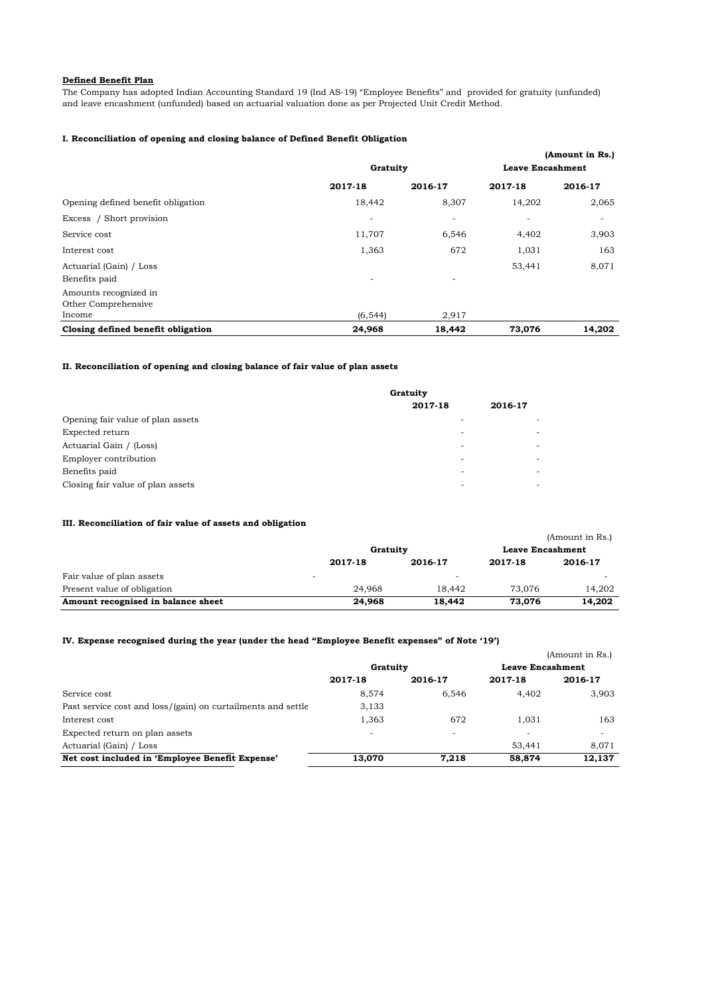### **Defined Benefit Plan**

The Company has adopted Indian Accounting Standard 19 (Ind AS-19) "Employee Benefits" and provided for gratuity (unfunded) and leave encashment (unfunded) based on actuarial valuation done as per Projected Unit Credit Method.

### **I. Reconciliation of opening and closing balance of Defined Benefit Obligation**

|                                              |          |                          |                          | (Amount in Rs.) |
|----------------------------------------------|----------|--------------------------|--------------------------|-----------------|
|                                              | Gratuity |                          | <b>Leave Encashment</b>  |                 |
|                                              | 2017-18  | 2016-17                  | 2017-18                  | 2016-17         |
| Opening defined benefit obligation           | 18,442   | 8,307                    | 14,202                   | 2,065           |
| Excess / Short provision                     | ٠        | $\overline{\phantom{a}}$ | $\overline{\phantom{a}}$ | ۰.              |
| Service cost                                 | 11,707   | 6,546                    | 4,402                    | 3,903           |
| Interest cost                                | 1,363    | 672                      | 1,031                    | 163             |
| Actuarial (Gain) / Loss                      |          |                          | 53,441                   | 8,071           |
| Benefits paid                                | ۰        | ۰.                       |                          |                 |
| Amounts recognized in<br>Other Comprehensive |          |                          |                          |                 |
| Income                                       | (6, 544) | 2,917                    |                          |                 |
| Closing defined benefit obligation           | 24,968   | 18,442                   | 73,076                   | 14,202          |

### **II. Reconciliation of opening and closing balance of fair value of plan assets**

|                                   | Gratuity |         |  |
|-----------------------------------|----------|---------|--|
|                                   | 2017-18  | 2016-17 |  |
| Opening fair value of plan assets |          |         |  |
| Expected return                   |          |         |  |
| Actuarial Gain / (Loss)           |          |         |  |
| Employer contribution             |          |         |  |
| Benefits paid                     | -        | -       |  |
| Closing fair value of plan assets |          |         |  |

### **III. Reconciliation of fair value of assets and obligation**

|                                    |                          |         |                         | (Amount in Rs.) |
|------------------------------------|--------------------------|---------|-------------------------|-----------------|
|                                    | Gratuity                 |         | <b>Leave Encashment</b> |                 |
|                                    | 2017-18                  | 2016-17 | 2017-18                 | 2016-17         |
| Fair value of plan assets          | $\overline{\phantom{0}}$ | -       |                         |                 |
| Present value of obligation        | 24.968                   | 18.442  | 73.076                  | 14,202          |
| Amount recognised in balance sheet | 24,968                   | 18.442  | 73.076                  | 14,202          |

### **IV. Expense recognised during the year (under the head "Employee Benefit expenses" of Note '19')**

|                                                              |          |         |                         | (Amount in Rs.) |
|--------------------------------------------------------------|----------|---------|-------------------------|-----------------|
|                                                              | Gratuity |         | <b>Leave Encashment</b> |                 |
|                                                              | 2017-18  | 2016-17 | 2017-18                 | 2016-17         |
| Service cost                                                 | 8,574    | 6.546   | 4.402                   | 3.903           |
| Past service cost and loss/(gain) on curtailments and settle | 3,133    |         |                         |                 |
| Interest cost                                                | 1,363    | 672     | 1.031                   | 163             |
| Expected return on plan assets                               | ۰        |         |                         |                 |
| Actuarial (Gain) / Loss                                      |          |         | 53.441                  | 8.071           |
| Net cost included in 'Employee Benefit Expense'              | 13.070   | 7,218   | 58,874                  | 12,137          |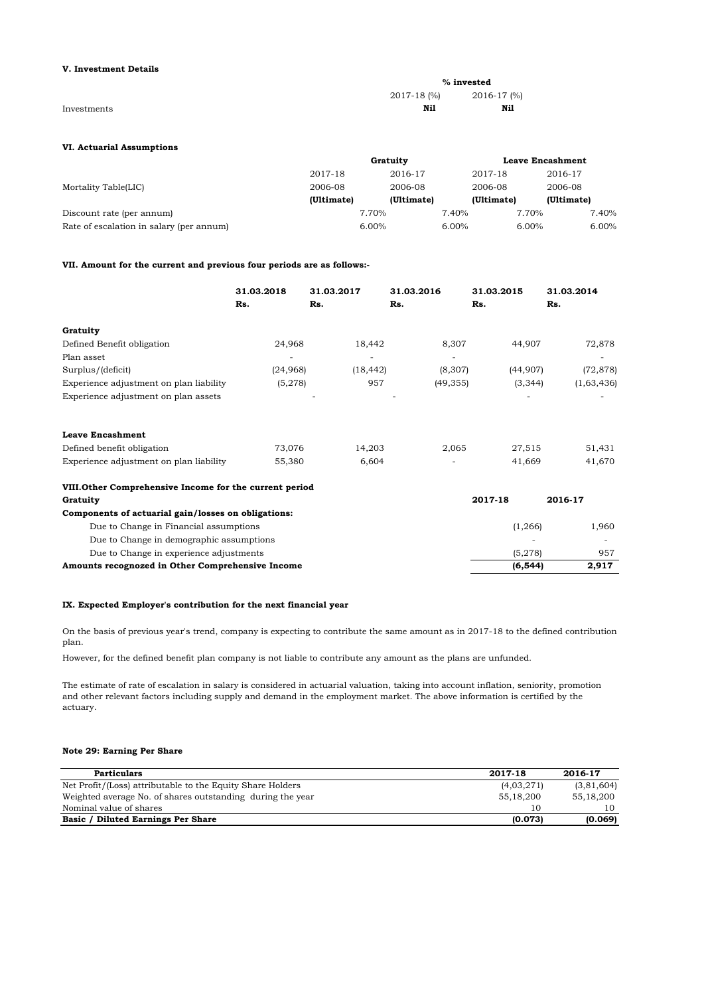### **V. Investment Details**

|             |             | $%$ invested |
|-------------|-------------|--------------|
|             | 2017-18 (%) | 2016-17 (%)  |
| Investments | Nil         | Nil          |

### **VI. Actuarial Assumptions**

|                                          | Gratuity   |            |            | <b>Leave Encashment</b> |            |
|------------------------------------------|------------|------------|------------|-------------------------|------------|
|                                          | 2017-18    | 2016-17    | 2017-18    |                         | 2016-17    |
| Mortality Table(LIC)                     | 2006-08    | 2006-08    | 2006-08    |                         | 2006-08    |
|                                          | (Ultimate) | (Ultimate) | (Ultimate) |                         | (Ultimate) |
| Discount rate (per annum)                |            | 7.70%      | 7.40%      | 7.70%                   | 7.40%      |
| Rate of escalation in salary (per annum) |            | $6.00\%$   | $6.00\%$   | $6.00\%$                | 6.00%      |

### **VII. Amount for the current and previous four periods are as follows:-**

|                                                        | 31.03.2018<br>Rs. | 31.03.2017<br>Rs. | 31.03.2016<br>Rs. | 31.03.2015<br>Rs. | 31.03.2014<br>Rs. |
|--------------------------------------------------------|-------------------|-------------------|-------------------|-------------------|-------------------|
| Gratuity                                               |                   |                   |                   |                   |                   |
| Defined Benefit obligation                             | 24,968            | 18.442            | 8,307             | 44,907            | 72,878            |
| Plan asset                                             |                   |                   |                   |                   |                   |
| Surplus/(deficit)                                      | (24, 968)         | (18, 442)         | (8,307)           | (44,907)          | (72, 878)         |
| Experience adjustment on plan liability                | (5,278)           | 957               | (49, 355)         | (3, 344)          | (1,63,436)        |
| Experience adjustment on plan assets                   |                   |                   |                   |                   |                   |
| <b>Leave Encashment</b>                                |                   |                   |                   |                   |                   |
| Defined benefit obligation                             | 73,076            | 14,203            | 2,065             | 27,515            | 51,431            |
| Experience adjustment on plan liability                | 55,380            | 6,604             |                   | 41,669            | 41,670            |
| VIII.Other Comprehensive Income for the current period |                   |                   |                   |                   |                   |
| Gratuity                                               |                   |                   |                   | 2017-18           | 2016-17           |
| Components of actuarial gain/losses on obligations:    |                   |                   |                   |                   |                   |
| Due to Change in Financial assumptions                 |                   |                   |                   | (1, 266)          | 1,960             |
| Due to Change in demographic assumptions               |                   |                   |                   |                   |                   |
| Due to Change in experience adjustments                |                   |                   |                   | (5,278)           | 957               |
| Amounts recognozed in Other Comprehensive Income       |                   |                   |                   | (6, 544)          | 2,917             |

### **IX. Expected Employer's contribution for the next financial year**

On the basis of previous year's trend, company is expecting to contribute the same amount as in 2017-18 to the defined contribution plan.

However, for the defined benefit plan company is not liable to contribute any amount as the plans are unfunded.

The estimate of rate of escalation in salary is considered in actuarial valuation, taking into account inflation, seniority, promotion and other relevant factors including supply and demand in the employment market. The above information is certified by the actuary.

### **Note 29: Earning Per Share**

| <b>Particulars</b>                                         | 2017-18    | 2016-17    |
|------------------------------------------------------------|------------|------------|
| Net Profit/(Loss) attributable to the Equity Share Holders | (4,03,271) | (3,81,604) |
| Weighted average No. of shares outstanding during the year | 55.18.200  | 55.18.200  |
| Nominal value of shares                                    | 10         | 10         |
| <b>Basic / Diluted Earnings Per Share</b>                  | (0.073)    | (0.069)    |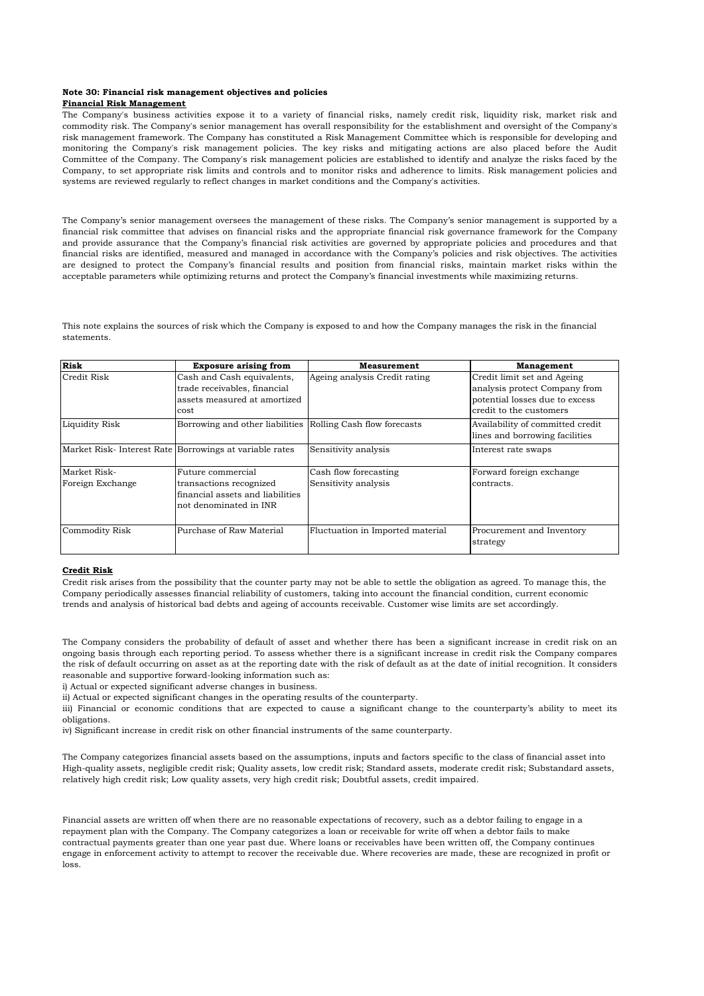### **Note 30: Financial risk management objectives and policies Financial Risk Management**

The Company's business activities expose it to a variety of financial risks, namely credit risk, liquidity risk, market risk and commodity risk. The Company's senior management has overall responsibility for the establishment and oversight of the Company's risk management framework. The Company has constituted a Risk Management Committee which is responsible for developing and monitoring the Company's risk management policies. The key risks and mitigating actions are also placed before the Audit Committee of the Company. The Company's risk management policies are established to identify and analyze the risks faced by the Company, to set appropriate risk limits and controls and to monitor risks and adherence to limits. Risk management policies and systems are reviewed regularly to reflect changes in market conditions and the Company's activities.

The Company's senior management oversees the management of these risks. The Company's senior management is supported by a financial risk committee that advises on financial risks and the appropriate financial risk governance framework for the Company and provide assurance that the Company's financial risk activities are governed by appropriate policies and procedures and that financial risks are identified, measured and managed in accordance with the Company's policies and risk objectives. The activities are designed to protect the Company's financial results and position from financial risks, maintain market risks within the acceptable parameters while optimizing returns and protect the Company's financial investments while maximizing returns.

This note explains the sources of risk which the Company is exposed to and how the Company manages the risk in the financial statements.

| <b>Risk</b>                      | <b>Exposure arising from</b>                                                                               | <b>Measurement</b>                            | <b>Management</b>                                                                                                         |
|----------------------------------|------------------------------------------------------------------------------------------------------------|-----------------------------------------------|---------------------------------------------------------------------------------------------------------------------------|
| Credit Risk                      | Cash and Cash equivalents,<br>trade receivables, financial<br>assets measured at amortized<br>cost         | Ageing analysis Credit rating                 | Credit limit set and Ageing<br>analysis protect Company from<br>potential losses due to excess<br>credit to the customers |
| Liquidity Risk                   | Borrowing and other liabilities Rolling Cash flow forecasts                                                |                                               | Availability of committed credit<br>lines and borrowing facilities                                                        |
|                                  | Market Risk-Interest Rate Borrowings at variable rates                                                     | Sensitivity analysis                          | Interest rate swaps                                                                                                       |
| Market Risk-<br>Foreign Exchange | Future commercial<br>transactions recognized<br>financial assets and liabilities<br>not denominated in INR | Cash flow forecasting<br>Sensitivity analysis | Forward foreign exchange<br>contracts.                                                                                    |
| <b>Commodity Risk</b>            | Purchase of Raw Material                                                                                   | Fluctuation in Imported material              | Procurement and Inventory<br>strategy                                                                                     |

### **Credit Risk**

Credit risk arises from the possibility that the counter party may not be able to settle the obligation as agreed. To manage this, the Company periodically assesses financial reliability of customers, taking into account the financial condition, current economic trends and analysis of historical bad debts and ageing of accounts receivable. Customer wise limits are set accordingly.

The Company considers the probability of default of asset and whether there has been a significant increase in credit risk on an ongoing basis through each reporting period. To assess whether there is a significant increase in credit risk the Company compares the risk of default occurring on asset as at the reporting date with the risk of default as at the date of initial recognition. It considers reasonable and supportive forward-looking information such as:

i) Actual or expected significant adverse changes in business.

ii) Actual or expected significant changes in the operating results of the counterparty.

iii) Financial or economic conditions that are expected to cause a significant change to the counterparty's ability to meet its obligations.

iv) Significant increase in credit risk on other financial instruments of the same counterparty.

The Company categorizes financial assets based on the assumptions, inputs and factors specific to the class of financial asset into High-quality assets, negligible credit risk; Quality assets, low credit risk; Standard assets, moderate credit risk; Substandard assets, relatively high credit risk; Low quality assets, very high credit risk; Doubtful assets, credit impaired.

Financial assets are written off when there are no reasonable expectations of recovery, such as a debtor failing to engage in a repayment plan with the Company. The Company categorizes a loan or receivable for write off when a debtor fails to make contractual payments greater than one year past due. Where loans or receivables have been written off, the Company continues engage in enforcement activity to attempt to recover the receivable due. Where recoveries are made, these are recognized in profit or loss.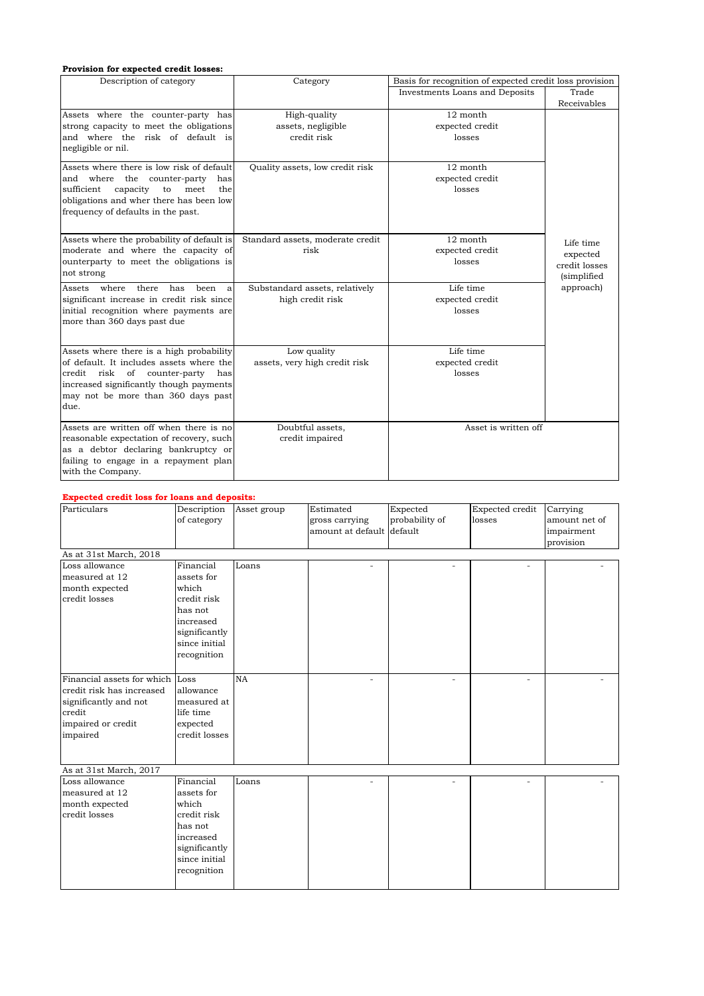### **Provision for expected credit losses:**

| Description of category                                                                                                                                                                                           | Category                                           | Basis for recognition of expected credit loss provision |                                                       |
|-------------------------------------------------------------------------------------------------------------------------------------------------------------------------------------------------------------------|----------------------------------------------------|---------------------------------------------------------|-------------------------------------------------------|
|                                                                                                                                                                                                                   |                                                    | Investments Loans and Deposits                          | Trade                                                 |
|                                                                                                                                                                                                                   |                                                    |                                                         | Receivables                                           |
| Assets where the counter-party has<br>strong capacity to meet the obligations<br>and where the risk of default is<br>negligible or nil.                                                                           | High-quality<br>assets, negligible<br>credit risk  | 12 month<br>expected credit<br>losses                   |                                                       |
| Assets where there is low risk of default<br>and where the counter-party<br>has<br>sufficient<br>capacity<br>to<br>meet<br>the<br>obligations and wher there has been low<br>frequency of defaults in the past.   | Quality assets, low credit risk                    | 12 month<br>expected credit<br>losses                   |                                                       |
| Assets where the probability of default is<br>moderate and where the capacity of<br>ounterparty to meet the obligations is<br>not strong                                                                          | Standard assets, moderate credit<br>risk           | 12 month<br>expected credit<br>losses                   | Life time<br>expected<br>credit losses<br>(simplified |
| where<br>there<br>has<br>Assets<br>been<br>a<br>significant increase in credit risk since<br>initial recognition where payments are<br>more than 360 days past due                                                | Substandard assets, relatively<br>high credit risk | Life time<br>expected credit<br>losses                  | approach)                                             |
| Assets where there is a high probability<br>of default. It includes assets where the<br>credit risk of counter-party has<br>increased significantly though payments<br>may not be more than 360 days past<br>due. | Low quality<br>assets, very high credit risk       | Life time<br>expected credit<br>losses                  |                                                       |
| Assets are written off when there is no<br>reasonable expectation of recovery, such<br>as a debtor declaring bankruptcy or<br>failing to engage in a repayment plan<br>with the Company.                          | Doubtful assets,<br>credit impaired                | Asset is written off                                    |                                                       |

### **Expected credit loss for loans and deposits:**

| Particulars                     | Description<br>of category | Asset group | Estimated<br>gross carrying<br>amount at default default | Expected<br>probability of | Expected credit<br>losses | Carrying<br>amount net of<br>impairment<br>provision |
|---------------------------------|----------------------------|-------------|----------------------------------------------------------|----------------------------|---------------------------|------------------------------------------------------|
| As at 31st March, 2018          |                            |             |                                                          |                            |                           |                                                      |
| Loss allowance                  | Financial                  | Loans       | ٠                                                        | $\overline{a}$             |                           |                                                      |
| measured at 12                  | assets for                 |             |                                                          |                            |                           |                                                      |
| month expected                  | which                      |             |                                                          |                            |                           |                                                      |
| credit losses                   | credit risk                |             |                                                          |                            |                           |                                                      |
|                                 | has not                    |             |                                                          |                            |                           |                                                      |
|                                 | increased<br>significantly |             |                                                          |                            |                           |                                                      |
|                                 | since initial              |             |                                                          |                            |                           |                                                      |
|                                 | recognition                |             |                                                          |                            |                           |                                                      |
|                                 |                            |             |                                                          |                            |                           |                                                      |
| Financial assets for which      | Loss                       | <b>NA</b>   | ٠                                                        | $\overline{a}$             | ÷,                        |                                                      |
| credit risk has increased       | allowance                  |             |                                                          |                            |                           |                                                      |
| significantly and not           | measured at                |             |                                                          |                            |                           |                                                      |
| credit                          | life time                  |             |                                                          |                            |                           |                                                      |
| impaired or credit              | expected                   |             |                                                          |                            |                           |                                                      |
| impaired                        | credit losses              |             |                                                          |                            |                           |                                                      |
|                                 |                            |             |                                                          |                            |                           |                                                      |
|                                 |                            |             |                                                          |                            |                           |                                                      |
| As at 31st March, 2017          |                            |             |                                                          |                            |                           |                                                      |
| Loss allowance                  | Financial                  | Loans       |                                                          |                            |                           |                                                      |
| measured at 12                  | assets for<br>which        |             |                                                          |                            |                           |                                                      |
| month expected<br>credit losses | credit risk                |             |                                                          |                            |                           |                                                      |
|                                 | has not                    |             |                                                          |                            |                           |                                                      |
|                                 | increased                  |             |                                                          |                            |                           |                                                      |
|                                 | significantly              |             |                                                          |                            |                           |                                                      |
|                                 | since initial              |             |                                                          |                            |                           |                                                      |
|                                 | recognition                |             |                                                          |                            |                           |                                                      |
|                                 |                            |             |                                                          |                            |                           |                                                      |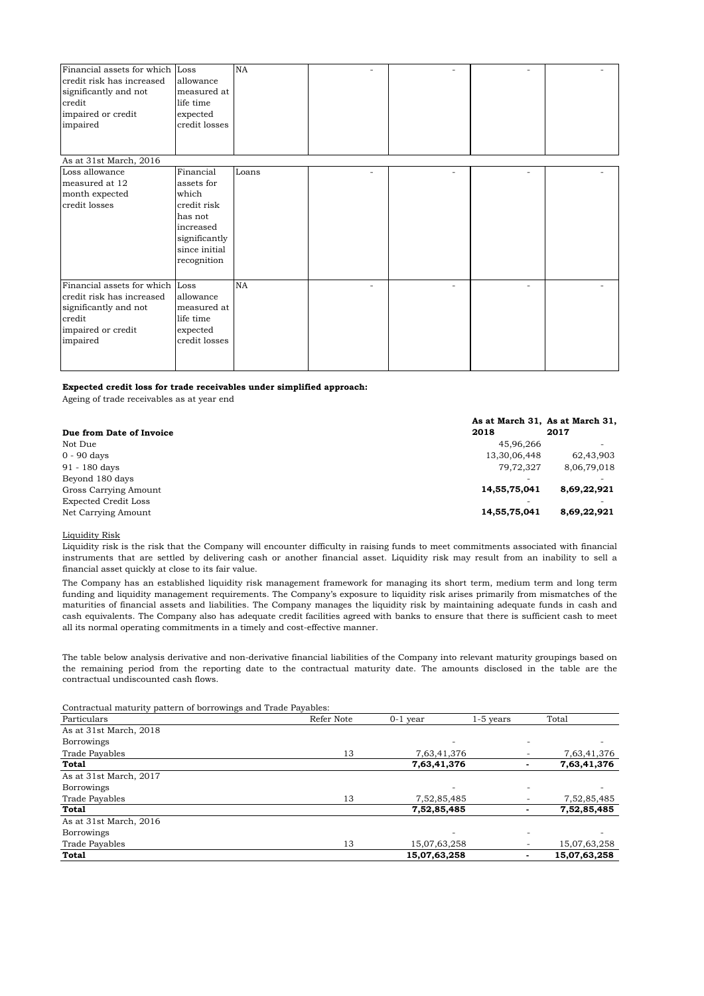| Financial assets for which Loss |               | NA        |   |                          |   |  |
|---------------------------------|---------------|-----------|---|--------------------------|---|--|
| credit risk has increased       | allowance     |           |   |                          |   |  |
| significantly and not           | measured at   |           |   |                          |   |  |
| credit                          | life time     |           |   |                          |   |  |
| impaired or credit              | expected      |           |   |                          |   |  |
| impaired                        | credit losses |           |   |                          |   |  |
|                                 |               |           |   |                          |   |  |
|                                 |               |           |   |                          |   |  |
| As at 31st March, 2016          |               |           |   |                          |   |  |
| Loss allowance                  | Financial     | Loans     | ٠ | $\overline{\phantom{a}}$ | ۰ |  |
| measured at 12                  | assets for    |           |   |                          |   |  |
| month expected                  | which         |           |   |                          |   |  |
| credit losses                   | credit risk   |           |   |                          |   |  |
|                                 | has not       |           |   |                          |   |  |
|                                 | increased     |           |   |                          |   |  |
|                                 | significantly |           |   |                          |   |  |
|                                 | since initial |           |   |                          |   |  |
|                                 | recognition   |           |   |                          |   |  |
|                                 |               |           |   |                          |   |  |
| Financial assets for which Loss |               | <b>NA</b> |   |                          |   |  |
| credit risk has increased       | allowance     |           |   |                          |   |  |
| significantly and not           | measured at   |           |   |                          |   |  |
| credit                          | life time     |           |   |                          |   |  |
| impaired or credit              | expected      |           |   |                          |   |  |
| impaired                        | credit losses |           |   |                          |   |  |
|                                 |               |           |   |                          |   |  |
|                                 |               |           |   |                          |   |  |

### **Expected credit loss for trade receivables under simplified approach:**

Ageing of trade receivables as at year end

|                          |              | As at March 31, As at March 31, |
|--------------------------|--------------|---------------------------------|
| Due from Date of Invoice | 2018         | 2017                            |
| Not Due                  | 45.96.266    | $\overline{\phantom{0}}$        |
| $0 - 90$ days            | 13,30,06,448 | 62,43,903                       |
| 91 - 180 days            | 79.72.327    | 8,06,79,018                     |
| Beyond 180 days          |              |                                 |
| Gross Carrying Amount    | 14,55,75,041 | 8,69,22,921                     |
| Expected Credit Loss     |              | $\overline{\phantom{a}}$        |
| Net Carrying Amount      | 14,55,75,041 | 8,69,22,921                     |

Liquidity Risk

Liquidity risk is the risk that the Company will encounter difficulty in raising funds to meet commitments associated with financial instruments that are settled by delivering cash or another financial asset. Liquidity risk may result from an inability to sell a financial asset quickly at close to its fair value.

The Company has an established liquidity risk management framework for managing its short term, medium term and long term funding and liquidity management requirements. The Company's exposure to liquidity risk arises primarily from mismatches of the maturities of financial assets and liabilities. The Company manages the liquidity risk by maintaining adequate funds in cash and cash equivalents. The Company also has adequate credit facilities agreed with banks to ensure that there is sufficient cash to meet all its normal operating commitments in a timely and cost-effective manner.

The table below analysis derivative and non-derivative financial liabilities of the Company into relevant maturity groupings based on the remaining period from the reporting date to the contractual maturity date. The amounts disclosed in the table are the contractual undiscounted cash flows.

| Contractual maturity pattern of borrowings and Trade Payables: |            |                          |                          |              |
|----------------------------------------------------------------|------------|--------------------------|--------------------------|--------------|
| Particulars                                                    | Refer Note | $0-1$ year               | $1-5$ years              | Total        |
| As at 31st March, 2018                                         |            |                          |                          |              |
| <b>Borrowings</b>                                              |            | $\overline{\phantom{a}}$ | $\overline{\phantom{a}}$ | ۰            |
| <b>Trade Pavables</b>                                          | 13         | 7,63,41,376              |                          | 7,63,41,376  |
| <b>Total</b>                                                   |            | 7,63,41,376              |                          | 7,63,41,376  |
| As at 31st March, 2017                                         |            |                          |                          |              |
| <b>Borrowings</b>                                              |            |                          |                          |              |
| <b>Trade Pavables</b>                                          | 13         | 7,52,85,485              |                          | 7,52,85,485  |
| Total                                                          |            | 7,52,85,485              |                          | 7,52,85,485  |
| As at 31st March, 2016                                         |            |                          |                          |              |
| <b>Borrowings</b>                                              |            | $\overline{\phantom{a}}$ |                          |              |
| <b>Trade Pavables</b>                                          | 13         | 15,07,63,258             | $\overline{\phantom{a}}$ | 15,07,63,258 |
| <b>Total</b>                                                   |            | 15,07,63,258             | -                        | 15,07,63,258 |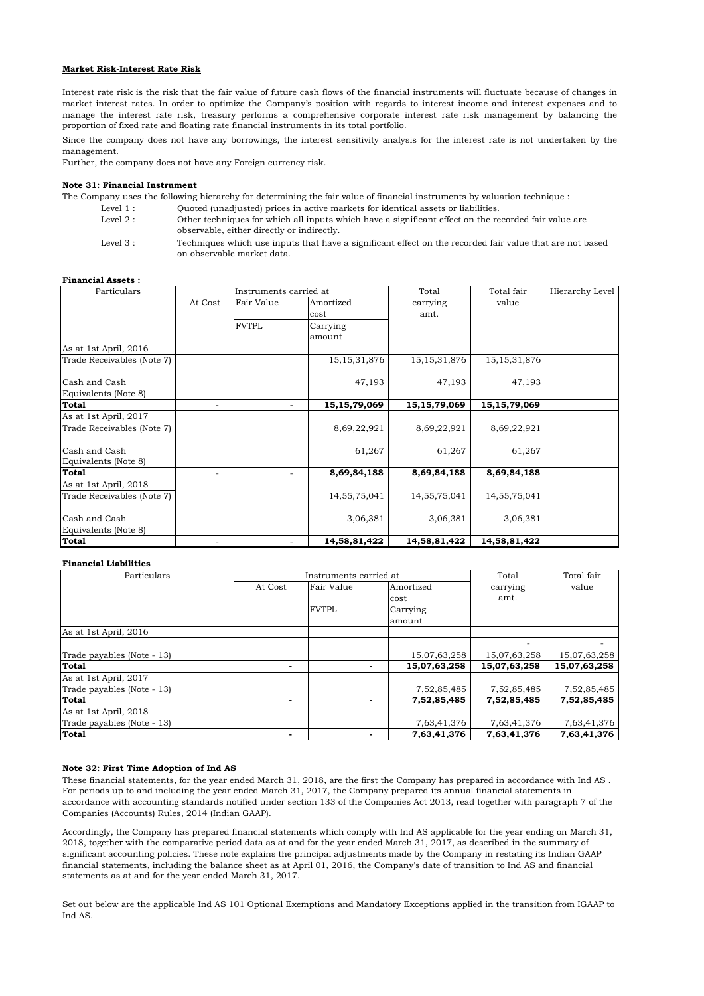### **Market Risk-Interest Rate Risk**

Interest rate risk is the risk that the fair value of future cash flows of the financial instruments will fluctuate because of changes in market interest rates. In order to optimize the Company's position with regards to interest income and interest expenses and to manage the interest rate risk, treasury performs a comprehensive corporate interest rate risk management by balancing the proportion of fixed rate and floating rate financial instruments in its total portfolio.

Since the company does not have any borrowings, the interest sensitivity analysis for the interest rate is not undertaken by the management.

Further, the company does not have any Foreign currency risk.

### **Note 31: Financial Instrument**

The Company uses the following hierarchy for determining the fair value of financial instruments by valuation technique :

Level 1 : Quoted (unadjusted) prices in active markets for identical assets or liabilities.

- Level  $2 \cdot$ Other techniques for which all inputs which have a significant effect on the recorded fair value are observable, either directly or indirectly.
- Level 3 : Techniques which use inputs that have a significant effect on the recorded fair value that are not based on observable market data.

### **Financial Assets :**

| Particulars                | Instruments carried at |              |                 | Total           | Total fair      | Hierarchy Level |
|----------------------------|------------------------|--------------|-----------------|-----------------|-----------------|-----------------|
|                            | At Cost                | Fair Value   | Amortized       | carrying        | value           |                 |
|                            |                        |              | cost            | amt.            |                 |                 |
|                            |                        | <b>FVTPL</b> | Carrying        |                 |                 |                 |
|                            |                        |              | amount          |                 |                 |                 |
| As at 1st April, 2016      |                        |              |                 |                 |                 |                 |
| Trade Receivables (Note 7) |                        |              | 15, 15, 31, 876 | 15, 15, 31, 876 | 15, 15, 31, 876 |                 |
| Cash and Cash              |                        |              | 47,193          | 47,193          | 47,193          |                 |
| Equivalents (Note 8)       |                        |              |                 |                 |                 |                 |
| <b>Total</b>               | ٠                      |              | 15, 15, 79, 069 | 15, 15, 79, 069 | 15, 15, 79, 069 |                 |
| As at 1st April, 2017      |                        |              |                 |                 |                 |                 |
| Trade Receivables (Note 7) |                        |              | 8,69,22,921     | 8,69,22,921     | 8,69,22,921     |                 |
| Cash and Cash              |                        |              | 61,267          | 61,267          | 61,267          |                 |
| Equivalents (Note 8)       |                        |              |                 |                 |                 |                 |
| <b>Total</b>               |                        |              | 8,69,84,188     | 8,69,84,188     | 8,69,84,188     |                 |
| As at 1st April, 2018      |                        |              |                 |                 |                 |                 |
| Trade Receivables (Note 7) |                        |              | 14, 55, 75, 041 | 14,55,75,041    | 14,55,75,041    |                 |
| Cash and Cash              |                        |              | 3,06,381        | 3,06,381        | 3,06,381        |                 |
| Equivalents (Note 8)       |                        |              |                 |                 |                 |                 |
| <b>Total</b>               |                        |              | 14,58,81,422    | 14,58,81,422    | 14,58,81,422    |                 |

### **Financial Liabilities**

| Particulars                | Instruments carried at |              |                                          | Total        | Total fair   |
|----------------------------|------------------------|--------------|------------------------------------------|--------------|--------------|
|                            | At Cost                | Fair Value   | Amortized                                | carrying     | value        |
|                            |                        |              | cost                                     | amt.         |              |
|                            |                        | <b>FVTPL</b> | Carrying                                 |              |              |
|                            |                        |              | amount                                   |              |              |
| As at 1st April, 2016      |                        |              |                                          |              |              |
|                            |                        |              |                                          |              |              |
| Trade payables (Note - 13) |                        |              | 15,07,63,258                             | 15,07,63,258 | 15,07,63,258 |
| Total                      | ۰                      |              | 15,07,63,258<br>$\overline{\phantom{a}}$ | 15,07,63,258 | 15,07,63,258 |
| As at 1st April, 2017      |                        |              |                                          |              |              |
| Trade payables (Note - 13) |                        |              | 7,52,85,485                              | 7,52,85,485  | 7,52,85,485  |
| <b>Total</b>               |                        |              | 7,52,85,485                              | 7,52,85,485  | 7,52,85,485  |
| As at 1st April, 2018      |                        |              |                                          |              |              |
| Trade payables (Note - 13) |                        |              | 7,63,41,376                              | 7,63,41,376  | 7,63,41,376  |
| <b>Total</b>               |                        |              | 7,63,41,376                              | 7,63,41,376  | 7,63,41,376  |

### **Note 32: First Time Adoption of Ind AS**

These financial statements, for the year ended March 31, 2018, are the first the Company has prepared in accordance with Ind AS . For periods up to and including the year ended March 31, 2017, the Company prepared its annual financial statements in accordance with accounting standards notified under section 133 of the Companies Act 2013, read together with paragraph 7 of the Companies (Accounts) Rules, 2014 (Indian GAAP).

Accordingly, the Company has prepared financial statements which comply with Ind AS applicable for the year ending on March 31, 2018, together with the comparative period data as at and for the year ended March 31, 2017, as described in the summary of significant accounting policies. These note explains the principal adjustments made by the Company in restating its Indian GAAP financial statements, including the balance sheet as at April 01, 2016, the Company's date of transition to Ind AS and financial statements as at and for the year ended March 31, 2017.

Set out below are the applicable Ind AS 101 Optional Exemptions and Mandatory Exceptions applied in the transition from IGAAP to Ind AS.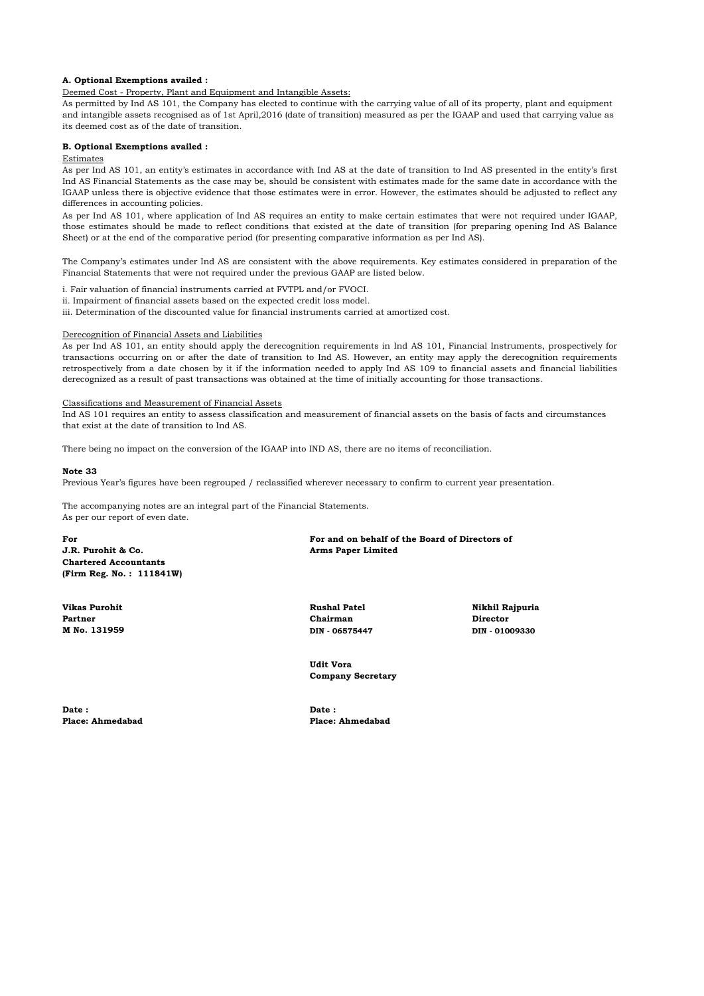### **A. Optional Exemptions availed :**

### Deemed Cost - Property, Plant and Equipment and Intangible Assets:

As permitted by Ind AS 101, the Company has elected to continue with the carrying value of all of its property, plant and equipment and intangible assets recognised as of 1st April,2016 (date of transition) measured as per the IGAAP and used that carrying value as its deemed cost as of the date of transition.

### **B. Optional Exemptions availed :**

### Estimates

As per Ind AS 101, an entity's estimates in accordance with Ind AS at the date of transition to Ind AS presented in the entity's first Ind AS Financial Statements as the case may be, should be consistent with estimates made for the same date in accordance with the IGAAP unless there is objective evidence that those estimates were in error. However, the estimates should be adjusted to reflect any differences in accounting policies.

As per Ind AS 101, where application of Ind AS requires an entity to make certain estimates that were not required under IGAAP, those estimates should be made to reflect conditions that existed at the date of transition (for preparing opening Ind AS Balance Sheet) or at the end of the comparative period (for presenting comparative information as per Ind AS).

The Company's estimates under Ind AS are consistent with the above requirements. Key estimates considered in preparation of the Financial Statements that were not required under the previous GAAP are listed below.

i. Fair valuation of financial instruments carried at FVTPL and/or FVOCI.

ii. Impairment of financial assets based on the expected credit loss model.

iii. Determination of the discounted value for financial instruments carried at amortized cost.

### Derecognition of Financial Assets and Liabilities

As per Ind AS 101, an entity should apply the derecognition requirements in Ind AS 101, Financial Instruments, prospectively for transactions occurring on or after the date of transition to Ind AS. However, an entity may apply the derecognition requirements retrospectively from a date chosen by it if the information needed to apply Ind AS 109 to financial assets and financial liabilities derecognized as a result of past transactions was obtained at the time of initially accounting for those transactions.

### Classifications and Measurement of Financial Assets

Ind AS 101 requires an entity to assess classification and measurement of financial assets on the basis of facts and circumstances that exist at the date of transition to Ind AS.

There being no impact on the conversion of the IGAAP into IND AS, there are no items of reconciliation.

### **Note 33**

Previous Year's figures have been regrouped / reclassified wherever necessary to confirm to current year presentation.

The accompanying notes are an integral part of the Financial Statements. As per our report of even date.

**J.R. Purohit & Co. Arms Paper Limited Chartered Accountants (Firm Reg. No. : 111841W)**

**M No. 131959 DIN - 06575447 DIN - 01009330**

**For For and on behalf of the Board of Directors of**

**Partner Chairman Director**

**Vikas Purohit Rushal Patel Nikhil Rajpuria**

**Udit Vora Company Secretary**

Date : **Date : Date : Date : Place: Ahmedabad Place: Ahmedabad**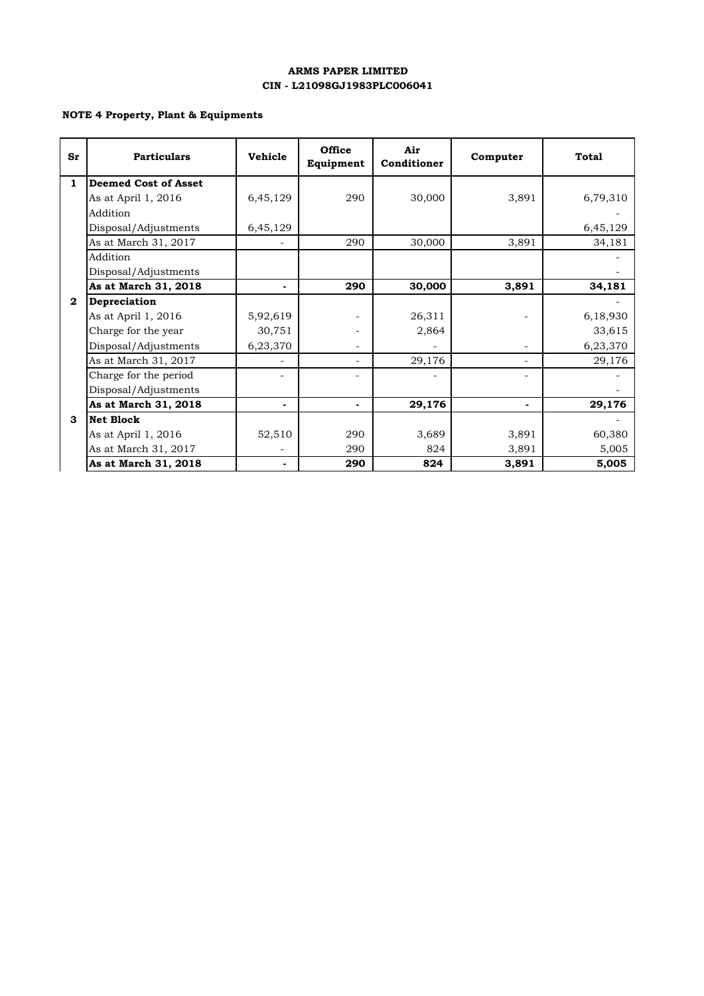### **ARMS PAPER LIMITED CIN - L21098GJ1983PLC006041**

### **NOTE 4 Property, Plant & Equipments**

| Sr           | <b>Particulars</b>          | Vehicle  | <b>Office</b><br>Equipment | Air<br>Conditioner | Computer | <b>Total</b> |
|--------------|-----------------------------|----------|----------------------------|--------------------|----------|--------------|
| 1            | <b>Deemed Cost of Asset</b> |          |                            |                    |          |              |
|              | As at April 1, 2016         | 6,45,129 | 290                        | 30,000             | 3,891    | 6,79,310     |
|              | Addition                    |          |                            |                    |          |              |
|              | Disposal/Adjustments        | 6,45,129 |                            |                    |          | 6,45,129     |
|              | As at March 31, 2017        |          | 290                        | 30,000             | 3,891    | 34,181       |
|              | Addition                    |          |                            |                    |          |              |
|              | Disposal/Adjustments        |          |                            |                    |          |              |
|              | As at March 31, 2018        |          | 290                        | 30,000             | 3,891    | 34,181       |
| $\mathbf{2}$ | Depreciation                |          |                            |                    |          |              |
|              | As at April 1, 2016         | 5,92,619 |                            | 26,311             |          | 6,18,930     |
|              | Charge for the year         | 30,751   |                            | 2,864              |          | 33,615       |
|              | Disposal/Adjustments        | 6,23,370 |                            |                    |          | 6,23,370     |
|              | As at March 31, 2017        |          | $\overline{a}$             | 29,176             | -        | 29,176       |
|              | Charge for the period       |          |                            |                    |          |              |
|              | Disposal/Adjustments        |          |                            |                    |          |              |
|              | As at March 31, 2018        |          | ٠                          | 29,176             |          | 29,176       |
| 3            | <b>Net Block</b>            |          |                            |                    |          |              |
|              | As at April 1, 2016         | 52,510   | 290                        | 3,689              | 3,891    | 60,380       |
|              | As at March 31, 2017        |          | 290                        | 824                | 3,891    | 5,005        |
|              | As at March 31, 2018        |          | 290                        | 824                | 3,891    | 5,005        |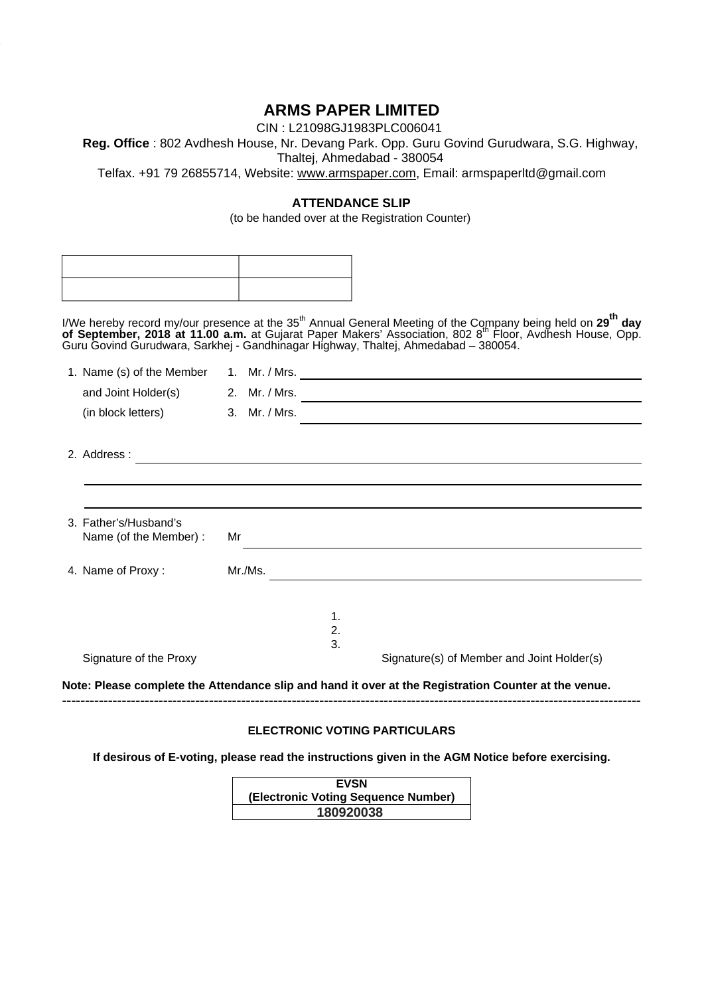## **ARMS PAPER LIMITED**

CIN : L21098GJ1983PLC006041 **Reg. Office** : 802 Avdhesh House, Nr. Devang Park. Opp. Guru Govind Gurudwara, S.G. Highway, Thaltej, Ahmedabad - 380054 Telfax. +91 79 26855714, Website: www.armspaper.com, Email: armspaperltd@gmail.com

## **ATTENDANCE SLIP**

(to be handed over at the Registration Counter)

I/We hereby record my/our presence at the 35<sup>th</sup> Annual General Meeting of the Company being held on 29<sup>th</sup> day **of September, 2018 at 11.00 a.m.** at Gujarat Paper Makers' Association, 802 8th Floor, Avdhesh House, Opp. Guru Govind Gurudwara, Sarkhej - Gandhinagar Highway, Thaltej, Ahmedabad – 380054.

| 1. Name (s) of the Member         |                                                             |  |
|-----------------------------------|-------------------------------------------------------------|--|
| and Joint Holder(s) 2. Mr. / Mrs. |                                                             |  |
| (in block letters)                | 3. Mr. / Mrs.                                               |  |
|                                   |                                                             |  |
| 2. Address:                       | <u> 1989 - Johann Stoff, amerikansk politiker (d. 1989)</u> |  |
|                                   |                                                             |  |
|                                   |                                                             |  |
| 3. Father's/Husband's             |                                                             |  |
| Name (of the Member) :            | Mr                                                          |  |
| 4. Name of Proxy:                 | Mr./Ms.                                                     |  |
|                                   | 1.                                                          |  |
|                                   | 2.                                                          |  |
| Signature of the Proxy            | 3.                                                          |  |
|                                   | Signature(s) of Member and Joint Holder(s)                  |  |

### **ELECTRONIC VOTING PARTICULARS**

**If desirous of E-voting, please read the instructions given in the AGM Notice before exercising.** 

| <b>EVSN</b>                         |
|-------------------------------------|
| (Electronic Voting Sequence Number) |
| 180920038                           |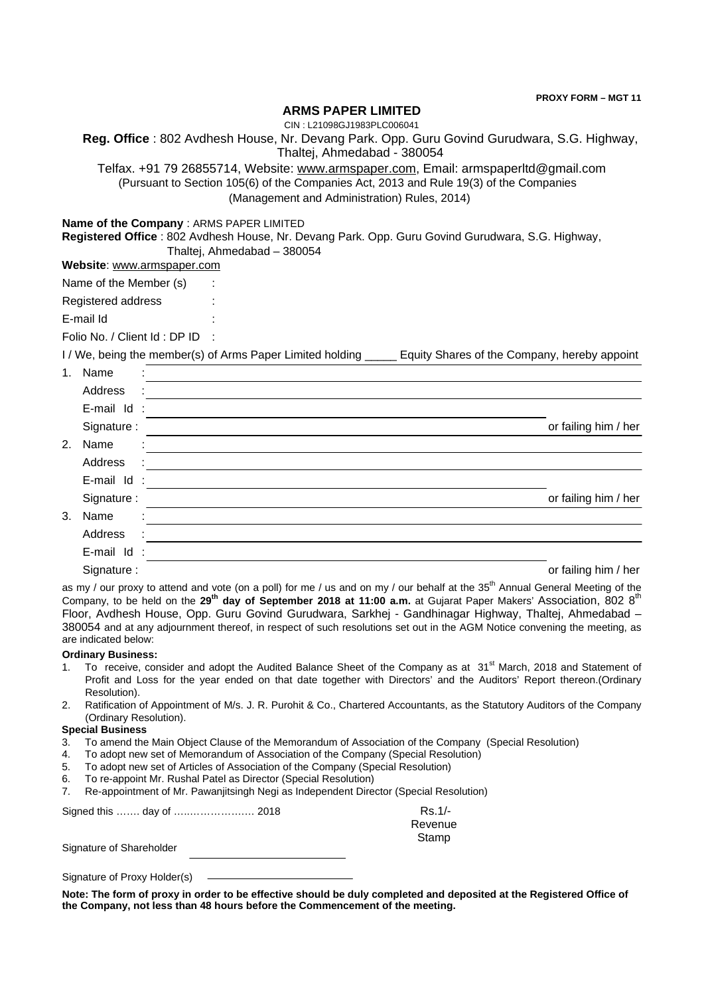**PROXY FORM – MGT 11**

### **ARMS PAPER LIMITED**

CIN : L21098GJ1983PLC006041

**Reg. Office** : 802 Avdhesh House, Nr. Devang Park. Opp. Guru Govind Gurudwara, S.G. Highway,

Thaltej, Ahmedabad - 380054

Telfax. +91 79 26855714, Website: www.armspaper.com, Email: armspaperltd@gmail.com (Pursuant to Section 105(6) of the Companies Act, 2013 and Rule 19(3) of the Companies (Management and Administration) Rules, 2014)

### **Name of the Company** : ARMS PAPER LIMITED

**Registered Office** : 802 Avdhesh House, Nr. Devang Park. Opp. Guru Govind Gurudwara, S.G. Highway, Thaltej, Ahmedabad – 380054

| Website: www.armspaper.com |  |  |
|----------------------------|--|--|
|                            |  |  |

Name of the Member (s)

Registered address :

E-mail Id :

Folio No. / Client Id : DP ID :

I / We, being the member(s) of Arms Paper Limited holding \_\_\_\_\_ Equity Shares of the Company, hereby appoint

| 1. | Name       | ٠                    |                      |
|----|------------|----------------------|----------------------|
|    | Address    | ÷                    |                      |
|    | E-mail Id: |                      |                      |
|    | Signature: |                      | or failing him / her |
| 2. | Name       | $\blacksquare$       |                      |
|    | Address    | ÷                    |                      |
|    | E-mail Id  | $\ddot{\phantom{a}}$ |                      |
|    | Signature: |                      | or failing him / her |
| 3. | Name       |                      |                      |
|    | Address    | ÷                    |                      |
|    | E-mail Id  | $\ddot{\phantom{a}}$ |                      |
|    | Signature: |                      | or failing him / her |

as my / our proxy to attend and vote (on a poll) for me / us and on my / our behalf at the  $35<sup>th</sup>$  Annual General Meeting of the Company, to be held on the 29<sup>th</sup> day of September 2018 at 11:00 a.m. at Gujarat Paper Makers' Association, 802 8<sup>th</sup> Floor, Avdhesh House, Opp. Guru Govind Gurudwara, Sarkhej - Gandhinagar Highway, Thaltej, Ahmedabad – 380054 and at any adjournment thereof, in respect of such resolutions set out in the AGM Notice convening the meeting, as are indicated below:

### **Ordinary Business:**

- 1. To receive, consider and adopt the Audited Balance Sheet of the Company as at 31<sup>st</sup> March, 2018 and Statement of Profit and Loss for the year ended on that date together with Directors' and the Auditors' Report thereon.(Ordinary Resolution).
- 2. Ratification of Appointment of M/s. J. R. Purohit & Co., Chartered Accountants, as the Statutory Auditors of the Company (Ordinary Resolution).

### **Special Business**

- 3. To amend the Main Object Clause of the Memorandum of Association of the Company (Special Resolution)
- 4. To adopt new set of Memorandum of Association of the Company (Special Resolution)
- 5. To adopt new set of Articles of Association of the Company (Special Resolution)
- 6. To re-appoint Mr. Rushal Patel as Director (Special Resolution)
- 7. Re-appointment of Mr. Pawanjitsingh Negi as Independent Director (Special Resolution)

|                          | $Rs.1/-$       |
|--------------------------|----------------|
|                          | <b>Revenue</b> |
|                          | Stamp          |
| Signature of Shareholder |                |

Signature of Proxy Holder(s)

**Note: The form of proxy in order to be effective should be duly completed and deposited at the Registered Office of the Company, not less than 48 hours before the Commencement of the meeting.**